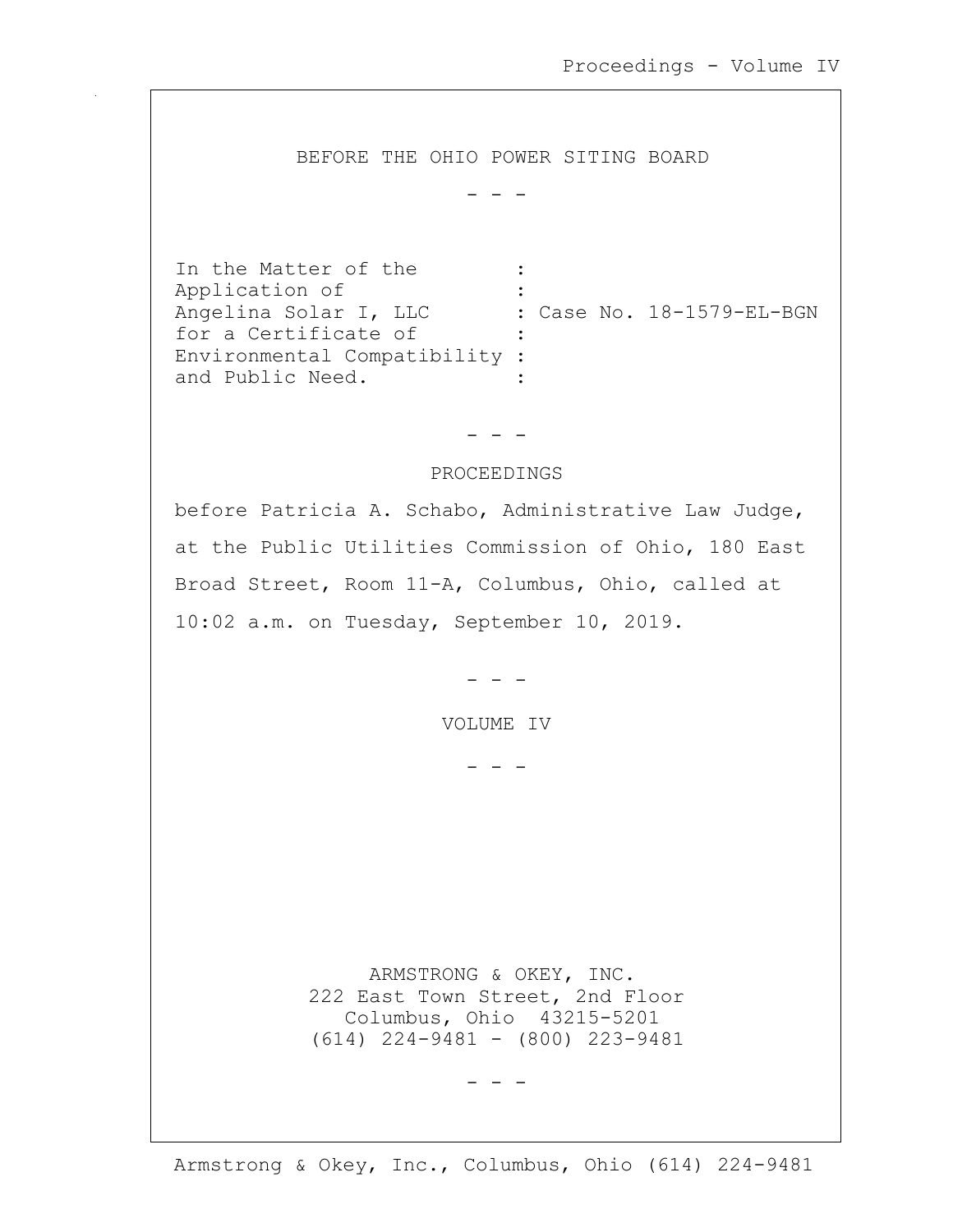BEFORE THE OHIO POWER SITING BOARD

- - -

In the Matter of the : Application of : Angelina Solar I, LLC : Case No. 18-1579-EL-BGN<br>for a Certificate of : for a Certificate of Environmental Compatibility : and Public Need.

# - - -

## PROCEEDINGS

before Patricia A. Schabo, Administrative Law Judge, at the Public Utilities Commission of Ohio, 180 East Broad Street, Room 11-A, Columbus, Ohio, called at 10:02 a.m. on Tuesday, September 10, 2019.

- - -

VOLUME IV

- - -

 ARMSTRONG & OKEY, INC. 222 East Town Street, 2nd Floor Columbus, Ohio 43215-5201 (614) 224-9481 - (800) 223-9481

- - -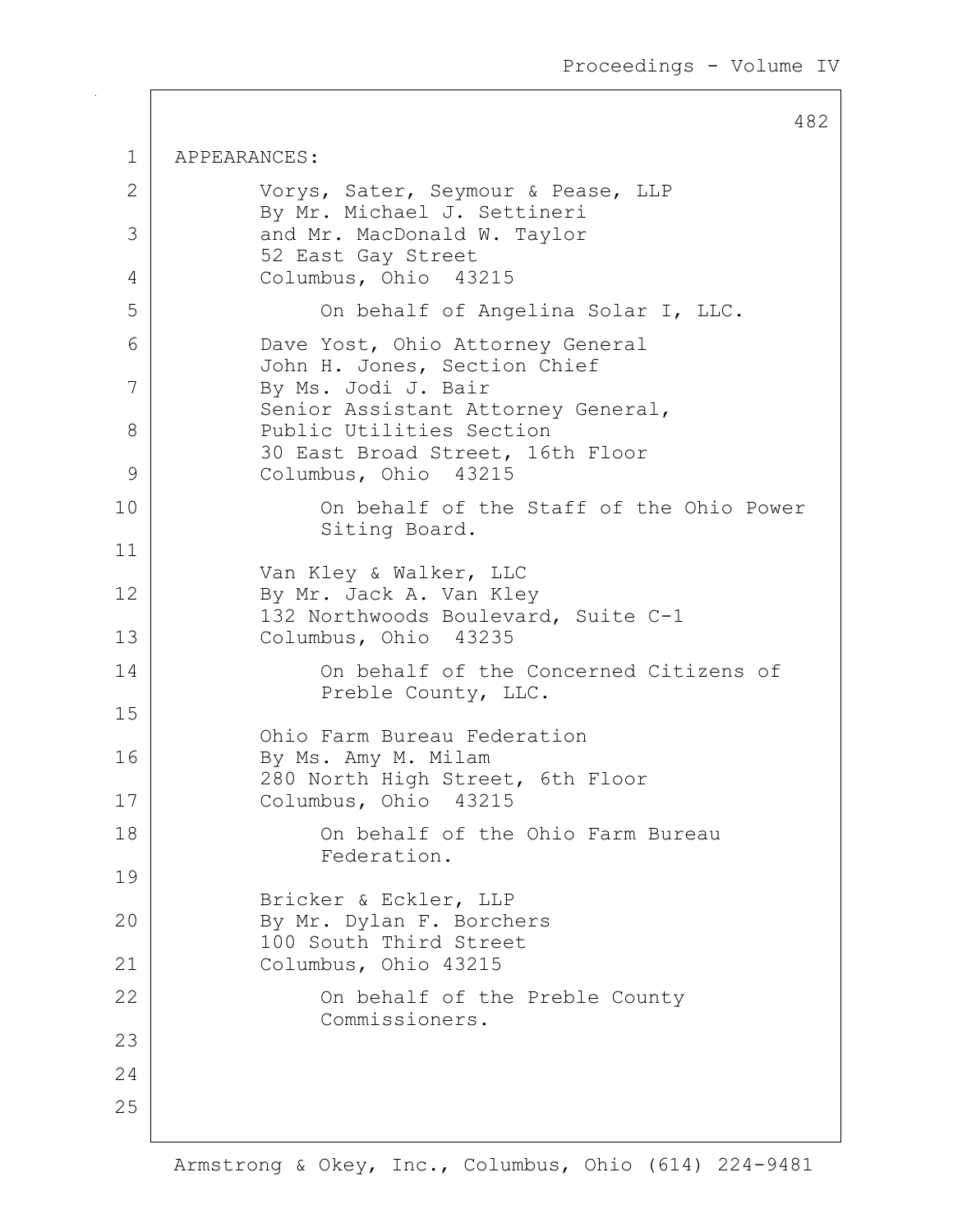482

1 APPEARANCES: 2 Vorys, Sater, Seymour & Pease, LLP By Mr. Michael J. Settineri 3 and Mr. MacDonald W. Taylor 52 East Gay Street 4 Columbus, Ohio 43215 5 On behalf of Angelina Solar I, LLC. 6 Dave Yost, Ohio Attorney General John H. Jones, Section Chief 7 By Ms. Jodi J. Bair Senior Assistant Attorney General, 8 Public Utilities Section 30 East Broad Street, 16th Floor 9 Columbus, Ohio 43215 10 On behalf of the Staff of the Ohio Power Siting Board. 11 Van Kley & Walker, LLC 12 By Mr. Jack A. Van Kley 132 Northwoods Boulevard, Suite C-1 13 Columbus, Ohio 43235 14 On behalf of the Concerned Citizens of Preble County, LLC. 15 Ohio Farm Bureau Federation 16 By Ms. Amy M. Milam 280 North High Street, 6th Floor 17 Columbus, Ohio 43215 18 On behalf of the Ohio Farm Bureau Federation. 19 Bricker & Eckler, LLP 20 By Mr. Dylan F. Borchers 100 South Third Street 21 Columbus, Ohio 43215 22 | Con behalf of the Preble County Commissioners. 23 24 25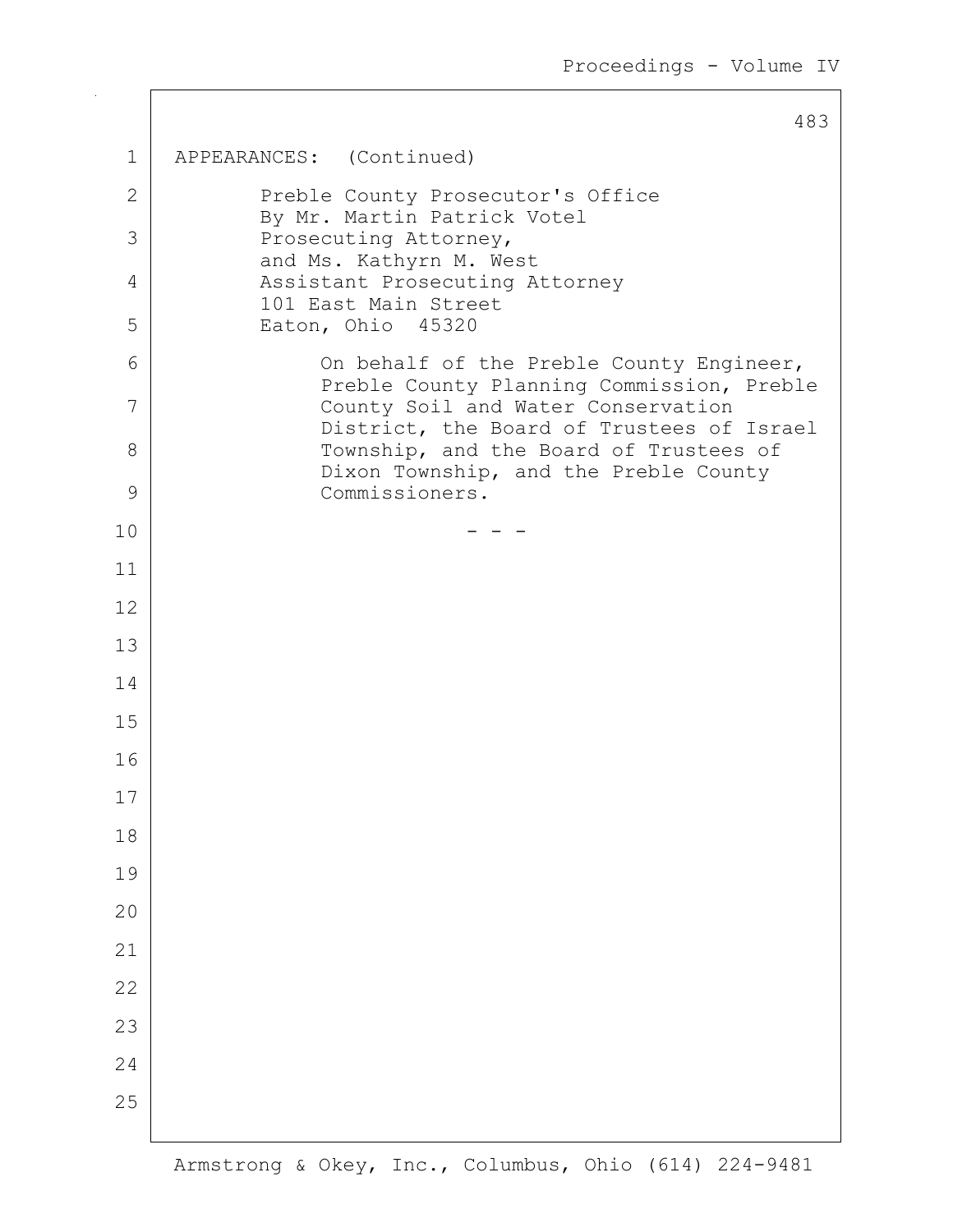|              | 483                                                                                   |
|--------------|---------------------------------------------------------------------------------------|
| 1            | APPEARANCES: (Continued)                                                              |
| $\mathbf{2}$ | Preble County Prosecutor's Office<br>By Mr. Martin Patrick Votel                      |
| 3            | Prosecuting Attorney,<br>and Ms. Kathyrn M. West                                      |
| 4            | Assistant Prosecuting Attorney<br>101 East Main Street                                |
| 5            | Eaton, Ohio 45320                                                                     |
| 6            | On behalf of the Preble County Engineer,<br>Preble County Planning Commission, Preble |
| 7            | County Soil and Water Conservation<br>District, the Board of Trustees of Israel       |
| 8            | Township, and the Board of Trustees of<br>Dixon Township, and the Preble County       |
| 9            | Commissioners.                                                                        |
| 10           |                                                                                       |
| 11           |                                                                                       |
| 12           |                                                                                       |
| 13           |                                                                                       |
| 14           |                                                                                       |
| 15           |                                                                                       |
| 16           |                                                                                       |
| 17           |                                                                                       |
| 18           |                                                                                       |
| 19           |                                                                                       |
| 20           |                                                                                       |
| 21           |                                                                                       |
| 22           |                                                                                       |
| 23           |                                                                                       |
| 24           |                                                                                       |
| 25           |                                                                                       |
|              |                                                                                       |

 $102$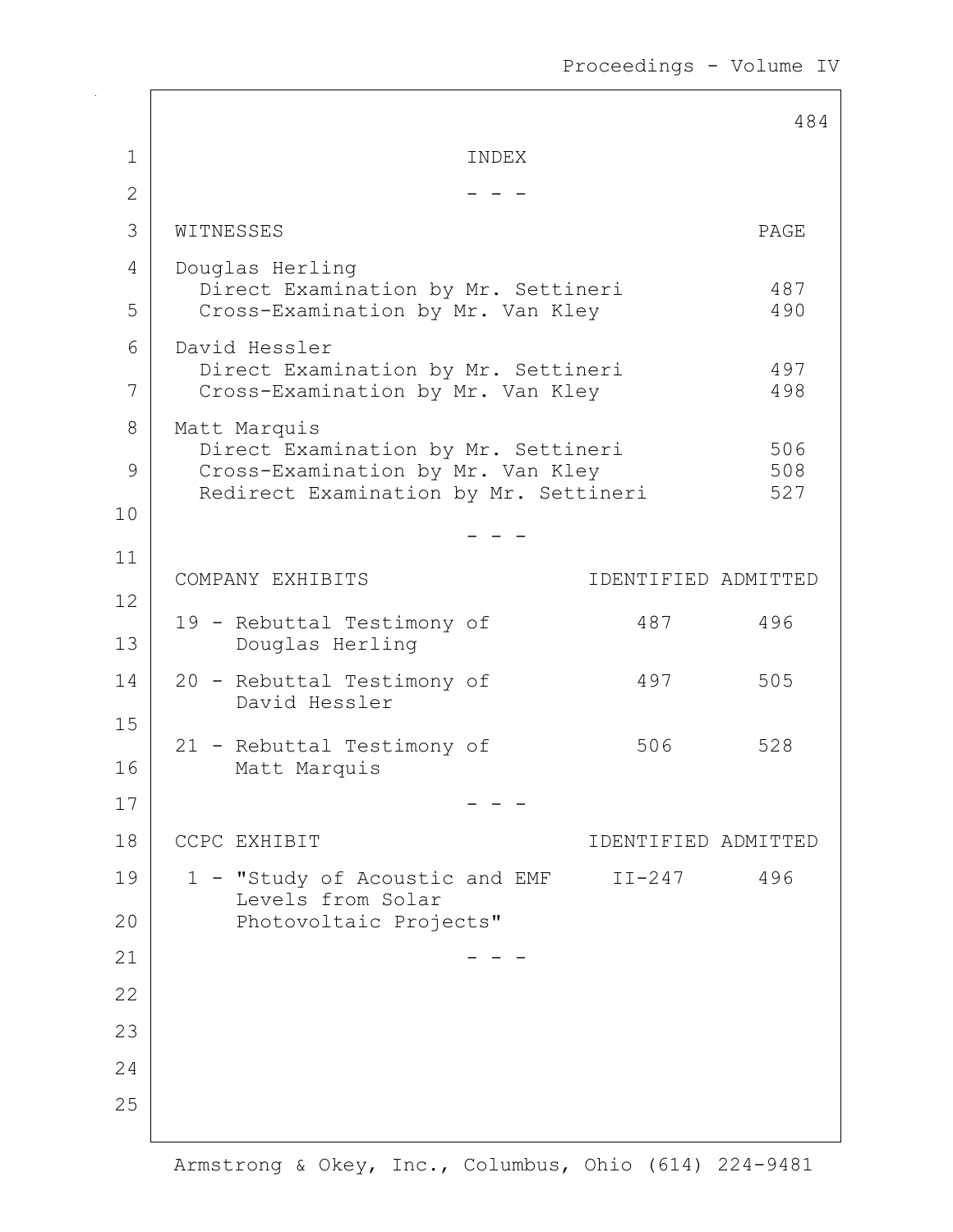Proceedings - Volume IV

|                |                                                                          |       |                     | 484        |
|----------------|--------------------------------------------------------------------------|-------|---------------------|------------|
| 1              |                                                                          | INDEX |                     |            |
| $\overline{2}$ |                                                                          |       |                     |            |
| 3              | WITNESSES                                                                |       |                     | PAGE       |
| 4              | Douglas Herling                                                          |       |                     |            |
| 5              | Direct Examination by Mr. Settineri<br>Cross-Examination by Mr. Van Kley |       |                     | 487<br>490 |
| 6              | David Hessler                                                            |       |                     |            |
| 7              | Direct Examination by Mr. Settineri<br>Cross-Examination by Mr. Van Kley |       |                     | 497<br>498 |
| 8              | Matt Marquis                                                             |       |                     |            |
| 9              | Direct Examination by Mr. Settineri<br>Cross-Examination by Mr. Van Kley |       |                     | 506<br>508 |
| 10             | Redirect Examination by Mr. Settineri                                    |       |                     | 527        |
| 11             |                                                                          |       |                     |            |
| 12             | COMPANY EXHIBITS                                                         |       | IDENTIFIED ADMITTED |            |
| 13             | 19 - Rebuttal Testimony of<br>Douglas Herling                            |       | 487                 | 496        |
| 14             | 20 - Rebuttal Testimony of<br>David Hessler                              |       | 497                 | 505        |
| 15<br>16       | 21 - Rebuttal Testimony of<br>Matt Marquis                               |       | 506                 | 528        |
| 17             |                                                                          |       |                     |            |
| 18             | CCPC EXHIBIT                                                             |       | IDENTIFIED ADMITTED |            |
| 19             | - "Study of Acoustic and EMF                                             |       | $II-247$            | 496        |
| 20             | Levels from Solar<br>Photovoltaic Projects"                              |       |                     |            |
| 21             |                                                                          |       |                     |            |
| 22             |                                                                          |       |                     |            |
| 23             |                                                                          |       |                     |            |
| 24             |                                                                          |       |                     |            |
| 25             |                                                                          |       |                     |            |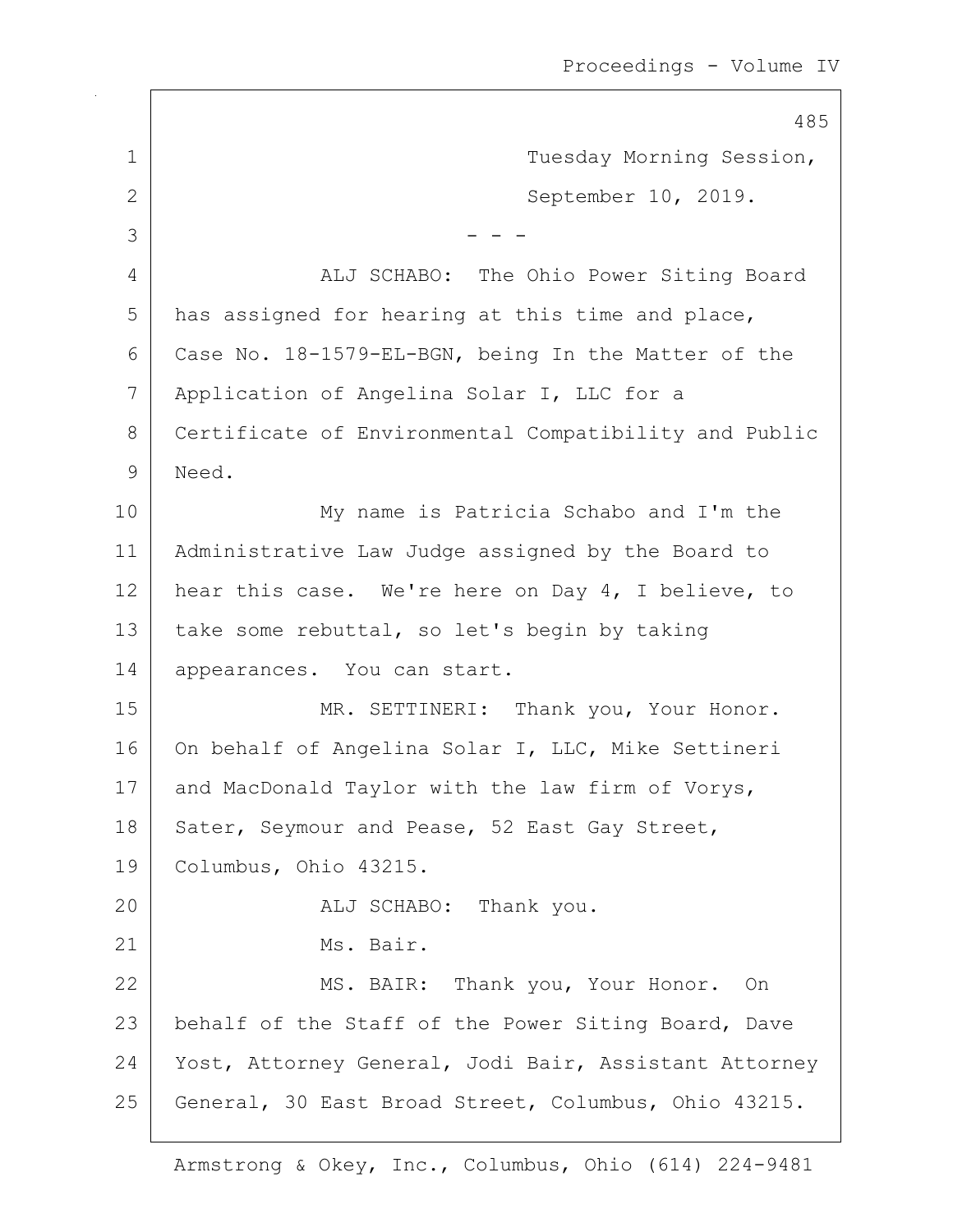485 1 Tuesday Morning Session, 2 September 10, 2019.  $3$   $-$  - -4 ALJ SCHABO: The Ohio Power Siting Board 5 has assigned for hearing at this time and place, 6 Case No. 18-1579-EL-BGN, being In the Matter of the 7 Application of Angelina Solar I, LLC for a 8 Certificate of Environmental Compatibility and Public 9 Need. 10 My name is Patricia Schabo and I'm the 11 Administrative Law Judge assigned by the Board to 12 | hear this case. We're here on Day 4, I believe, to 13 | take some rebuttal, so let's begin by taking 14 | appearances. You can start. 15 | MR. SETTINERI: Thank you, Your Honor. 16 On behalf of Angelina Solar I, LLC, Mike Settineri 17 and MacDonald Taylor with the law firm of Vorys, 18 | Sater, Seymour and Pease, 52 East Gay Street, 19 Columbus, Ohio 43215. 20 ALJ SCHABO: Thank you. 21 Ms. Bair. 22 MS. BAIR: Thank you, Your Honor. On 23 | behalf of the Staff of the Power Siting Board, Dave 24 Yost, Attorney General, Jodi Bair, Assistant Attorney 25 General, 30 East Broad Street, Columbus, Ohio 43215.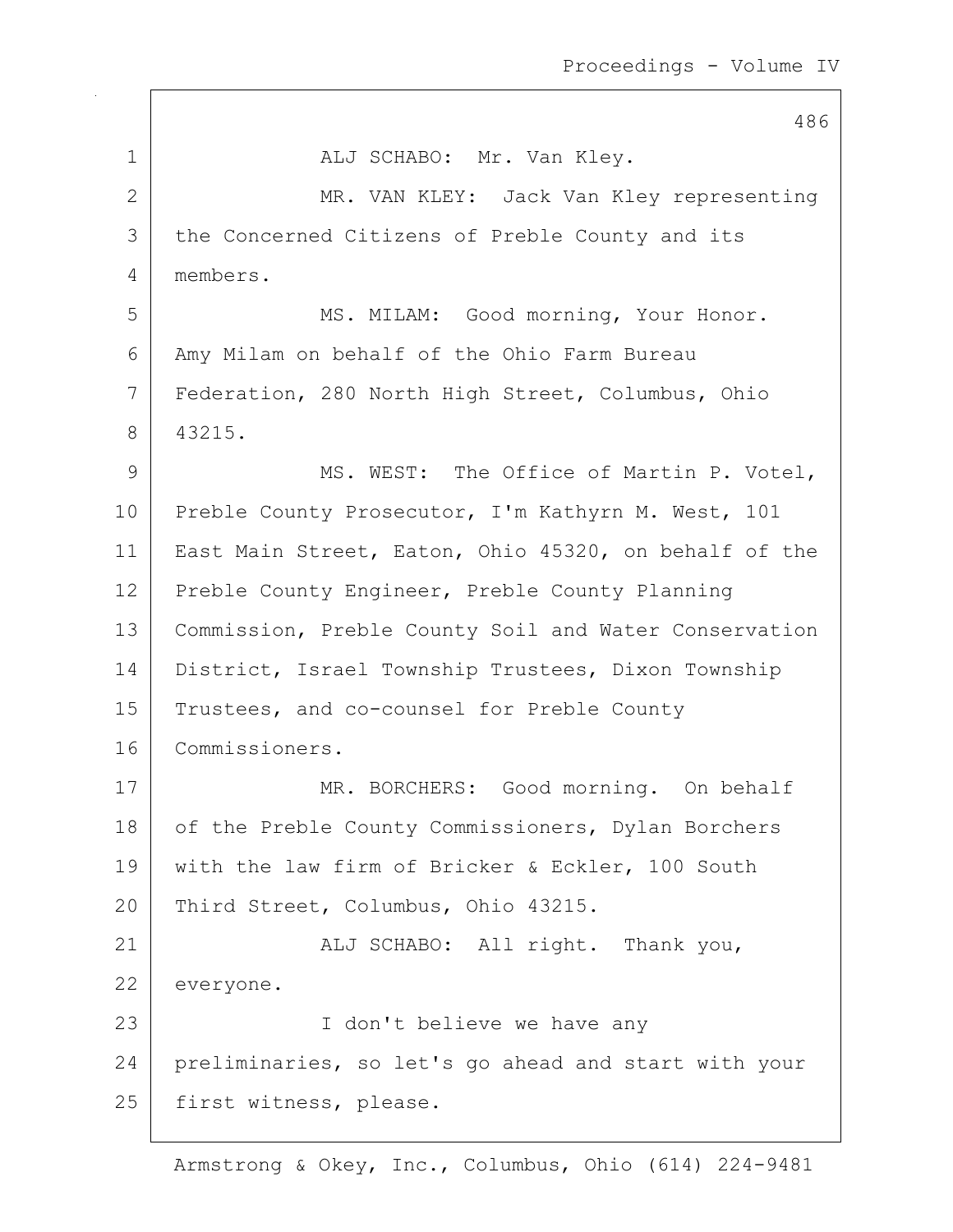|              | 486                                                   |
|--------------|-------------------------------------------------------|
| $\mathbf 1$  | ALJ SCHABO: Mr. Van Kley.                             |
| $\mathbf{2}$ | MR. VAN KLEY: Jack Van Kley representing              |
| 3            | the Concerned Citizens of Preble County and its       |
| 4            | members.                                              |
| 5            | MS. MILAM: Good morning, Your Honor.                  |
| 6            | Amy Milam on behalf of the Ohio Farm Bureau           |
| 7            | Federation, 280 North High Street, Columbus, Ohio     |
| 8            | 43215.                                                |
| 9            | MS. WEST: The Office of Martin P. Votel,              |
| 10           | Preble County Prosecutor, I'm Kathyrn M. West, 101    |
| 11           | East Main Street, Eaton, Ohio 45320, on behalf of the |
| 12           | Preble County Engineer, Preble County Planning        |
| 13           | Commission, Preble County Soil and Water Conservation |
| 14           | District, Israel Township Trustees, Dixon Township    |
| 15           | Trustees, and co-counsel for Preble County            |
| 16           | Commissioners.                                        |
| 17           | MR. BORCHERS: Good morning. On behalf                 |
| 18           | of the Preble County Commissioners, Dylan Borchers    |
| 19           | with the law firm of Bricker & Eckler, 100 South      |
| 20           | Third Street, Columbus, Ohio 43215.                   |
| 21           | ALJ SCHABO: All right. Thank you,                     |
| 22           | everyone.                                             |
| 23           | I don't believe we have any                           |
| 24           | preliminaries, so let's go ahead and start with your  |
| 25           | first witness, please.                                |
|              |                                                       |

 $\mathsf{I}$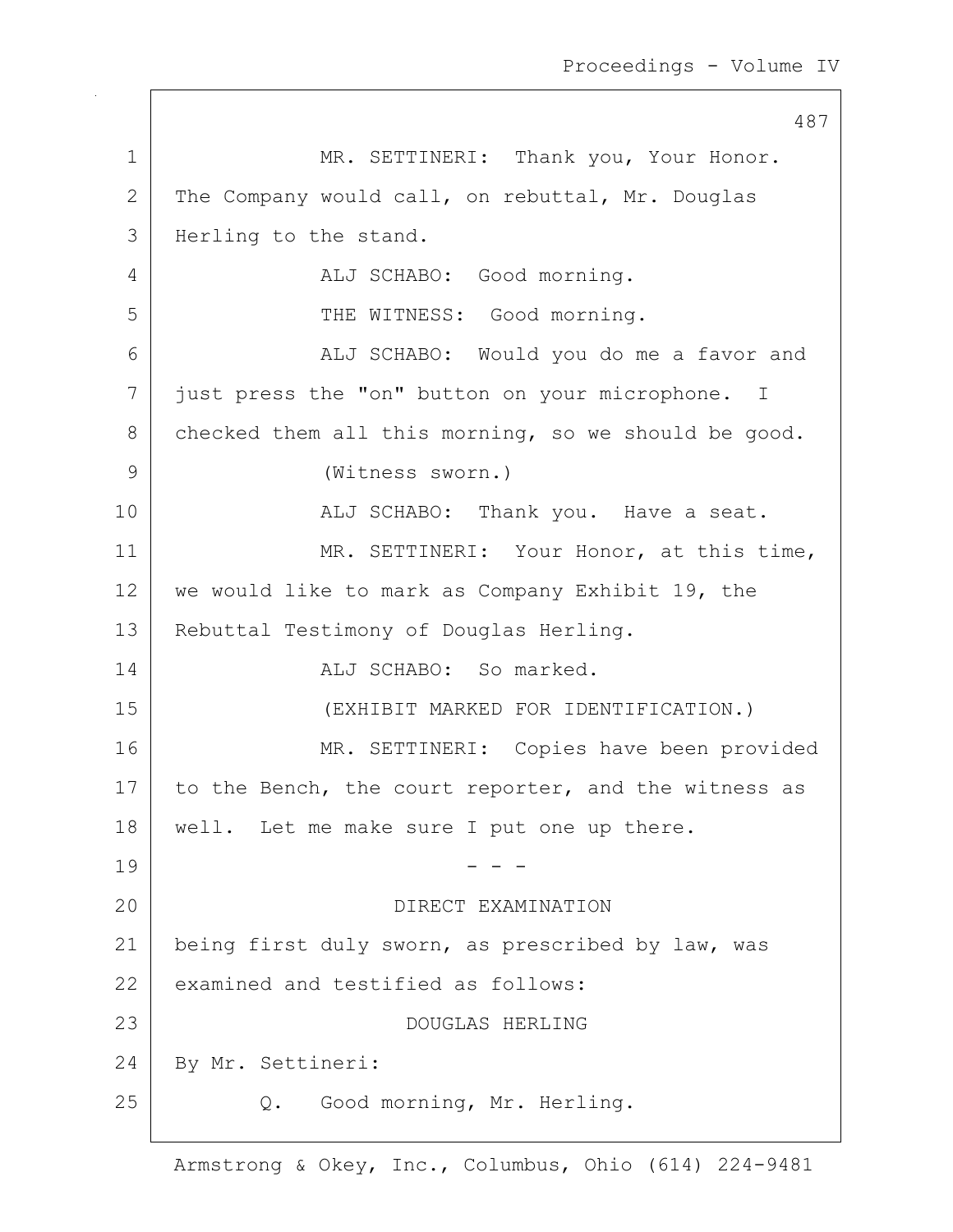487 1 MR. SETTINERI: Thank you, Your Honor. 2 The Company would call, on rebuttal, Mr. Douglas 3 | Herling to the stand. 4 | ALJ SCHABO: Good morning. 5 | THE WITNESS: Good morning. 6 | ALJ SCHABO: Would you do me a favor and 7 just press the "on" button on your microphone. I 8 checked them all this morning, so we should be good. 9 (Witness sworn.) 10 | REALJ SCHABO: Thank you. Have a seat. 11 | MR. SETTINERI: Your Honor, at this time, 12 we would like to mark as Company Exhibit 19, the 13 | Rebuttal Testimony of Douglas Herling. 14 ALJ SCHABO: So marked. 15 (EXHIBIT MARKED FOR IDENTIFICATION.) 16 MR. SETTINERI: Copies have been provided 17 to the Bench, the court reporter, and the witness as 18 | well. Let me make sure I put one up there.  $19$  - - -20 DIRECT EXAMINATION 21 being first duly sworn, as prescribed by law, was 22 examined and testified as follows: 23 DOUGLAS HERLING 24 By Mr. Settineri: 25 Q. Good morning, Mr. Herling.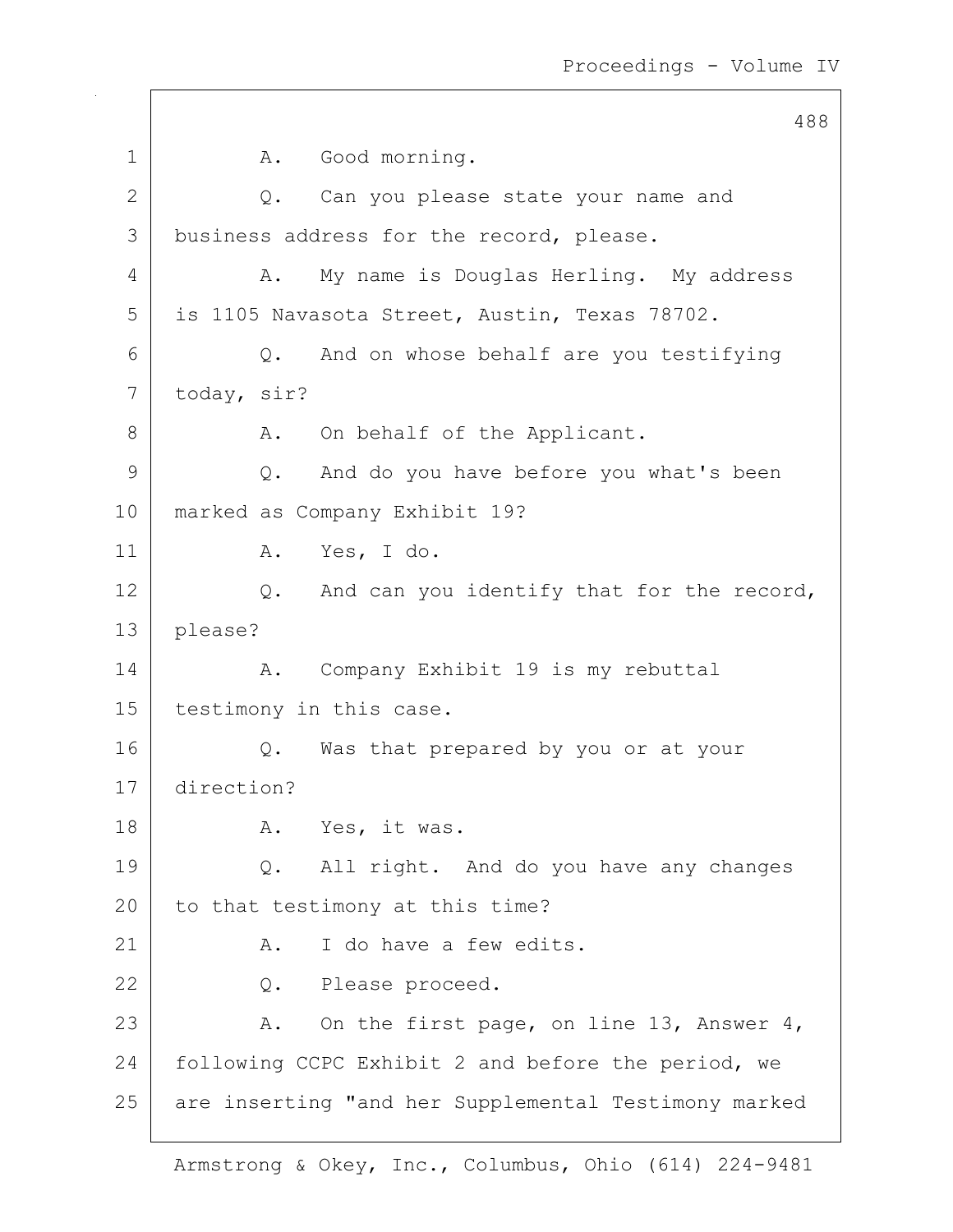488 1 A. Good morning. 2 Q. Can you please state your name and 3 business address for the record, please. 4 A. My name is Douglas Herling. My address 5 is 1105 Navasota Street, Austin, Texas 78702.  $6$  Q. And on whose behalf are you testifying 7 today, sir? 8 A. On behalf of the Applicant. 9 Q. And do you have before you what's been 10 marked as Company Exhibit 19? 11 | A. Yes, I do. 12 Q. And can you identify that for the record, 13 please? 14 | A. Company Exhibit 19 is my rebuttal 15 | testimony in this case. 16 Q. Was that prepared by you or at your 17 direction? 18 | A. Yes, it was. 19 | Q. All right. And do you have any changes 20 to that testimony at this time? 21 A. I do have a few edits. 22 Q. Please proceed. 23 A. On the first page, on line 13, Answer 4, 24 | following CCPC Exhibit 2 and before the period, we 25 are inserting "and her Supplemental Testimony marked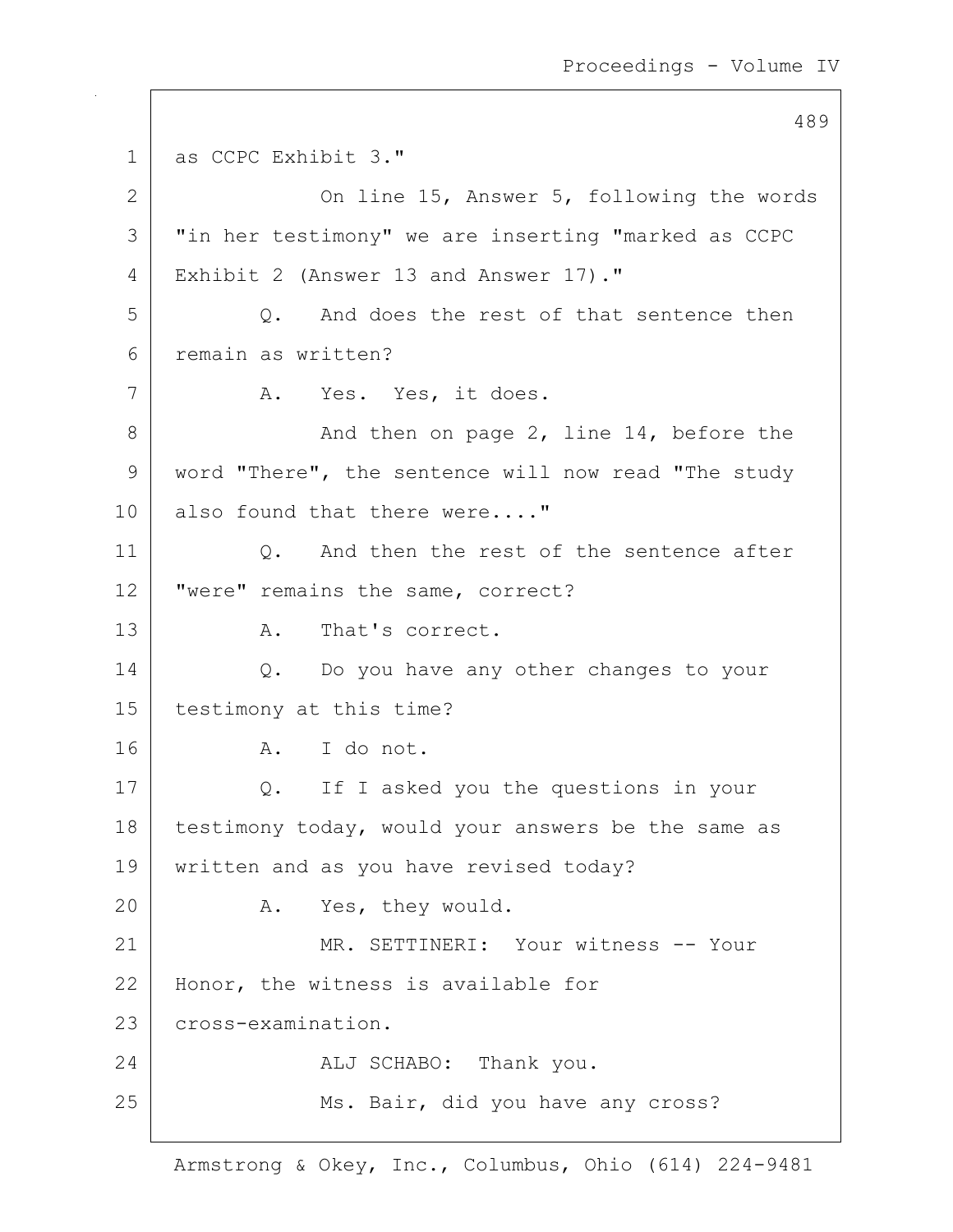```
489
1 as CCPC Exhibit 3."
2 On line 15, Answer 5, following the words
3 | "in her testimony" we are inserting "marked as CCPC
4 Exhibit 2 (Answer 13 and Answer 17)."
5 Q. And does the rest of that sentence then
6 remain as written?
7 | A. Yes. Yes, it does.
8 And then on page 2, line 14, before the
9 word "There", the sentence will now read "The study
10 also found that there were...."
11 | C. And then the rest of the sentence after
12 | "were" remains the same, correct?
13 A. That's correct.
14 | Q. Do you have any other changes to your
15 testimony at this time?
16 A. I do not.
17 Q. If I asked you the questions in your
18 testimony today, would your answers be the same as
19 | written and as you have revised today?
20 A. Yes, they would.
21 MR. SETTINERI: Your witness -- Your
22 | Honor, the witness is available for
23 cross-examination.
24 ALJ SCHABO: Thank you.
25 Ms. Bair, did you have any cross?
```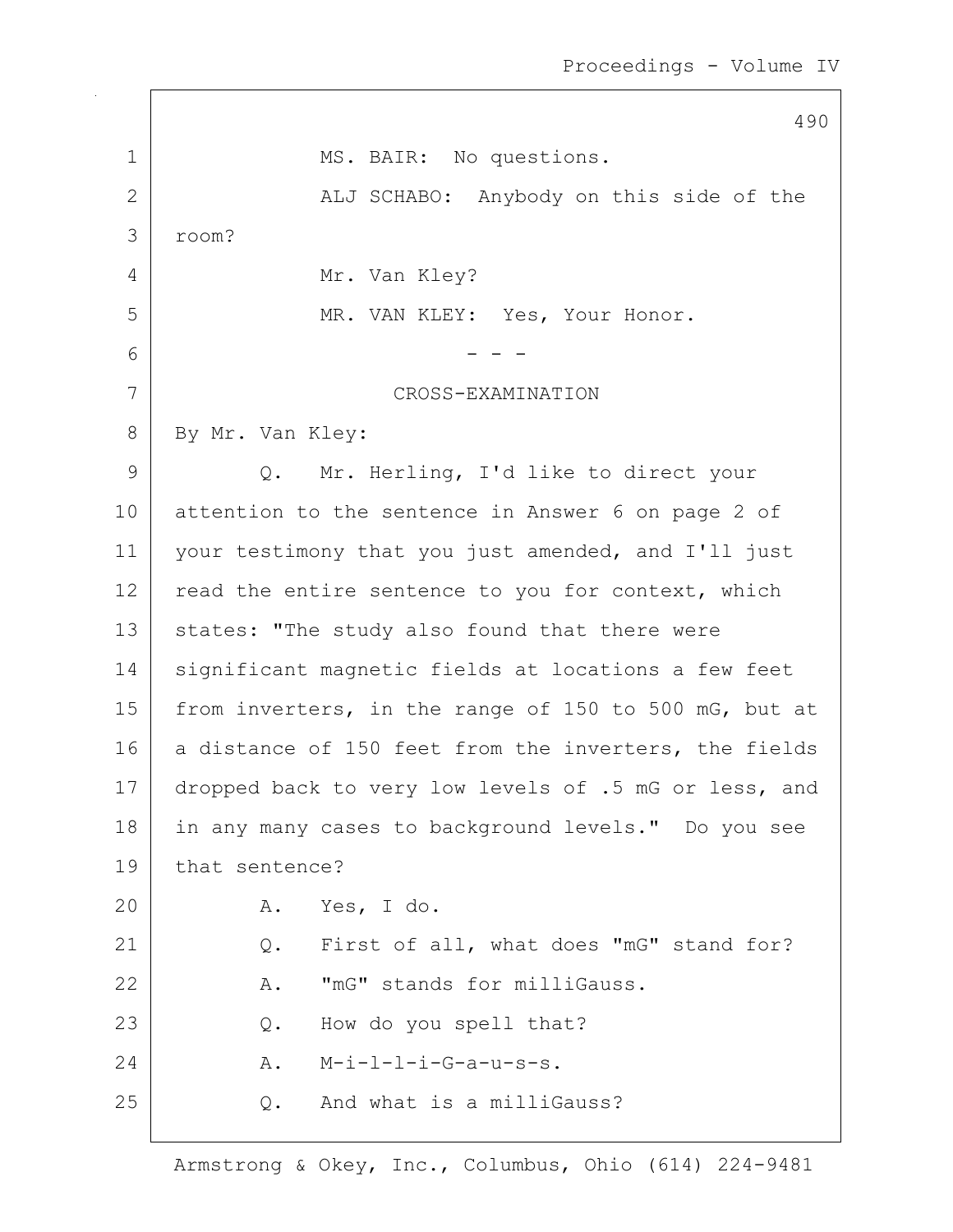|              | 490                                                   |
|--------------|-------------------------------------------------------|
| $\mathbf 1$  | MS. BAIR: No questions.                               |
| $\mathbf{2}$ | ALJ SCHABO: Anybody on this side of the               |
| 3            | room?                                                 |
| 4            | Mr. Van Kley?                                         |
| 5            | MR. VAN KLEY: Yes, Your Honor.                        |
| 6            |                                                       |
| 7            | CROSS-EXAMINATION                                     |
| 8            | By Mr. Van Kley:                                      |
| $\mathsf 9$  | Mr. Herling, I'd like to direct your<br>Q.            |
| 10           | attention to the sentence in Answer 6 on page 2 of    |
| 11           | your testimony that you just amended, and I'll just   |
| 12           | read the entire sentence to you for context, which    |
| 13           | states: "The study also found that there were         |
| 14           | significant magnetic fields at locations a few feet   |
| 15           | from inverters, in the range of 150 to 500 mG, but at |
| 16           | a distance of 150 feet from the inverters, the fields |
| 17           | dropped back to very low levels of .5 mG or less, and |
| 18           | in any many cases to background levels." Do you see   |
| 19           | that sentence?                                        |
| 20           | Yes, I do.<br>Α.                                      |
| 21           | First of all, what does "mG" stand for?<br>Q.         |
| 22           | "mG" stands for milliGauss.<br>Α.                     |
| 23           | How do you spell that?<br>Q.                          |
| 24           | $M-i-l-l-i-G-a-u-s-s.$<br>Α.                          |
| 25           | And what is a milliGauss?<br>Q.                       |
|              |                                                       |

 $\overline{\Gamma}$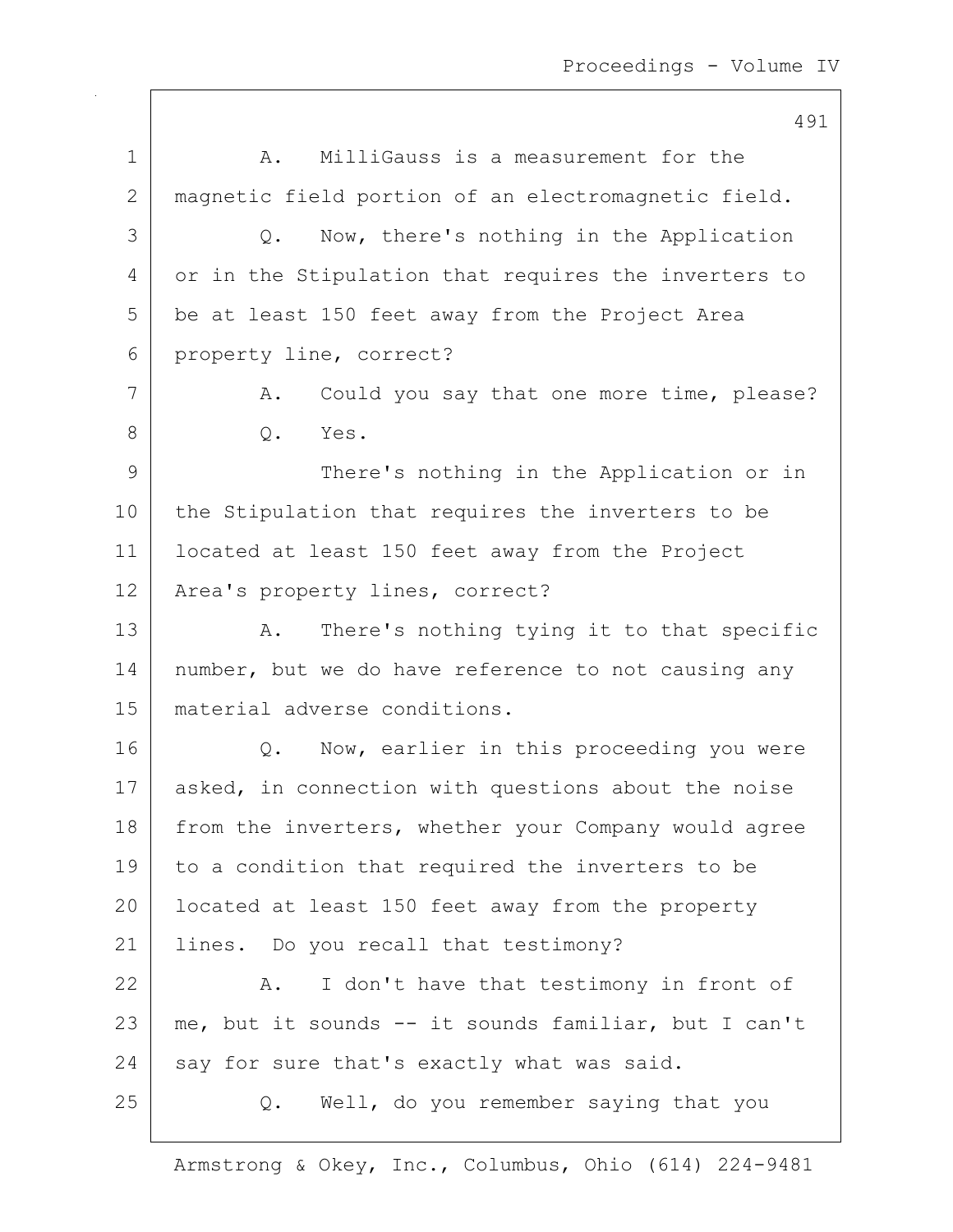491 1 A. MilliGauss is a measurement for the 2 magnetic field portion of an electromagnetic field. 3 Q. Now, there's nothing in the Application 4 or in the Stipulation that requires the inverters to 5 be at least 150 feet away from the Project Area 6 property line, correct? 7 | A. Could you say that one more time, please? 8 0. Yes. 9 | There's nothing in the Application or in 10 | the Stipulation that requires the inverters to be 11 located at least 150 feet away from the Project 12 | Area's property lines, correct? 13 A. There's nothing tying it to that specific 14 | number, but we do have reference to not causing any 15 material adverse conditions. 16 | Q. Now, earlier in this proceeding you were 17 | asked, in connection with questions about the noise 18 from the inverters, whether your Company would agree 19 to a condition that required the inverters to be 20 | located at least 150 feet away from the property 21 | lines. Do you recall that testimony? 22 | A. I don't have that testimony in front of 23 me, but it sounds -- it sounds familiar, but I can't  $24$  say for sure that's exactly what was said. 25 | Q. Well, do you remember saying that you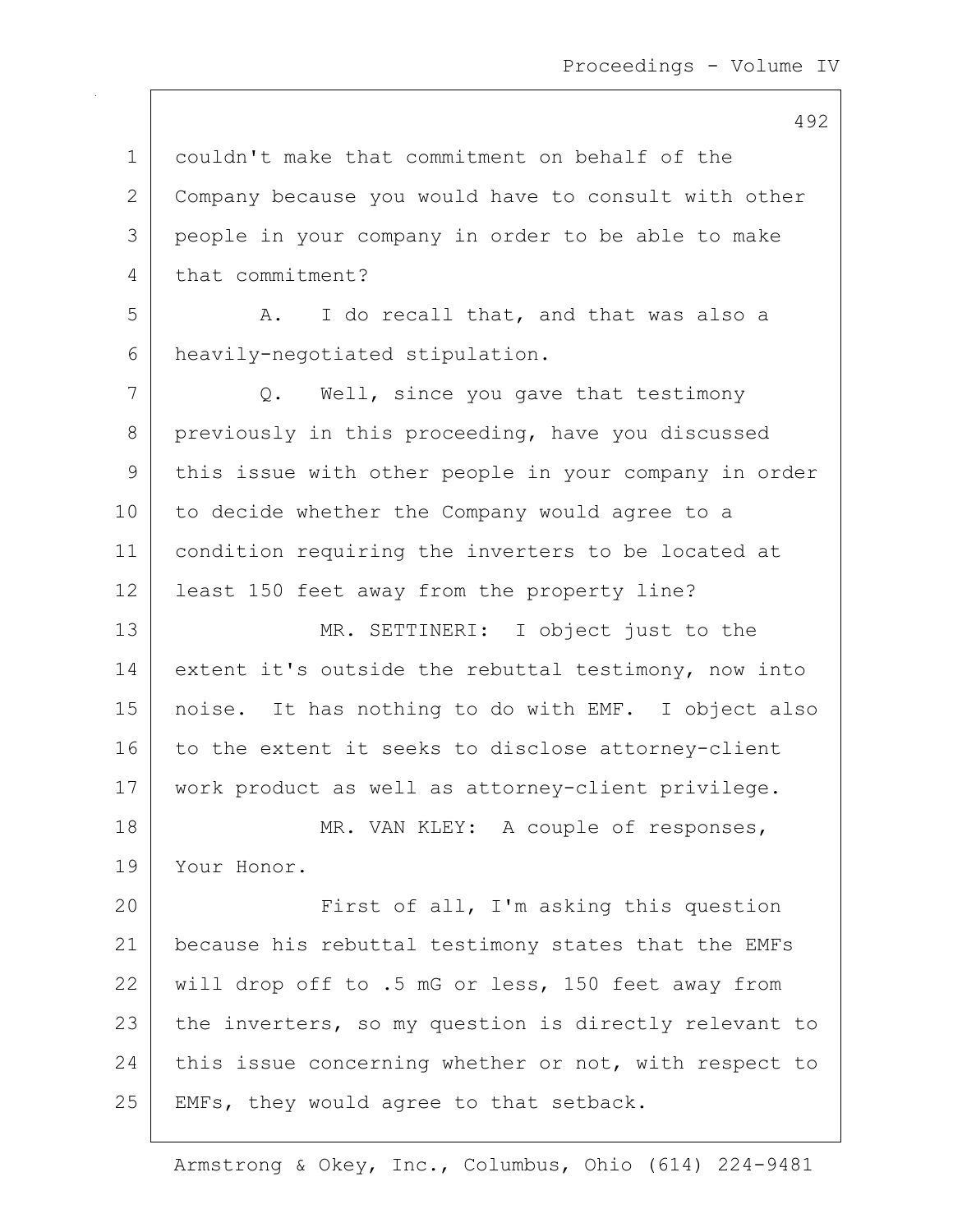1 couldn't make that commitment on behalf of the 2 Company because you would have to consult with other 3 people in your company in order to be able to make 4 that commitment? 5 A. I do recall that, and that was also a 6 heavily-negotiated stipulation. 7 Q. Well, since you gave that testimony 8 previously in this proceeding, have you discussed 9 | this issue with other people in your company in order 10 to decide whether the Company would agree to a 11 condition requiring the inverters to be located at 12 | least 150 feet away from the property line? 13 MR. SETTINERI: I object just to the 14 extent it's outside the rebuttal testimony, now into 15 noise. It has nothing to do with EMF. I object also 16 to the extent it seeks to disclose attorney-client 17 | work product as well as attorney-client privilege. 18 MR. VAN KLEY: A couple of responses, 19 Your Honor. 20 First of all, I'm asking this question 21 because his rebuttal testimony states that the EMFs 22 will drop off to .5 mG or less, 150 feet away from 23 the inverters, so my question is directly relevant to 24 this issue concerning whether or not, with respect to 25 | EMFs, they would agree to that setback.

Armstrong & Okey, Inc., Columbus, Ohio (614) 224-9481

#### 492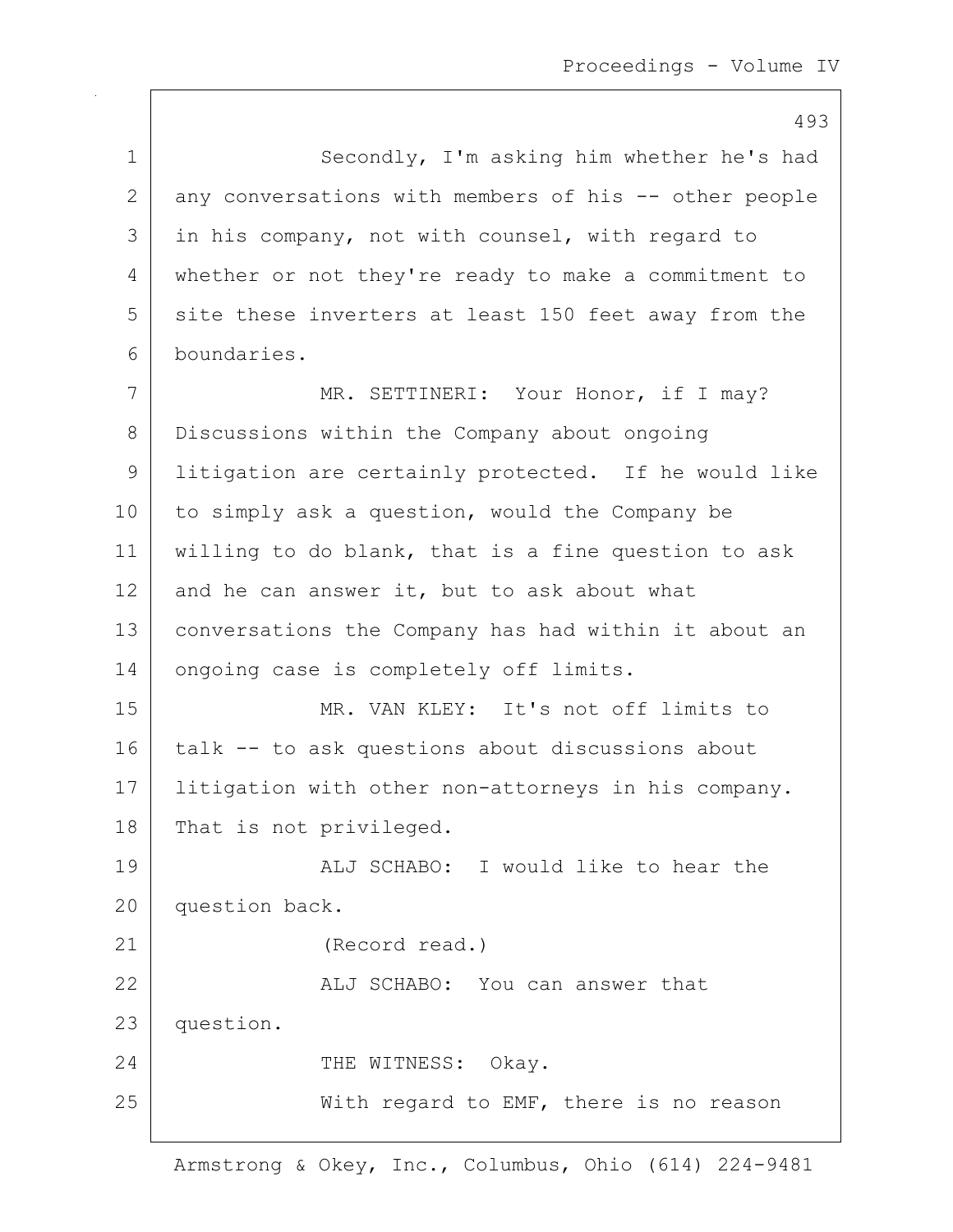493 1 Secondly, I'm asking him whether he's had 2 any conversations with members of his -- other people 3 in his company, not with counsel, with regard to 4 whether or not they're ready to make a commitment to 5 site these inverters at least 150 feet away from the 6 boundaries. 7 | MR. SETTINERI: Your Honor, if I may? 8 Discussions within the Company about ongoing 9 litigation are certainly protected. If he would like 10 to simply ask a question, would the Company be 11 willing to do blank, that is a fine question to ask 12 and he can answer it, but to ask about what 13 conversations the Company has had within it about an 14 ongoing case is completely off limits. 15 MR. VAN KLEY: It's not off limits to 16 talk -- to ask questions about discussions about 17 | litigation with other non-attorneys in his company. 18 That is not privileged. 19 | ALJ SCHABO: I would like to hear the 20 question back. 21 (Record read.) 22 ALJ SCHABO: You can answer that 23 question. 24 CHE WITNESS: Okay. 25 | With regard to EMF, there is no reason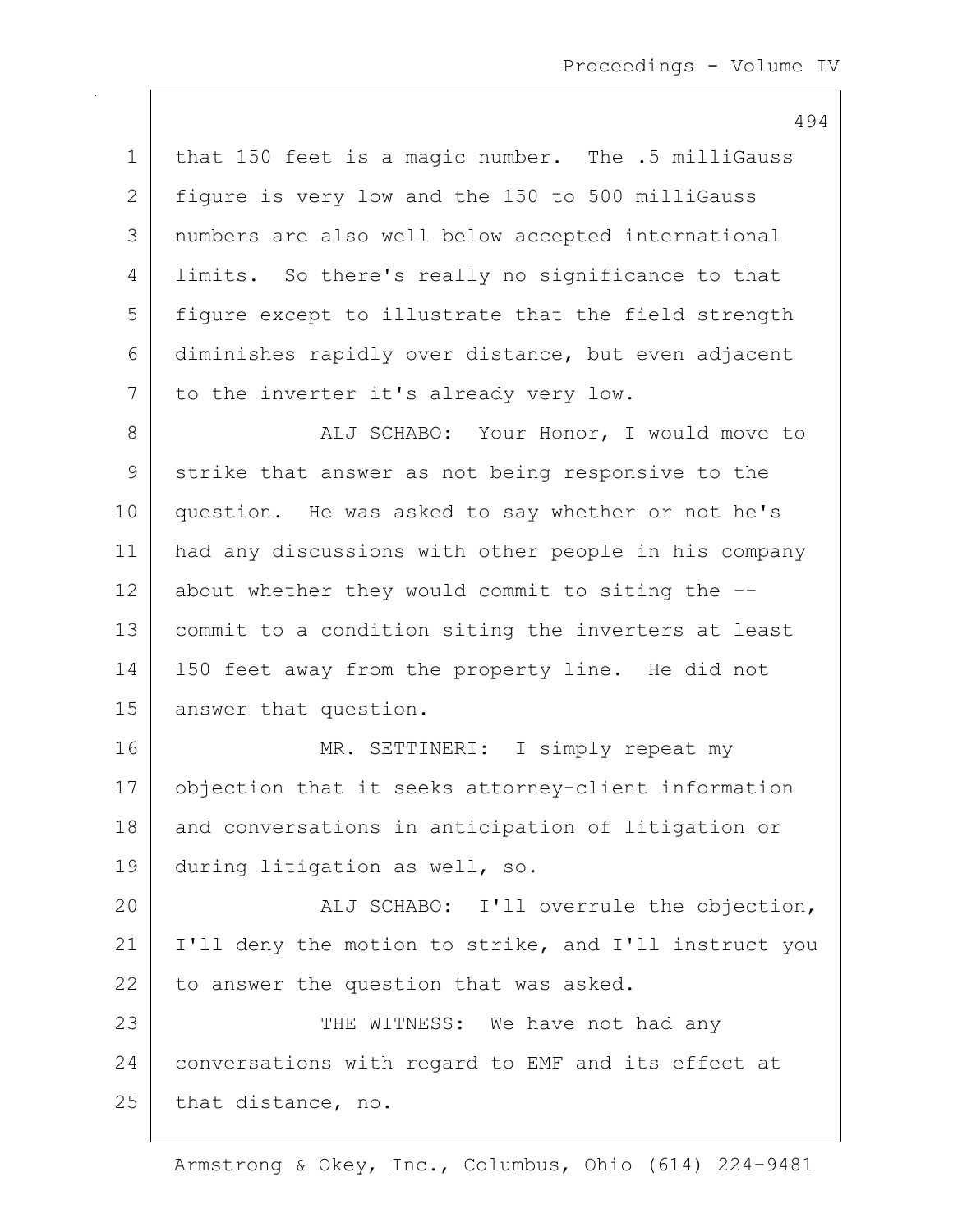494 1 | that 150 feet is a magic number. The .5 milliGauss 2 figure is very low and the 150 to 500 milliGauss 3 numbers are also well below accepted international 4 | limits. So there's really no significance to that 5 figure except to illustrate that the field strength 6 diminishes rapidly over distance, but even adjacent 7 to the inverter it's already very low. 8 | ALJ SCHABO: Your Honor, I would move to 9 strike that answer as not being responsive to the 10 question. He was asked to say whether or not he's 11 had any discussions with other people in his company  $12$  about whether they would commit to siting the  $-$ -13 commit to a condition siting the inverters at least 14 | 150 feet away from the property line. He did not 15 answer that question. 16 MR. SETTINERI: I simply repeat my 17 objection that it seeks attorney-client information 18 and conversations in anticipation of litigation or 19 during litigation as well, so. 20 ALJ SCHABO: I'll overrule the objection, 21 | I'll deny the motion to strike, and I'll instruct you  $22$  to answer the question that was asked. 23 | THE WITNESS: We have not had any 24 conversations with regard to EMF and its effect at 25 that distance, no.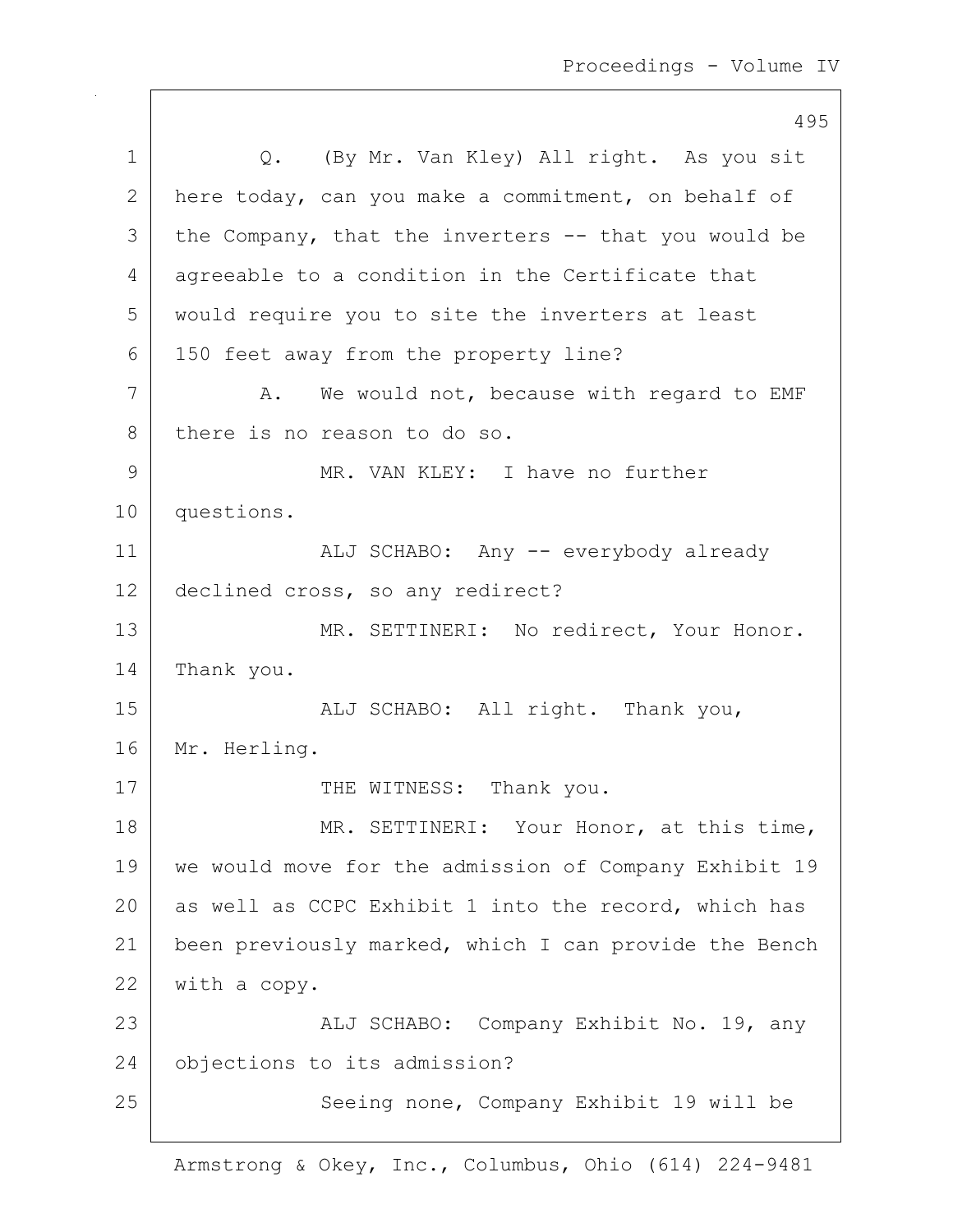495 1 |  $Q.$  (By Mr. Van Kley) All right. As you sit 2 here today, can you make a commitment, on behalf of  $3$  | the Company, that the inverters  $-$  that you would be 4 agreeable to a condition in the Certificate that 5 would require you to site the inverters at least 6 150 feet away from the property line? 7 | A. We would not, because with regard to EMF 8 there is no reason to do so. 9 MR. VAN KLEY: I have no further 10 questions. 11 | ALJ SCHABO: Any -- everybody already 12 declined cross, so any redirect? 13 MR. SETTINERI: No redirect, Your Honor. 14 | Thank you. 15 | REALJ SCHABO: All right. Thank you, 16 Mr. Herling. 17 THE WITNESS: Thank you. 18 | MR. SETTINERI: Your Honor, at this time, 19 we would move for the admission of Company Exhibit 19 20 as well as CCPC Exhibit 1 into the record, which has 21 | been previously marked, which I can provide the Bench 22 with a copy. 23 | ALJ SCHABO: Company Exhibit No. 19, any 24 objections to its admission? 25 | Seeing none, Company Exhibit 19 will be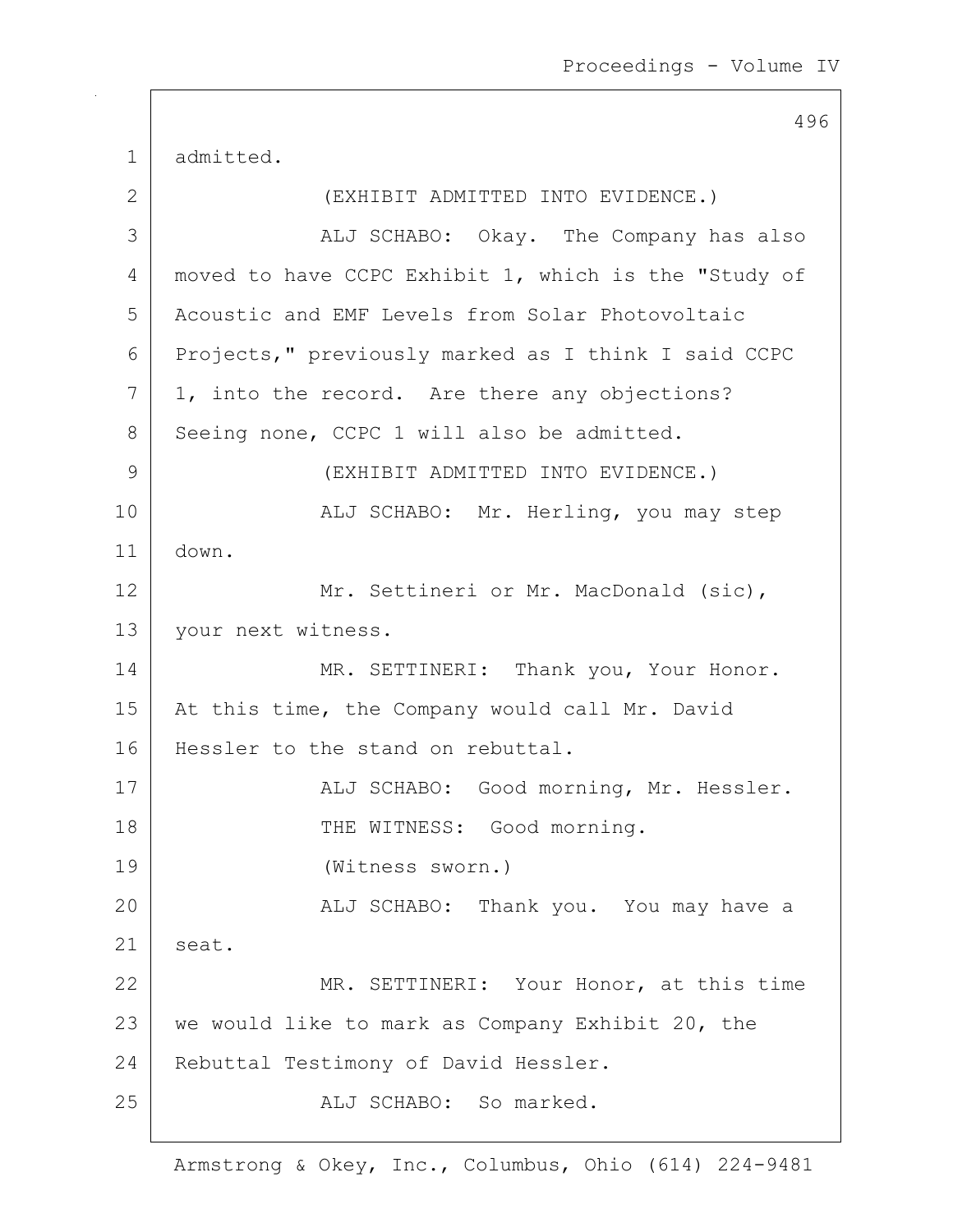1 admitted. 2 | (EXHIBIT ADMITTED INTO EVIDENCE.) 3 | ALJ SCHABO: Okay. The Company has also 4 | moved to have CCPC Exhibit 1, which is the "Study of 5 Acoustic and EMF Levels from Solar Photovoltaic 6 Projects," previously marked as I think I said CCPC  $7$  | 1, into the record. Are there any objections? 8 Seeing none, CCPC 1 will also be admitted. 9 (EXHIBIT ADMITTED INTO EVIDENCE.) 10 | ALJ SCHABO: Mr. Herling, you may step 11 down. 12 Mr. Settineri or Mr. MacDonald (sic), 13 | your next witness. 14 MR. SETTINERI: Thank you, Your Honor. 15 | At this time, the Company would call Mr. David 16 Hessler to the stand on rebuttal. 17 | ALJ SCHABO: Good morning, Mr. Hessler. 18 | THE WITNESS: Good morning. 19 (Witness sworn.) 20 ALJ SCHABO: Thank you. You may have a  $21$  seat. 22 MR. SETTINERI: Your Honor, at this time 23 | we would like to mark as Company Exhibit 20, the 24 Rebuttal Testimony of David Hessler. 25 aLJ SCHABO: So marked.

496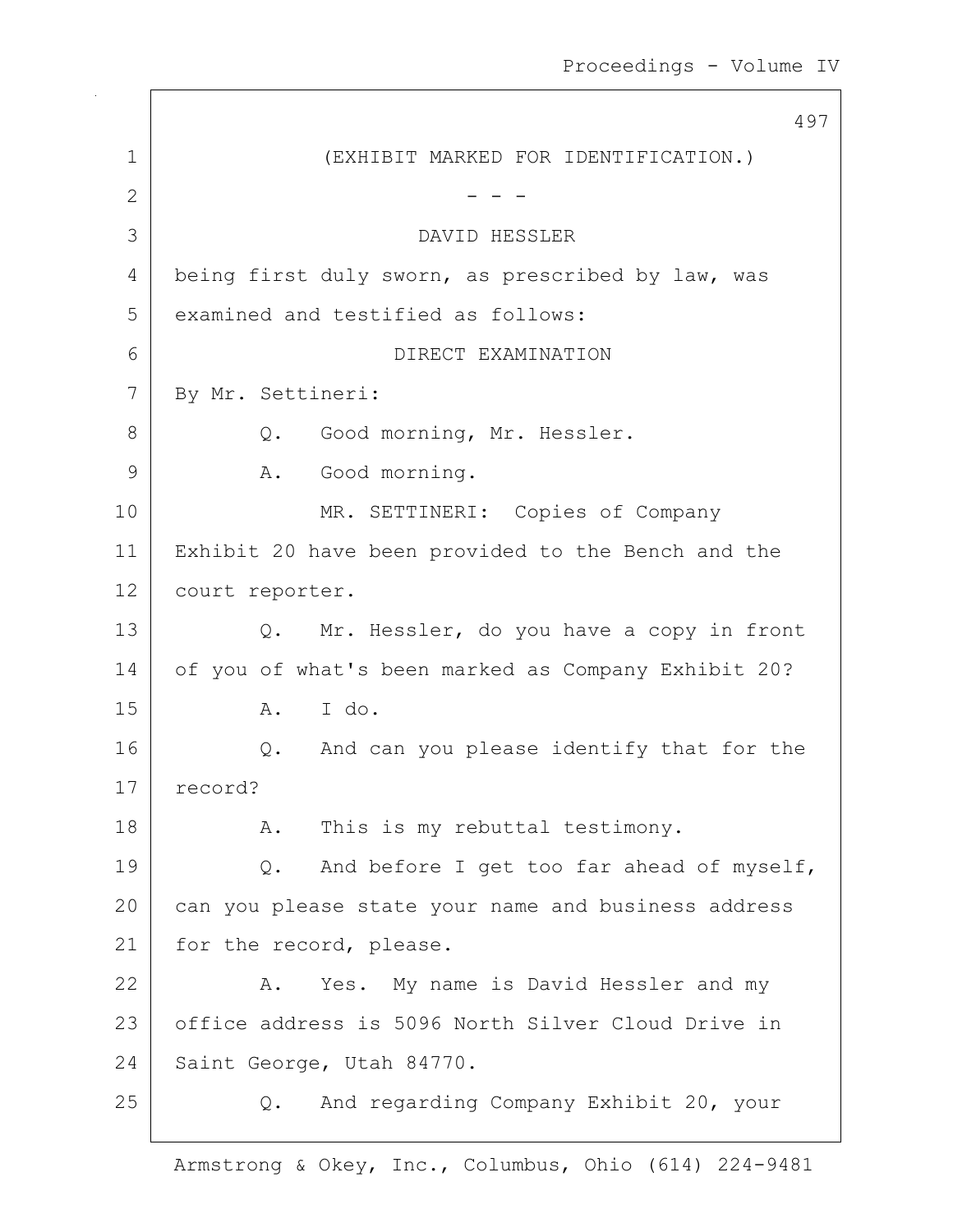497 1 (EXHIBIT MARKED FOR IDENTIFICATION.) 2  $-$  -  $-$ 3 DAVID HESSLER 4 being first duly sworn, as prescribed by law, was 5 examined and testified as follows: 6 DIRECT EXAMINATION 7 By Mr. Settineri: 8 Q. Good morning, Mr. Hessler. 9 | A. Good morning. 10 MR. SETTINERI: Copies of Company 11 Exhibit 20 have been provided to the Bench and the 12 court reporter. 13 Q. Mr. Hessler, do you have a copy in front 14 | of you of what's been marked as Company Exhibit 20? 15 A. I do. 16 Q. And can you please identify that for the 17 record? 18 | R. This is my rebuttal testimony. 19 | Q. And before I get too far ahead of myself, 20 can you please state your name and business address 21 | for the record, please. 22 A. Yes. My name is David Hessler and my 23 | office address is 5096 North Silver Cloud Drive in 24 Saint George, Utah 84770. 25 Q. And regarding Company Exhibit 20, your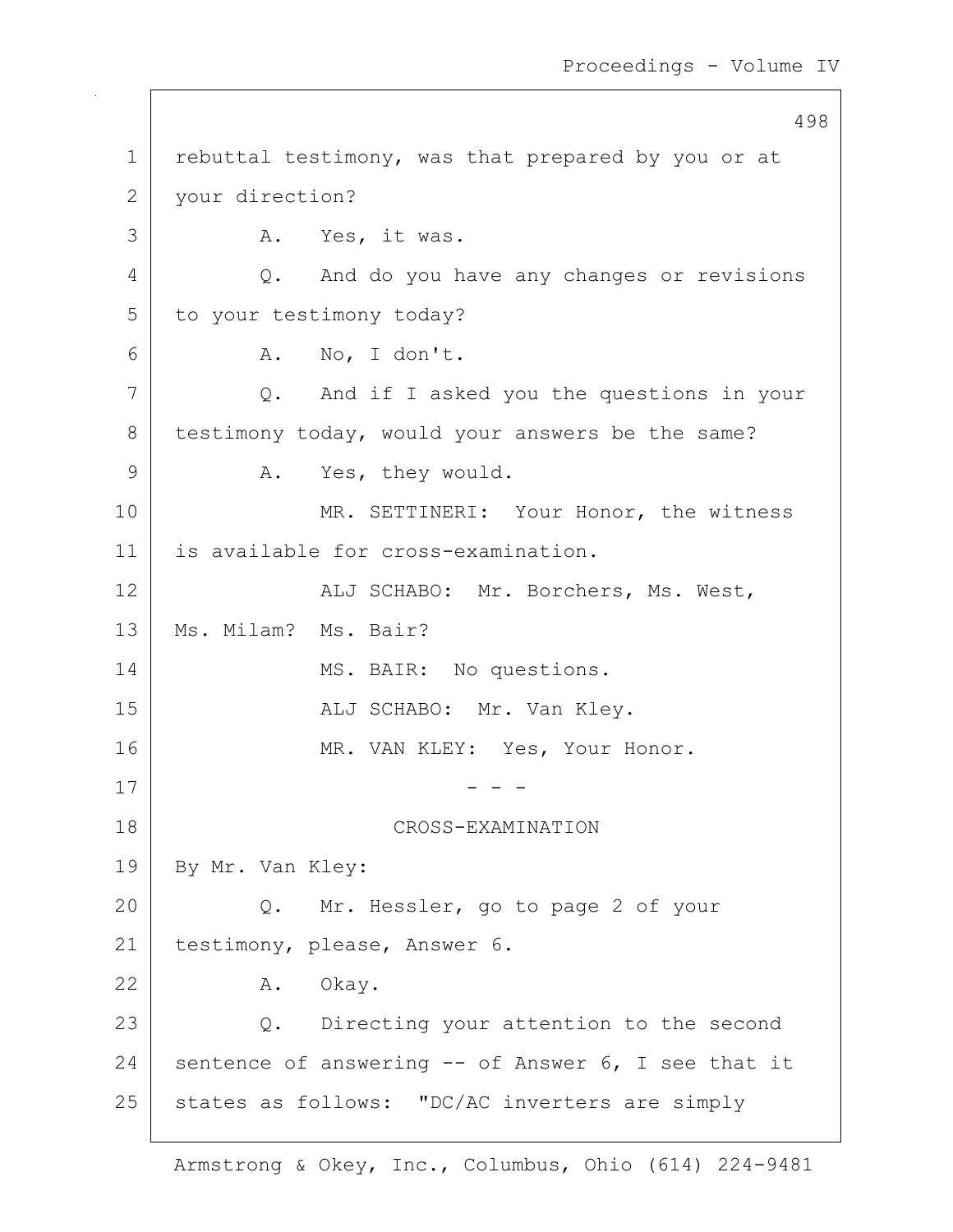498 1 rebuttal testimony, was that prepared by you or at 2 your direction? 3 A. Yes, it was. 4 Q. And do you have any changes or revisions 5 to your testimony today?  $6$  A. No, I don't. 7 Q. And if I asked you the questions in your 8 testimony today, would your answers be the same? 9 A. Yes, they would. 10 MR. SETTINERI: Your Honor, the witness 11 is available for cross-examination. 12 ALJ SCHABO: Mr. Borchers, Ms. West, 13 | Ms. Milam? Ms. Bair? 14 MS. BAIR: No questions. 15 | REGISTER ALJ SCHABO: Mr. Van Kley. 16 MR. VAN KLEY: Yes, Your Honor.  $17$   $-$  - -18 CROSS-EXAMINATION 19 | By Mr. Van Kley: 20 Q. Mr. Hessler, go to page 2 of your 21 | testimony, please, Answer 6. 22 A. Okay. 23 | Q. Directing your attention to the second 24 sentence of answering  $-$  of Answer 6, I see that it 25 states as follows: "DC/AC inverters are simply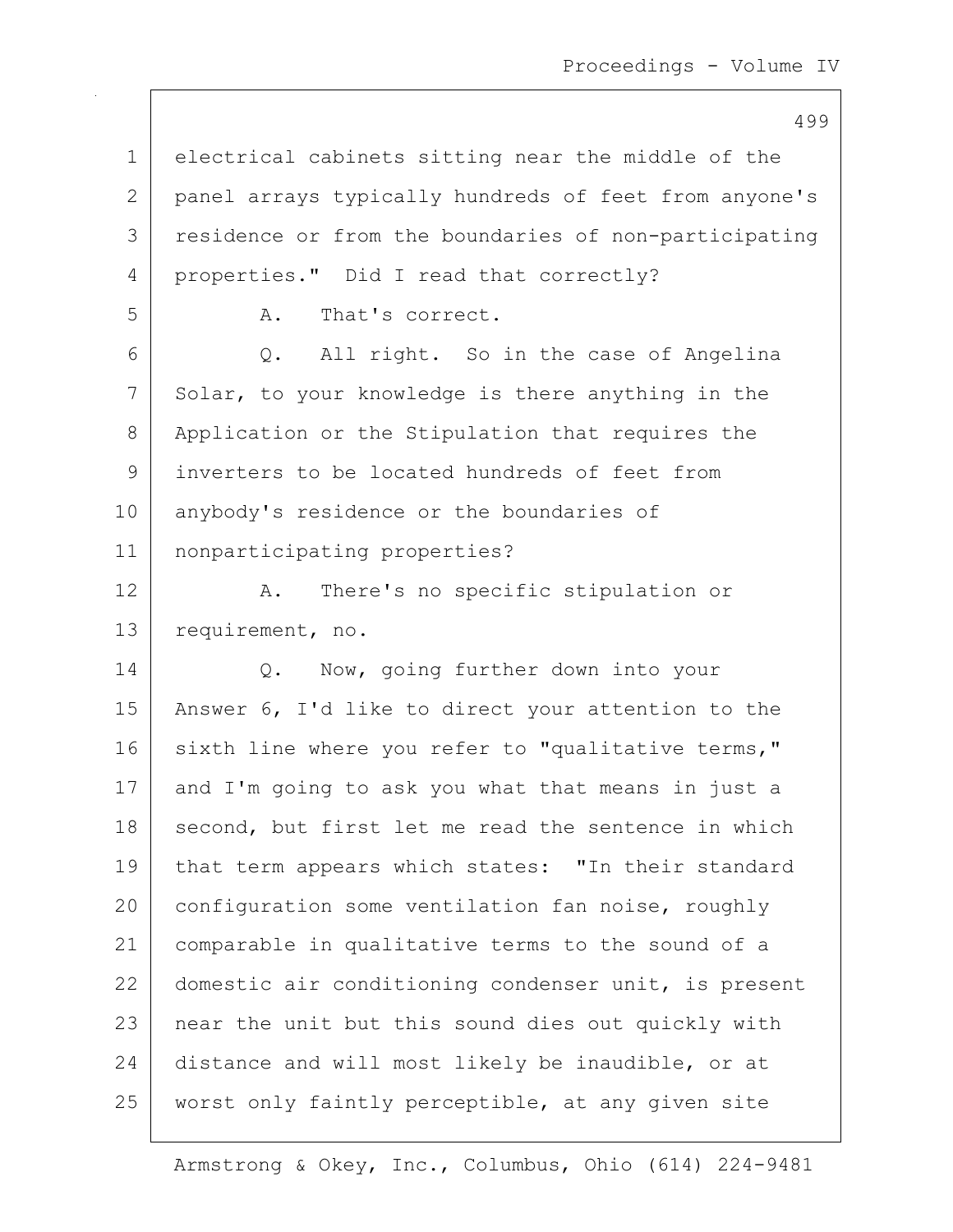499

1 electrical cabinets sitting near the middle of the 2 panel arrays typically hundreds of feet from anyone's 3 residence or from the boundaries of non-participating 4 properties." Did I read that correctly? 5 A. That's correct. 6 Q. All right. So in the case of Angelina 7 Solar, to your knowledge is there anything in the 8 Application or the Stipulation that requires the 9 inverters to be located hundreds of feet from 10 anybody's residence or the boundaries of 11 nonparticipating properties? 12 A. There's no specific stipulation or 13 requirement, no. 14 | Q. Now, going further down into your 15 Answer 6, I'd like to direct your attention to the 16 sixth line where you refer to "qualitative terms," 17 and I'm going to ask you what that means in just a 18 second, but first let me read the sentence in which 19 that term appears which states: "In their standard 20 configuration some ventilation fan noise, roughly 21 comparable in qualitative terms to the sound of a 22 domestic air conditioning condenser unit, is present 23 | near the unit but this sound dies out quickly with 24 distance and will most likely be inaudible, or at 25 | worst only faintly perceptible, at any given site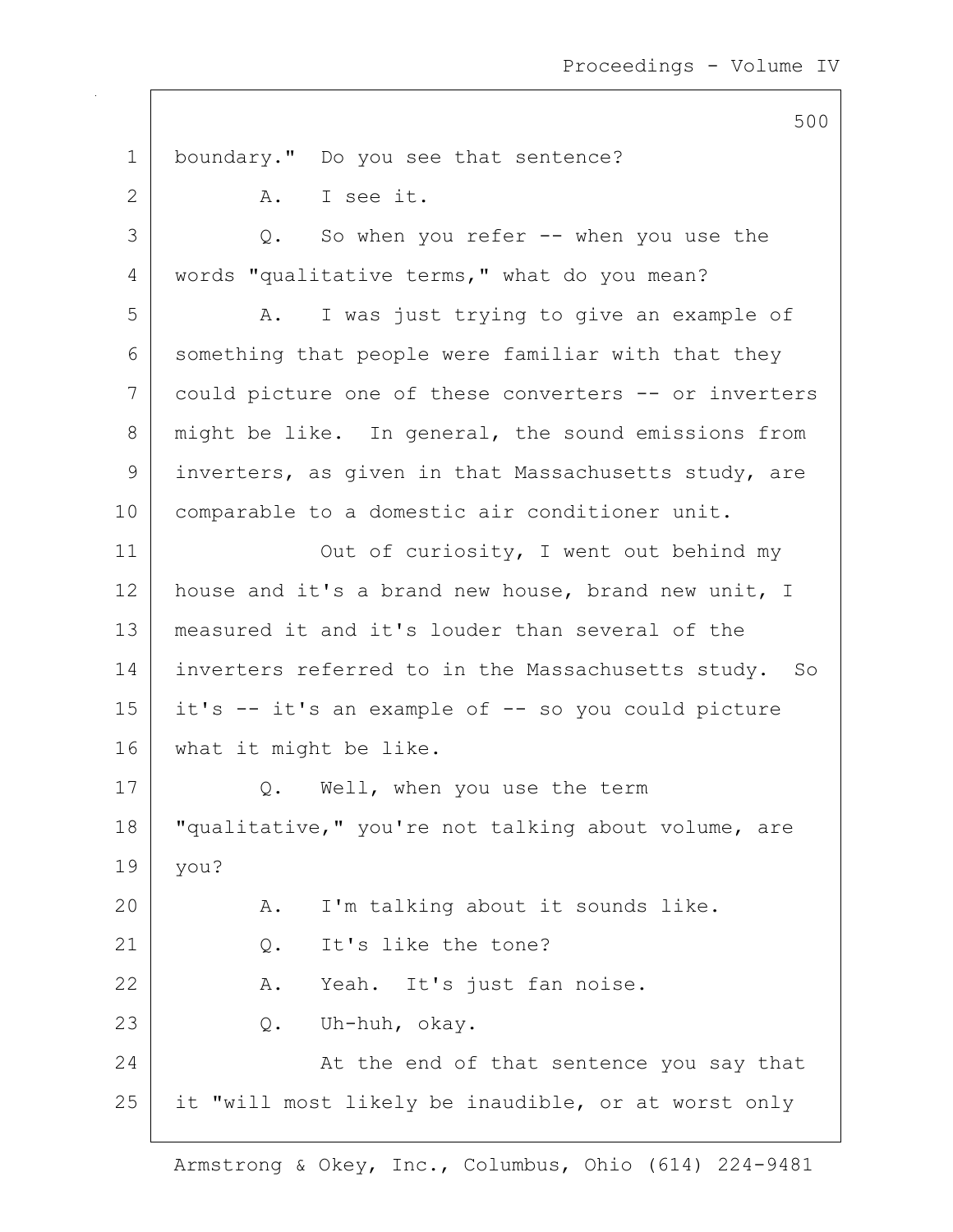500 1 boundary." Do you see that sentence? 2 A. I see it. 3 Q. So when you refer -- when you use the 4 words "qualitative terms," what do you mean? 5 A. I was just trying to give an example of  $6$  something that people were familiar with that they 7 could picture one of these converters -- or inverters 8 might be like. In general, the sound emissions from 9 inverters, as given in that Massachusetts study, are 10 | comparable to a domestic air conditioner unit. 11 | Out of curiosity, I went out behind my 12 house and it's a brand new house, brand new unit, I 13 measured it and it's louder than several of the 14 inverters referred to in the Massachusetts study. So  $15$  it's  $-$  it's an example of  $-$  so you could picture 16 what it might be like. 17 Q. Well, when you use the term 18 | "qualitative," you're not talking about volume, are 19 you? 20 A. I'm talking about it sounds like. 21 Q. It's like the tone? 22 | A. Yeah. It's just fan noise. 23 Q. Uh-huh, okay. 24 At the end of that sentence you say that 25 it "will most likely be inaudible, or at worst only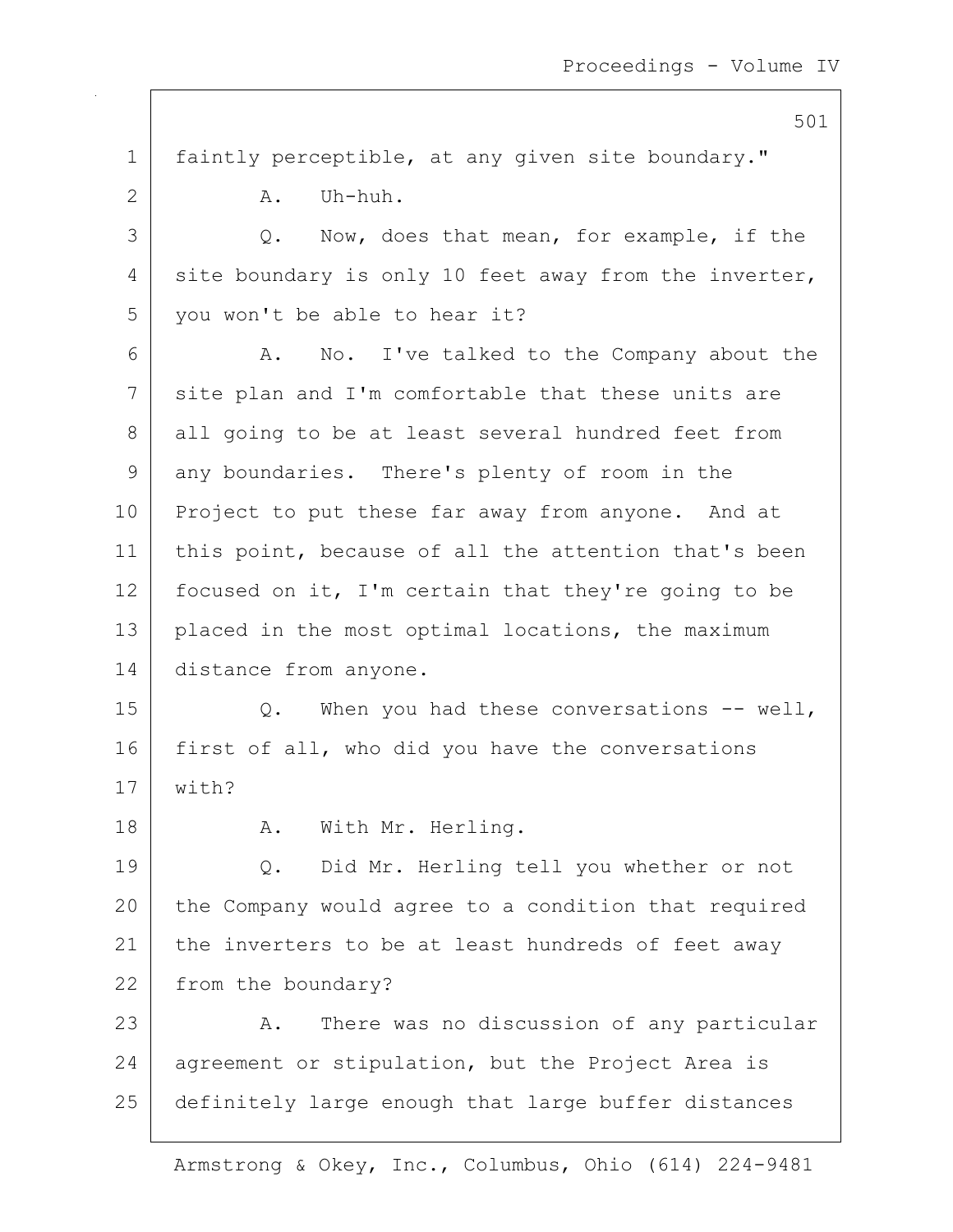501 1 faintly perceptible, at any given site boundary."  $2$   $A.$  Uh-huh. 3 Q. Now, does that mean, for example, if the  $4$  site boundary is only 10 feet away from the inverter, 5 you won't be able to hear it? 6 A. No. I've talked to the Company about the 7 site plan and I'm comfortable that these units are 8 all going to be at least several hundred feet from 9 any boundaries. There's plenty of room in the 10 Project to put these far away from anyone. And at 11 | this point, because of all the attention that's been 12 focused on it, I'm certain that they're going to be 13 placed in the most optimal locations, the maximum 14 distance from anyone. 15 | Q. When you had these conversations -- well, 16 first of all, who did you have the conversations 17 with? 18 | A. With Mr. Herling. 19 Q. Did Mr. Herling tell you whether or not 20 the Company would agree to a condition that required 21 | the inverters to be at least hundreds of feet away 22 from the boundary? 23 A. There was no discussion of any particular 24 agreement or stipulation, but the Project Area is 25 definitely large enough that large buffer distances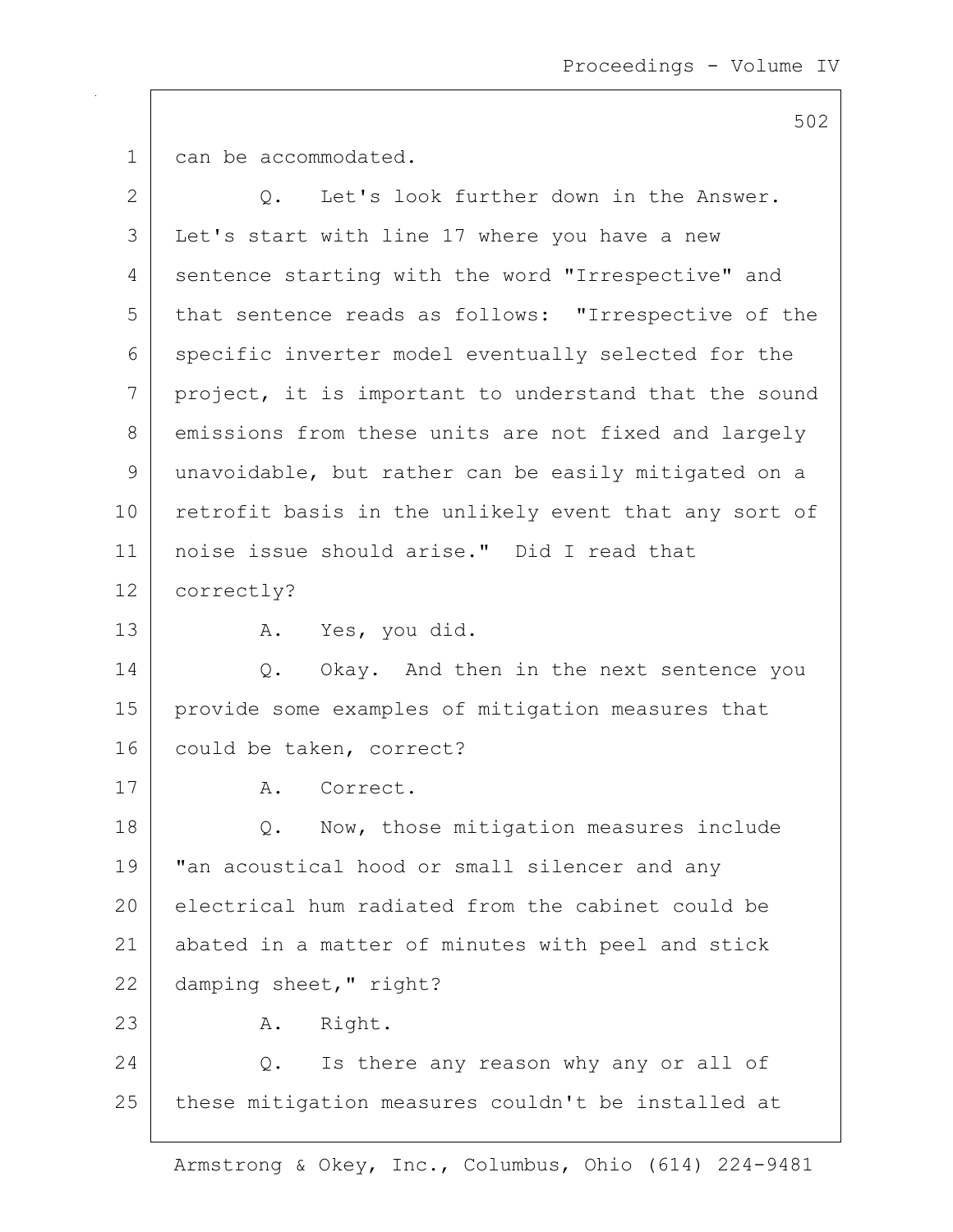1 can be accommodated.

 $\overline{\phantom{a}}$ 

| $\overline{2}$ | Let's look further down in the Answer.<br>Q.          |
|----------------|-------------------------------------------------------|
| 3              | Let's start with line 17 where you have a new         |
| 4              | sentence starting with the word "Irrespective" and    |
| 5              | that sentence reads as follows: "Irrespective of the  |
| 6              | specific inverter model eventually selected for the   |
| 7              | project, it is important to understand that the sound |
| 8              | emissions from these units are not fixed and largely  |
| 9              | unavoidable, but rather can be easily mitigated on a  |
| 10             | retrofit basis in the unlikely event that any sort of |
| 11             | noise issue should arise." Did I read that            |
| 12             | correctly?                                            |
| 13             | A. Yes, you did.                                      |
| 14             | Q. Okay. And then in the next sentence you            |
| 15             | provide some examples of mitigation measures that     |
| 16             | could be taken, correct?                              |
| 17             | Correct.<br>Α.                                        |
| 18             | Now, those mitigation measures include<br>Q.          |
| 19             | "an acoustical hood or small silencer and any         |
| 20             | electrical hum radiated from the cabinet could be     |
| 21             | abated in a matter of minutes with peel and stick     |
| 22             | damping sheet, " right?                               |
| 23             | Right.<br>Α.                                          |
| 24             | Is there any reason why any or all of<br>Q.           |
| 25             | these mitigation measures couldn't be installed at    |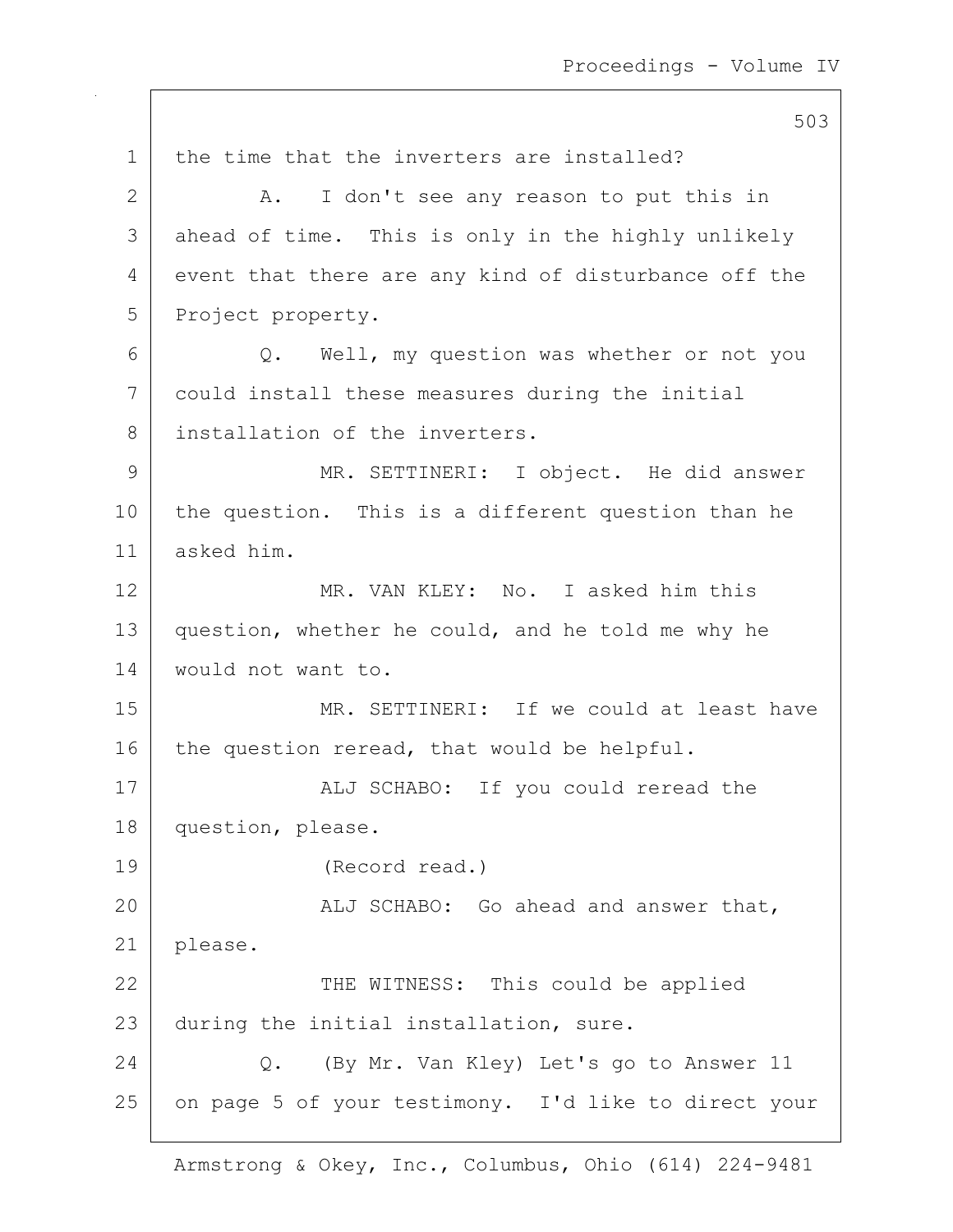503 1 the time that the inverters are installed? 2 A. I don't see any reason to put this in 3 ahead of time. This is only in the highly unlikely 4 event that there are any kind of disturbance off the 5 Project property. 6 Q. Well, my question was whether or not you 7 could install these measures during the initial 8 installation of the inverters. 9 MR. SETTINERI: I object. He did answer 10 the question. This is a different question than he 11 asked him. 12 MR. VAN KLEY: No. I asked him this 13 question, whether he could, and he told me why he 14 would not want to. 15 MR. SETTINERI: If we could at least have  $16$  the question reread, that would be helpful. 17 | ALJ SCHABO: If you could reread the 18 question, please. 19 (Record read.) 20 | ALJ SCHABO: Go ahead and answer that, 21 | please. 22 THE WITNESS: This could be applied 23 during the initial installation, sure. 24 Q. (By Mr. Van Kley) Let's go to Answer 11 25 on page 5 of your testimony. I'd like to direct your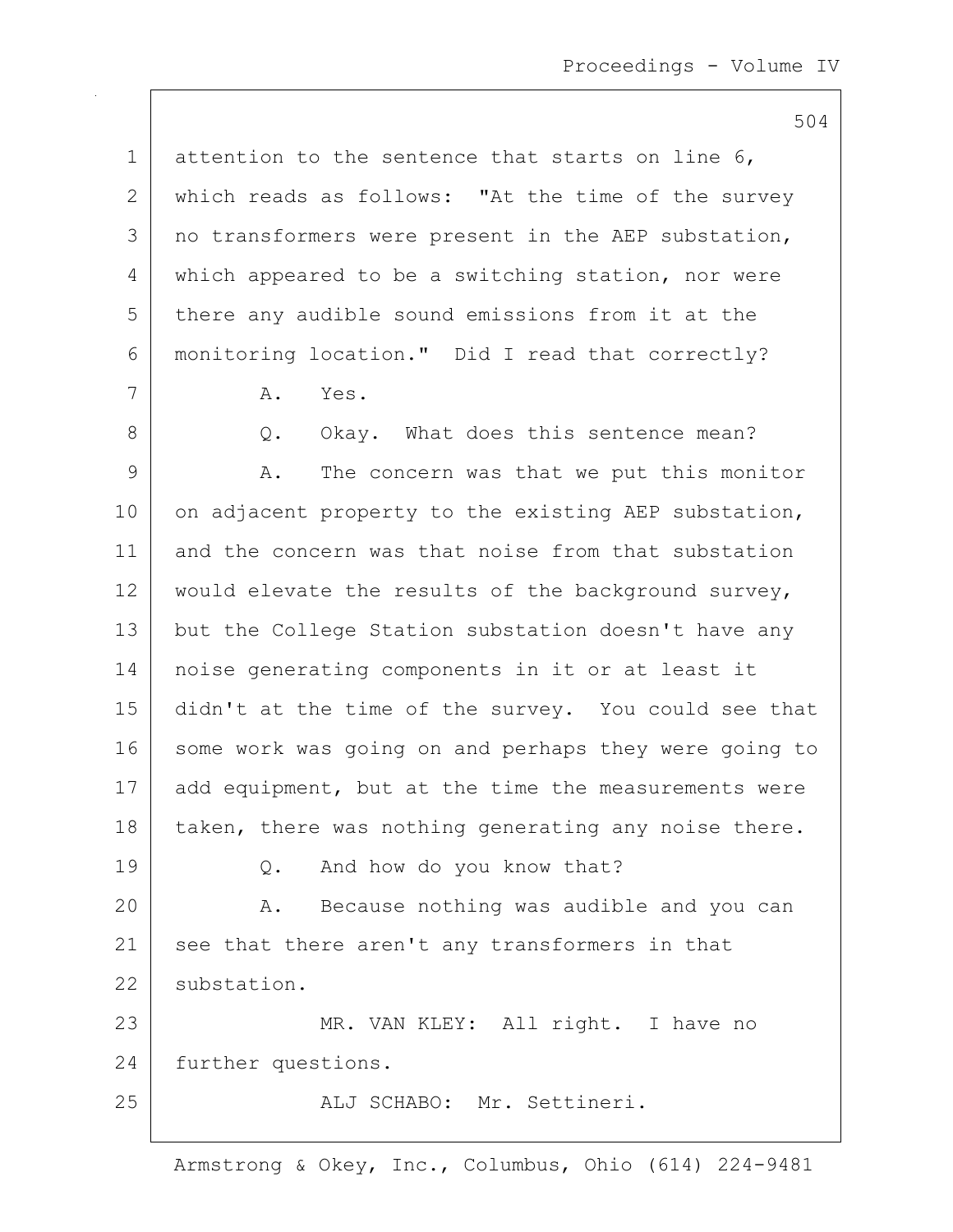504 1 attention to the sentence that starts on line  $6$ , 2 which reads as follows: "At the time of the survey 3 | no transformers were present in the AEP substation, 4 which appeared to be a switching station, nor were 5 there any audible sound emissions from it at the 6 monitoring location." Did I read that correctly? 7 A. Yes. 8 Q. Okay. What does this sentence mean? 9 A. The concern was that we put this monitor 10 on adjacent property to the existing AEP substation, 11 and the concern was that noise from that substation 12 would elevate the results of the background survey, 13 | but the College Station substation doesn't have any 14 noise generating components in it or at least it 15 didn't at the time of the survey. You could see that 16 some work was going on and perhaps they were going to 17 add equipment, but at the time the measurements were  $18$  taken, there was nothing generating any noise there. 19 Q. And how do you know that? 20 A. Because nothing was audible and you can 21 see that there aren't any transformers in that 22 substation. 23 | MR. VAN KLEY: All right. I have no 24 further questions. 25 aLJ SCHABO: Mr. Settineri.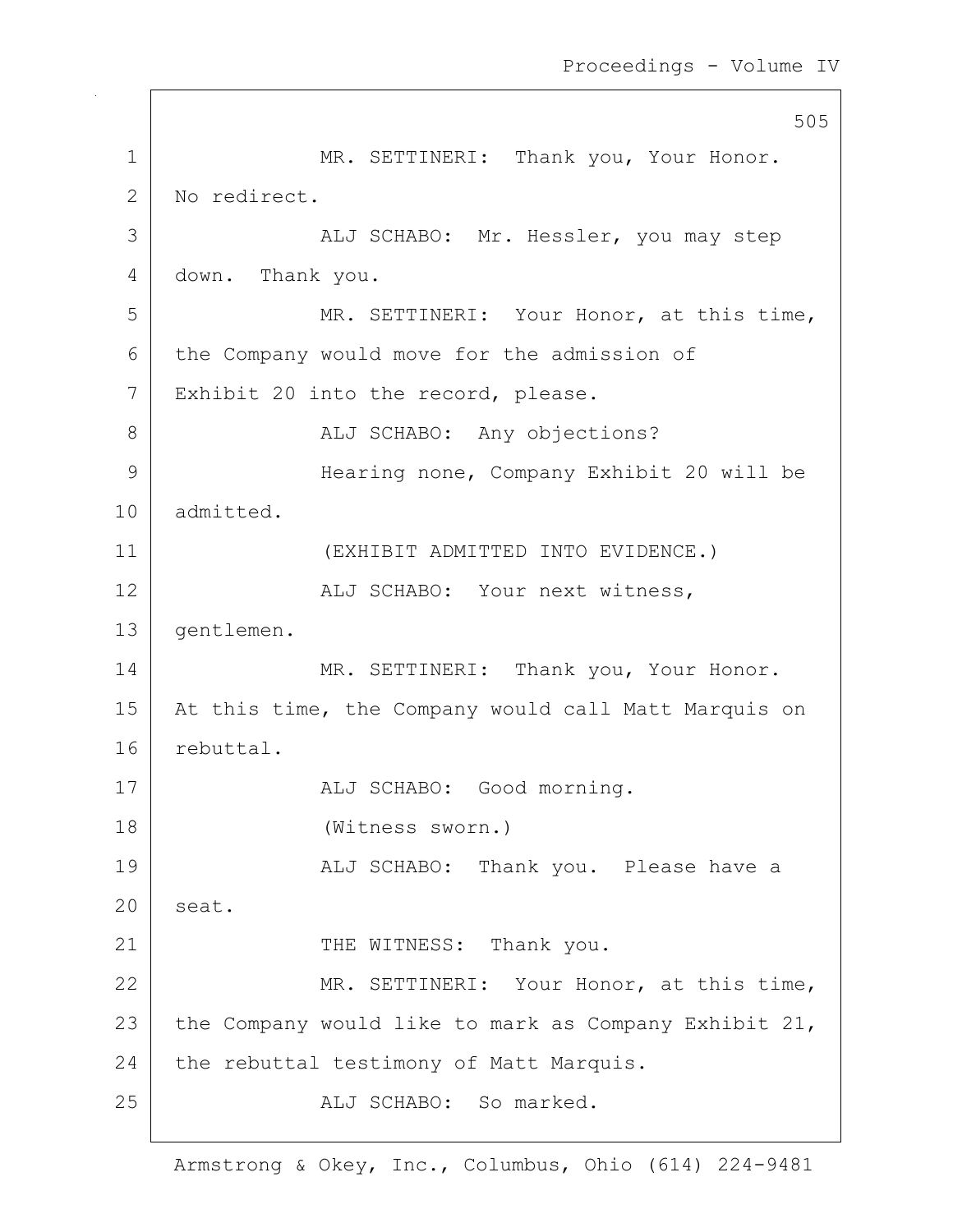505 1 MR. SETTINERI: Thank you, Your Honor. 2 No redirect. 3 ALJ SCHABO: Mr. Hessler, you may step 4 down. Thank you. 5 MR. SETTINERI: Your Honor, at this time, 6 the Company would move for the admission of 7 | Exhibit 20 into the record, please. 8 | ALJ SCHABO: Any objections? 9 Hearing none, Company Exhibit 20 will be 10 admitted. 11 (EXHIBIT ADMITTED INTO EVIDENCE.) 12 | ALJ SCHABO: Your next witness, 13 gentlemen. 14 MR. SETTINERI: Thank you, Your Honor. 15 | At this time, the Company would call Matt Marquis on 16 rebuttal. 17 | ALJ SCHABO: Good morning. 18 (Witness sworn.) 19 ALJ SCHABO: Thank you. Please have a 20 seat. 21 THE WITNESS: Thank you. 22 MR. SETTINERI: Your Honor, at this time, 23 the Company would like to mark as Company Exhibit 21,  $24$  the rebuttal testimony of Matt Marquis. 25 ALJ SCHABO: So marked.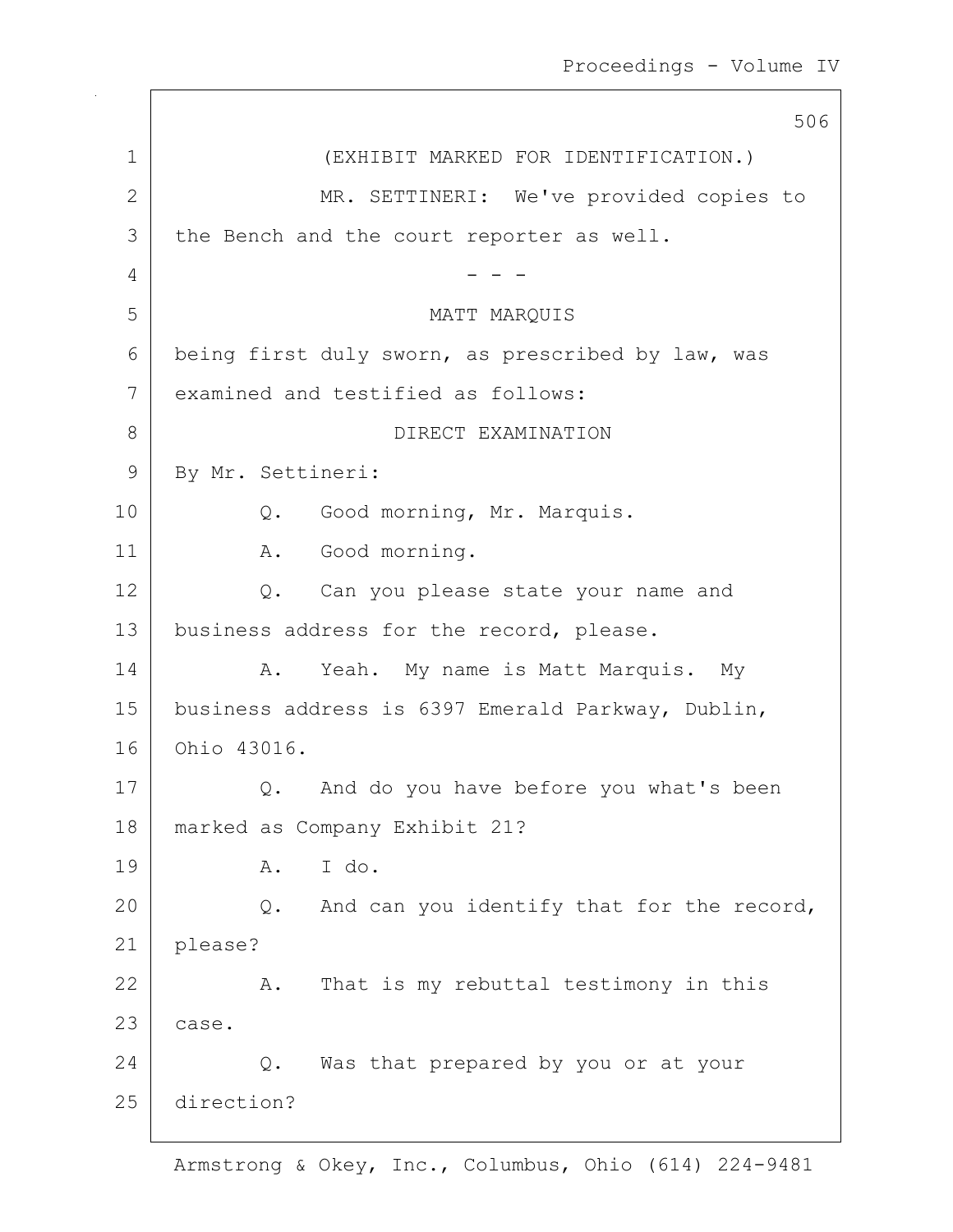|              | 506                                               |
|--------------|---------------------------------------------------|
| 1            | (EXHIBIT MARKED FOR IDENTIFICATION.)              |
| $\mathbf{2}$ | MR. SETTINERI: We've provided copies to           |
| 3            | the Bench and the court reporter as well.         |
| 4            |                                                   |
| 5            | MATT MARQUIS                                      |
| 6            | being first duly sworn, as prescribed by law, was |
| 7            | examined and testified as follows:                |
| $8\,$        | DIRECT EXAMINATION                                |
| 9            | By Mr. Settineri:                                 |
| 10           | Q. Good morning, Mr. Marquis.                     |
| 11           | A. Good morning.                                  |
| 12           | Can you please state your name and<br>Q.          |
| 13           | business address for the record, please.          |
| 14           | Yeah. My name is Matt Marquis. My<br>Α.           |
| 15           | business address is 6397 Emerald Parkway, Dublin, |
| 16           | Ohio 43016.                                       |
| 17           | And do you have before you what's been<br>$Q$ .   |
| 18           | marked as Company Exhibit 21?                     |
| 19           | I do.<br>Α.                                       |
| 20           | And can you identify that for the record,<br>Q.   |
| 21           | please?                                           |
| 22           | That is my rebuttal testimony in this<br>Α.       |
| 23           | case.                                             |
| 24           | Was that prepared by you or at your<br>Q.         |
| 25           | direction?                                        |
|              |                                                   |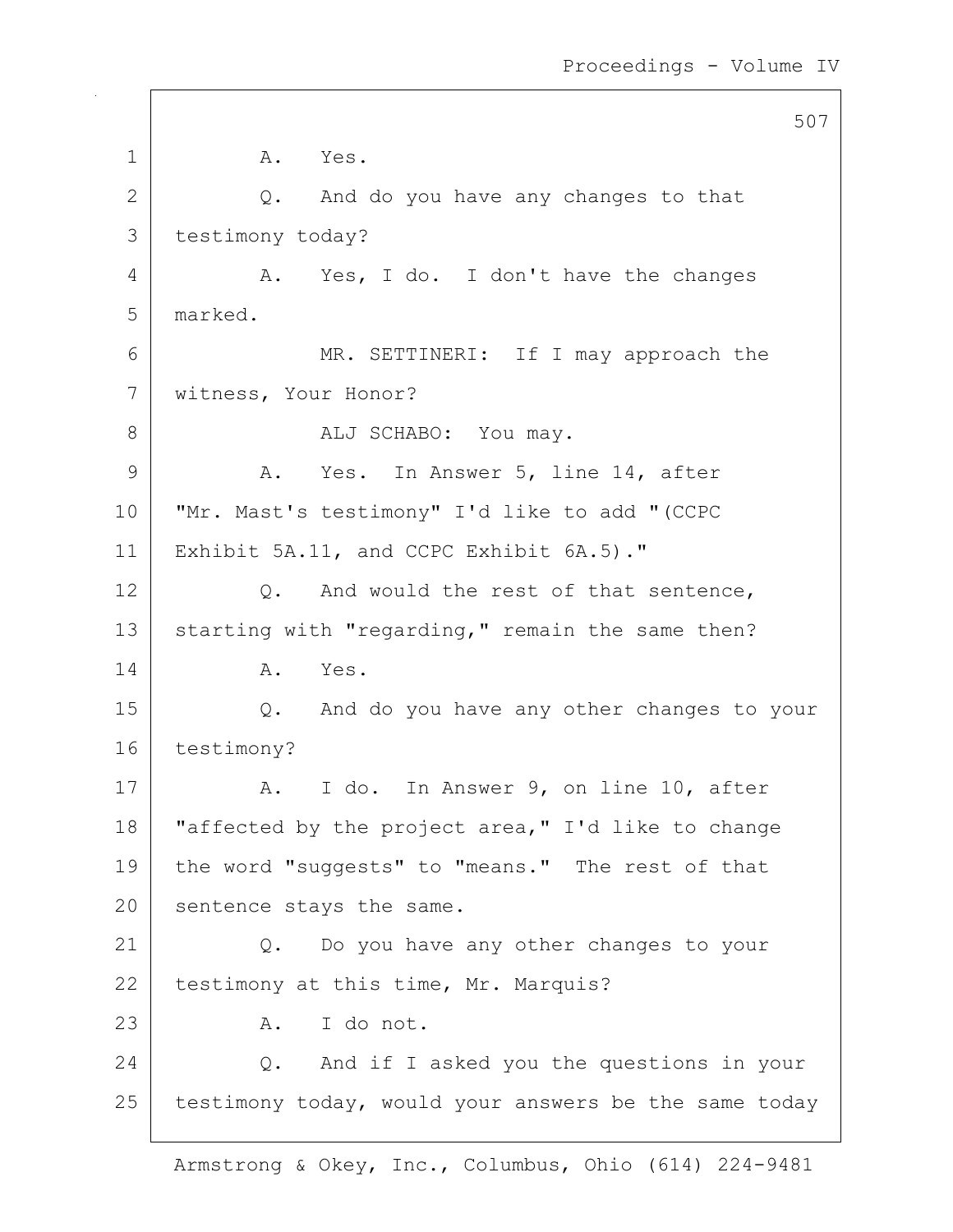507 1 A. Yes.  $2$  Q. And do you have any changes to that 3 testimony today? 4 A. Yes, I do. I don't have the changes 5 marked. 6 MR. SETTINERI: If I may approach the 7 witness, Your Honor? 8 ALJ SCHABO: You may. 9 A. Yes. In Answer 5, line 14, after 10 "Mr. Mast's testimony" I'd like to add "(CCPC 11 | Exhibit 5A.11, and CCPC Exhibit 6A.5)." 12 Q. And would the rest of that sentence, 13 starting with "regarding," remain the same then? 14 A. Yes. 15 Q. And do you have any other changes to your 16 testimony? 17 | A. I do. In Answer 9, on line 10, after 18 | "affected by the project area," I'd like to change 19 the word "suggests" to "means." The rest of that 20 sentence stays the same. 21 Q. Do you have any other changes to your 22 testimony at this time, Mr. Marquis? 23 A. I do not. 24 Q. And if I asked you the questions in your  $25$  testimony today, would your answers be the same today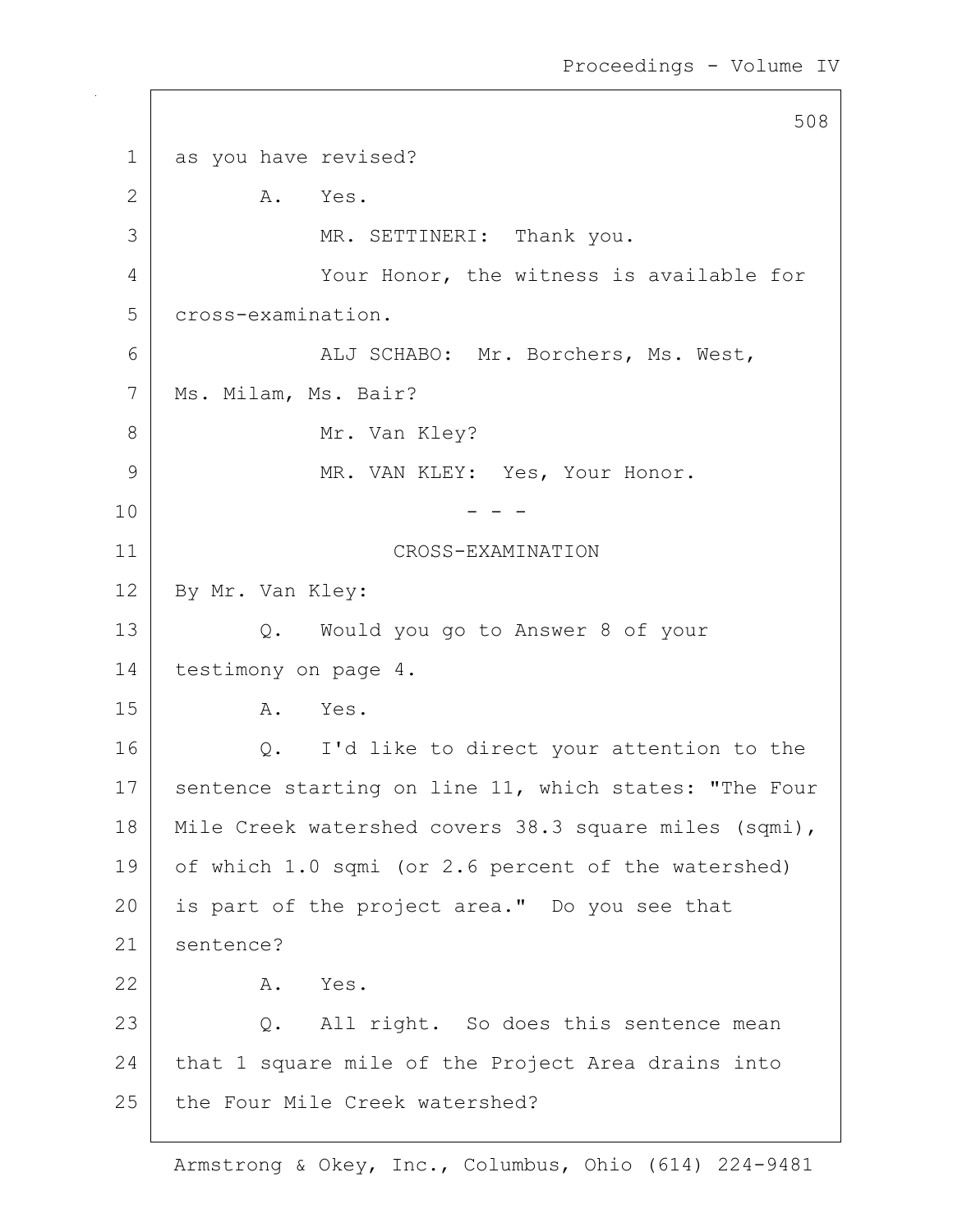508 1 as you have revised? 2 A. Yes. 3 | MR. SETTINERI: Thank you. 4 Your Honor, the witness is available for 5 cross-examination. 6 ALJ SCHABO: Mr. Borchers, Ms. West, 7 | Ms. Milam, Ms. Bair? 8 Mr. Van Kley? 9 MR. VAN KLEY: Yes, Your Honor.  $10$  - - -11 CROSS-EXAMINATION 12 By Mr. Van Kley: 13 Q. Would you go to Answer 8 of your 14 | testimony on page 4. 15 A. Yes. 16 | Q. I'd like to direct your attention to the 17 | sentence starting on line 11, which states: "The Four 18 Mile Creek watershed covers 38.3 square miles (sqmi), 19 of which 1.0 sqmi (or 2.6 percent of the watershed) 20 | is part of the project area." Do you see that 21 sentence? 22 A. Yes. 23 Q. All right. So does this sentence mean 24 that 1 square mile of the Project Area drains into 25 the Four Mile Creek watershed?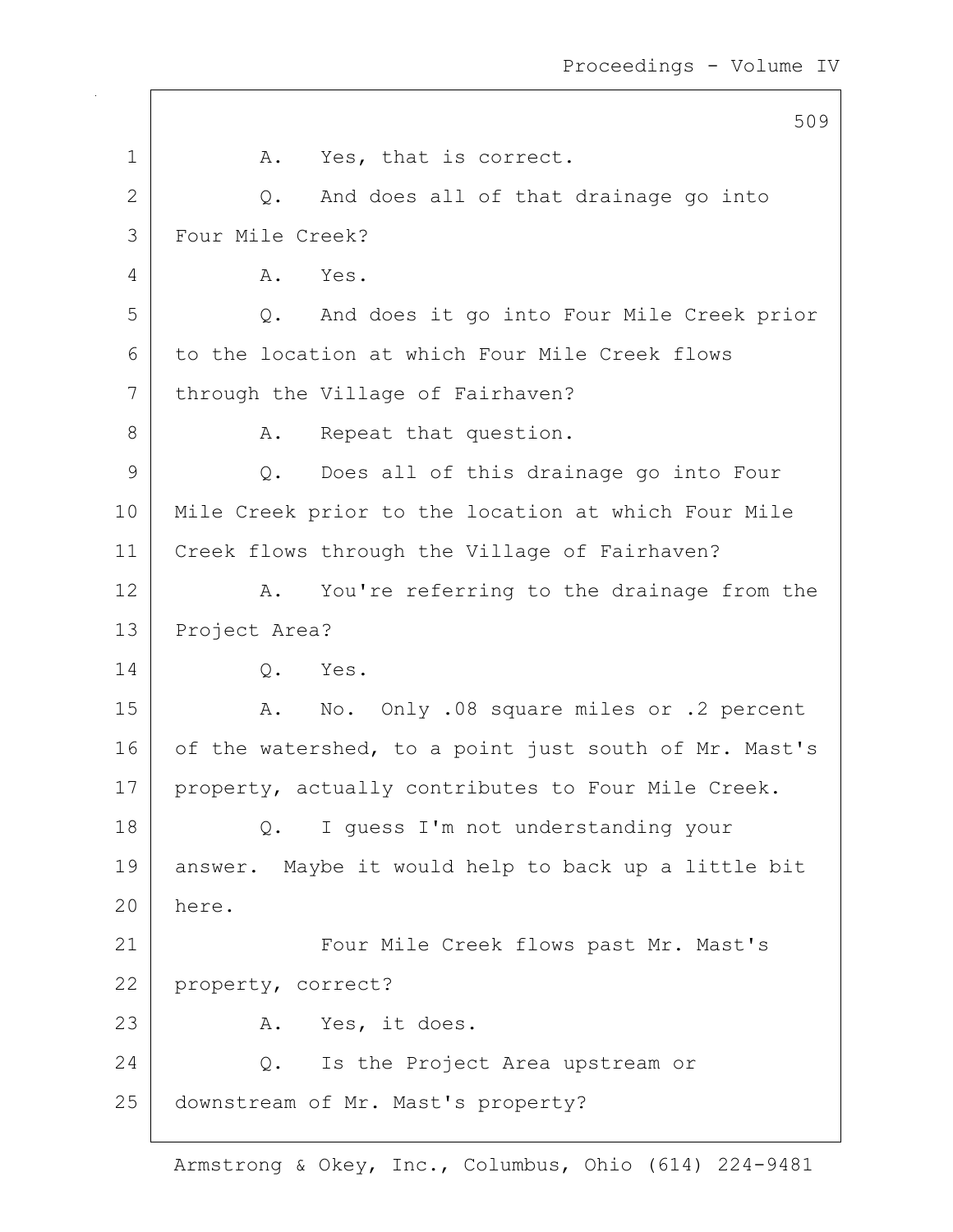|              | 509                                                   |
|--------------|-------------------------------------------------------|
| $\mathbf 1$  | Yes, that is correct.<br>A.                           |
| $\mathbf{2}$ | And does all of that drainage go into<br>Q.           |
| 3            | Four Mile Creek?                                      |
| 4            | Α.<br>Yes.                                            |
| 5            | And does it go into Four Mile Creek prior<br>Q.       |
| 6            | to the location at which Four Mile Creek flows        |
| 7            | through the Village of Fairhaven?                     |
| 8            | Repeat that question.<br>Α.                           |
| 9            | Does all of this drainage go into Four<br>$Q$ .       |
| 10           | Mile Creek prior to the location at which Four Mile   |
| 11           | Creek flows through the Village of Fairhaven?         |
| 12           | You're referring to the drainage from the<br>Α.       |
| 13           | Project Area?                                         |
| 14           | $Q$ .<br>Yes.                                         |
| 15           | No. Only .08 square miles or .2 percent<br>A.         |
| 16           | of the watershed, to a point just south of Mr. Mast's |
| 17           | property, actually contributes to Four Mile Creek.    |
| 18           | I guess I'm not understanding your<br>Q.              |
| 19           | answer. Maybe it would help to back up a little bit   |
| 20           | here.                                                 |
| 21           | Four Mile Creek flows past Mr. Mast's                 |
| 22           | property, correct?                                    |
| 23           | Yes, it does.<br>Α.                                   |
| 24           | Is the Project Area upstream or<br>$Q$ .              |
| 25           | downstream of Mr. Mast's property?                    |
|              |                                                       |

 $\mathsf{I}$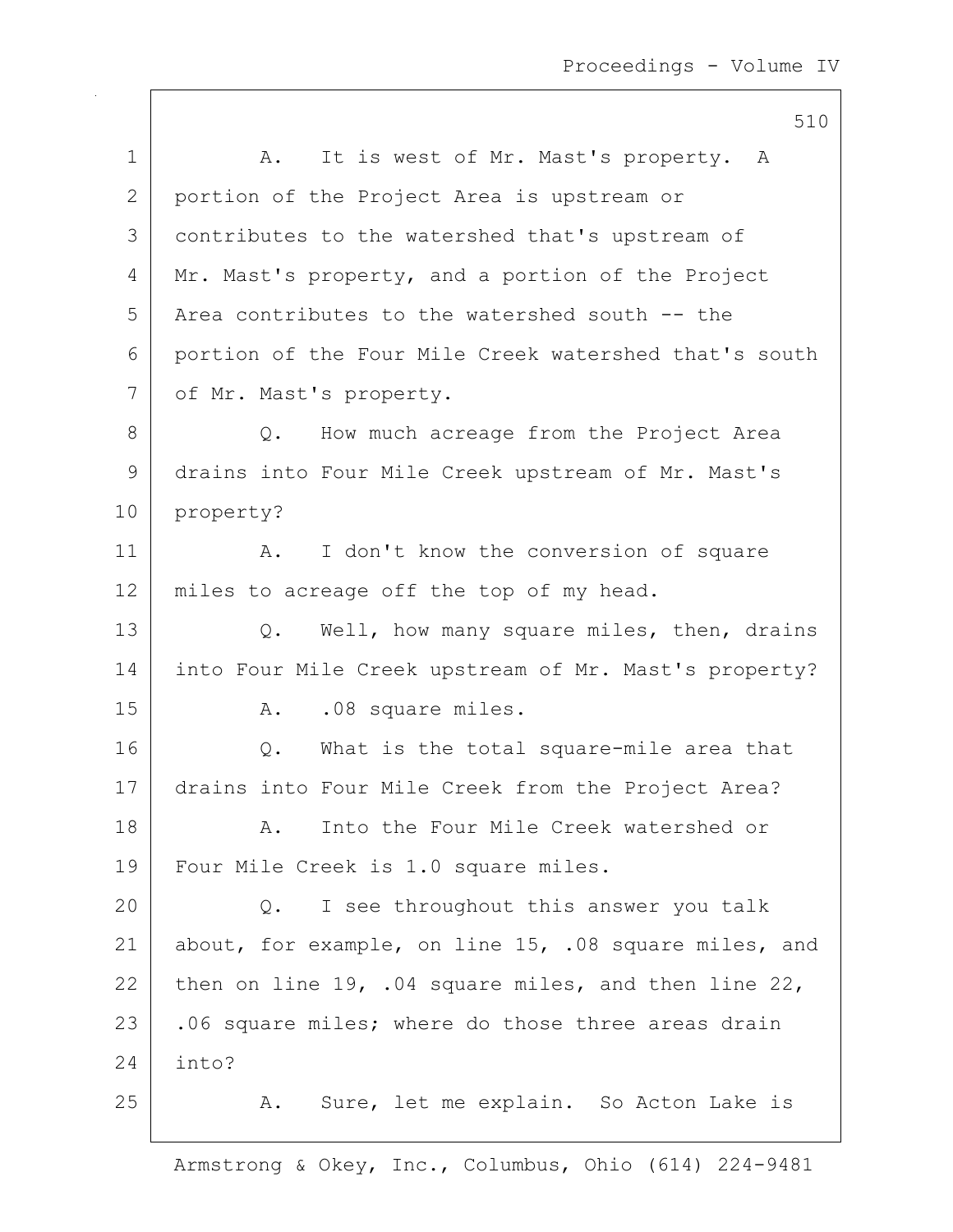|    | 510                                                        |
|----|------------------------------------------------------------|
| 1  | It is west of Mr. Mast's property. A<br>Α.                 |
| 2  | portion of the Project Area is upstream or                 |
| 3  | contributes to the watershed that's upstream of            |
| 4  | Mr. Mast's property, and a portion of the Project          |
| 5  | Area contributes to the watershed south -- the             |
| 6  | portion of the Four Mile Creek watershed that's south      |
| 7  | of Mr. Mast's property.                                    |
| 8  | How much acreage from the Project Area<br>Q.               |
| 9  | drains into Four Mile Creek upstream of Mr. Mast's         |
| 10 | property?                                                  |
| 11 | I don't know the conversion of square<br>Α.                |
| 12 | miles to acreage off the top of my head.                   |
| 13 | Well, how many square miles, then, drains<br>Q.            |
| 14 | into Four Mile Creek upstream of Mr. Mast's property?      |
| 15 | .08 square miles.<br>Α.                                    |
| 16 | What is the total square-mile area that<br>Q.              |
| 17 | drains into Four Mile Creek from the Project Area?         |
| 18 | Into the Four Mile Creek watershed or<br>Α.                |
| 19 | Four Mile Creek is 1.0 square miles.                       |
| 20 | I see throughout this answer you talk<br>$Q$ .             |
| 21 | about, for example, on line 15, .08 square miles, and      |
| 22 | then on line $19$ , .04 square miles, and then line $22$ , |
| 23 | .06 square miles; where do those three areas drain         |
| 24 | into?                                                      |
| 25 | Sure, let me explain. So Acton Lake is<br>A.               |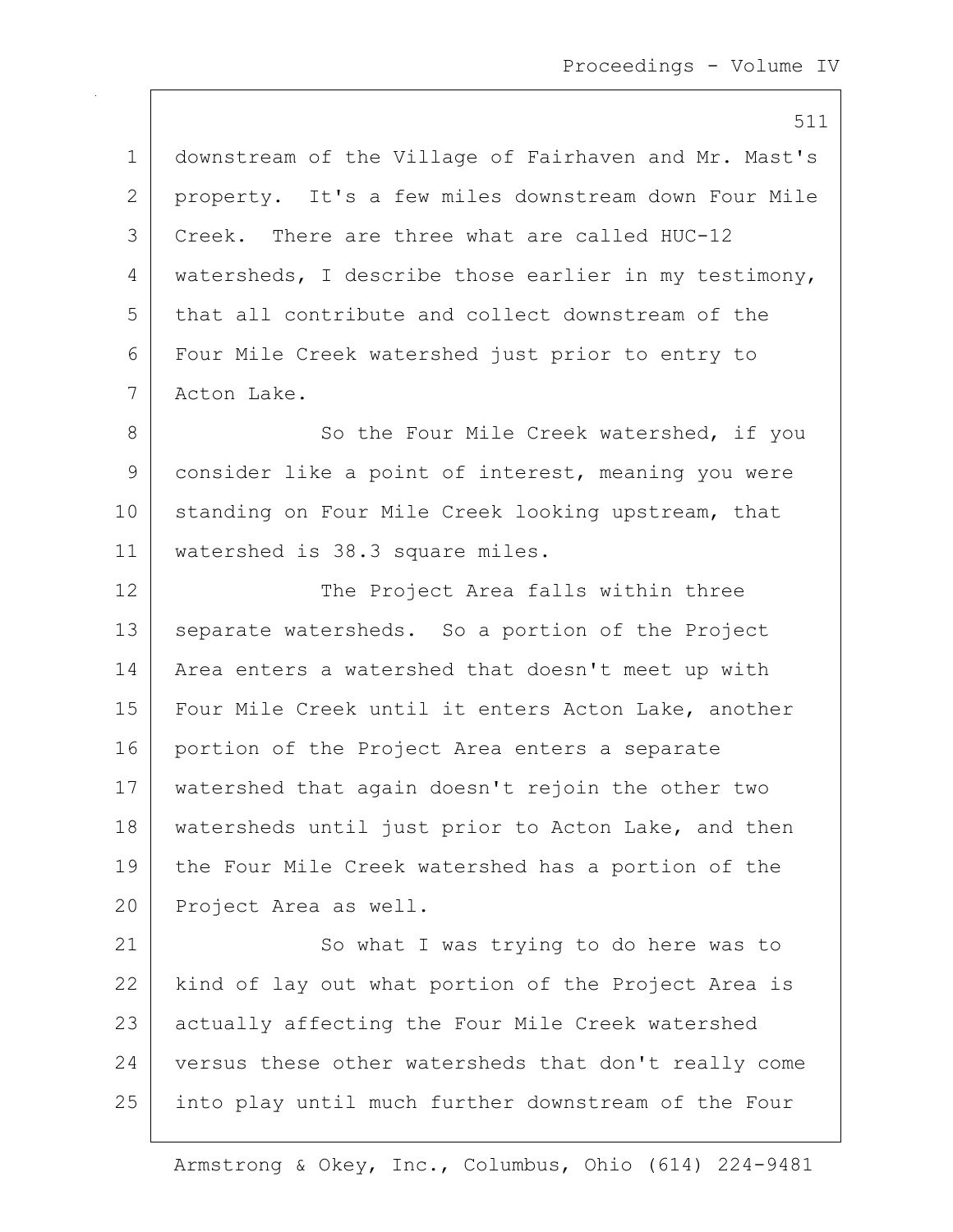511 1 downstream of the Village of Fairhaven and Mr. Mast's 2 property. It's a few miles downstream down Four Mile 3 Creek. There are three what are called HUC-12 4 | watersheds, I describe those earlier in my testimony, 5 that all contribute and collect downstream of the 6 Four Mile Creek watershed just prior to entry to 7 Acton Lake. 8 So the Four Mile Creek watershed, if you 9 consider like a point of interest, meaning you were 10 standing on Four Mile Creek looking upstream, that 11 watershed is 38.3 square miles. 12 | The Project Area falls within three 13 separate watersheds. So a portion of the Project 14 Area enters a watershed that doesn't meet up with 15 Four Mile Creek until it enters Acton Lake, another 16 portion of the Project Area enters a separate 17 watershed that again doesn't rejoin the other two 18 | watersheds until just prior to Acton Lake, and then 19 the Four Mile Creek watershed has a portion of the 20 Project Area as well. 21 So what I was trying to do here was to 22 | kind of lay out what portion of the Project Area is 23 actually affecting the Four Mile Creek watershed 24 versus these other watersheds that don't really come 25 into play until much further downstream of the Four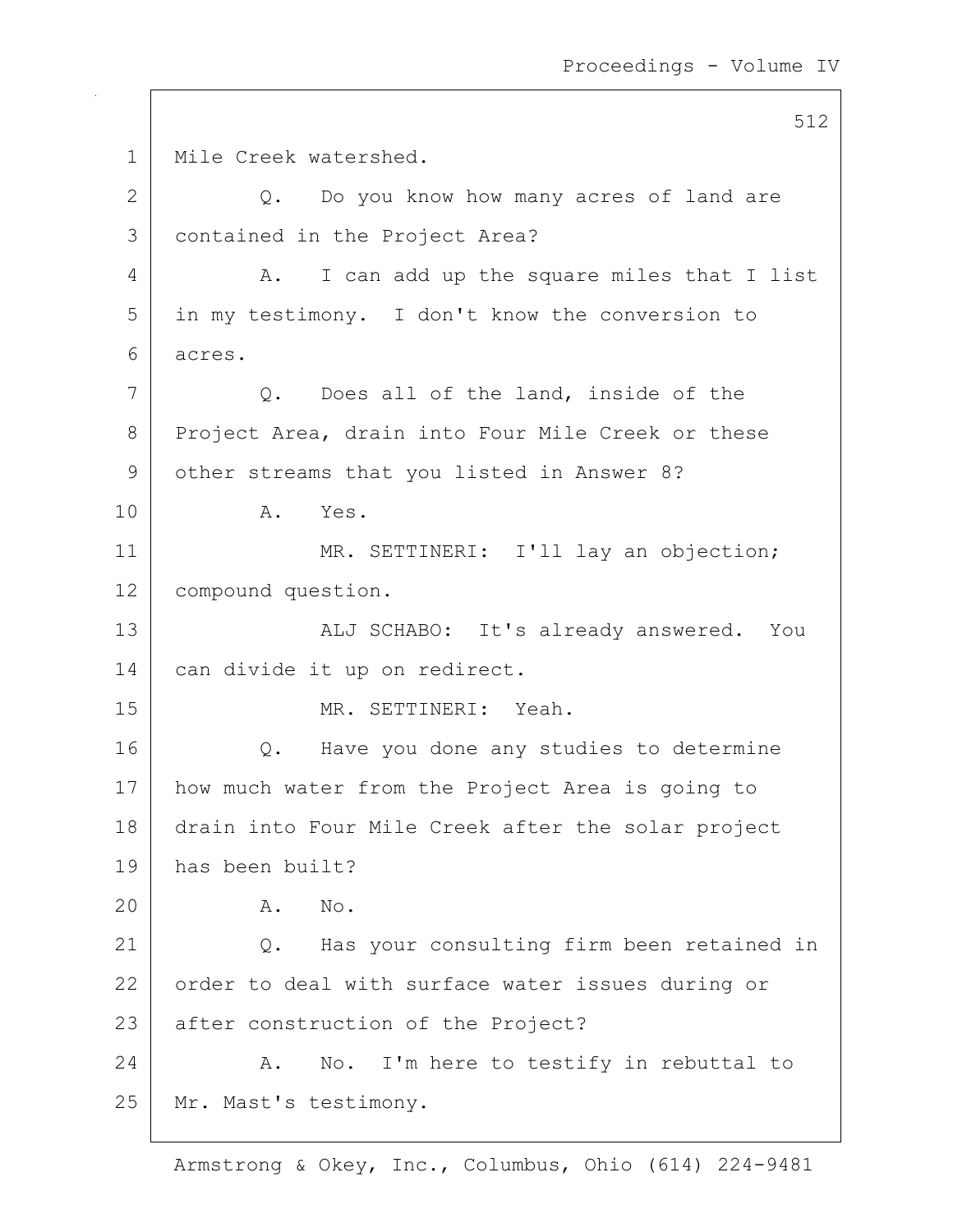512 1 | Mile Creek watershed.  $2$  Q. Do you know how many acres of land are 3 contained in the Project Area? 4 A. I can add up the square miles that I list 5 in my testimony. I don't know the conversion to 6 acres. 7 Q. Does all of the land, inside of the 8 Project Area, drain into Four Mile Creek or these 9 other streams that you listed in Answer 8? 10 A. Yes. 11 | MR. SETTINERI: I'll lay an objection; 12 | compound question. 13 | ALJ SCHABO: It's already answered. You 14 can divide it up on redirect. 15 MR. SETTINERI: Yeah. 16 | Q. Have you done any studies to determine 17 how much water from the Project Area is going to 18 drain into Four Mile Creek after the solar project 19 has been built? 20 A. No. 21 Q. Has your consulting firm been retained in 22 order to deal with surface water issues during or 23 after construction of the Project? 24 | A. No. I'm here to testify in rebuttal to 25 | Mr. Mast's testimony.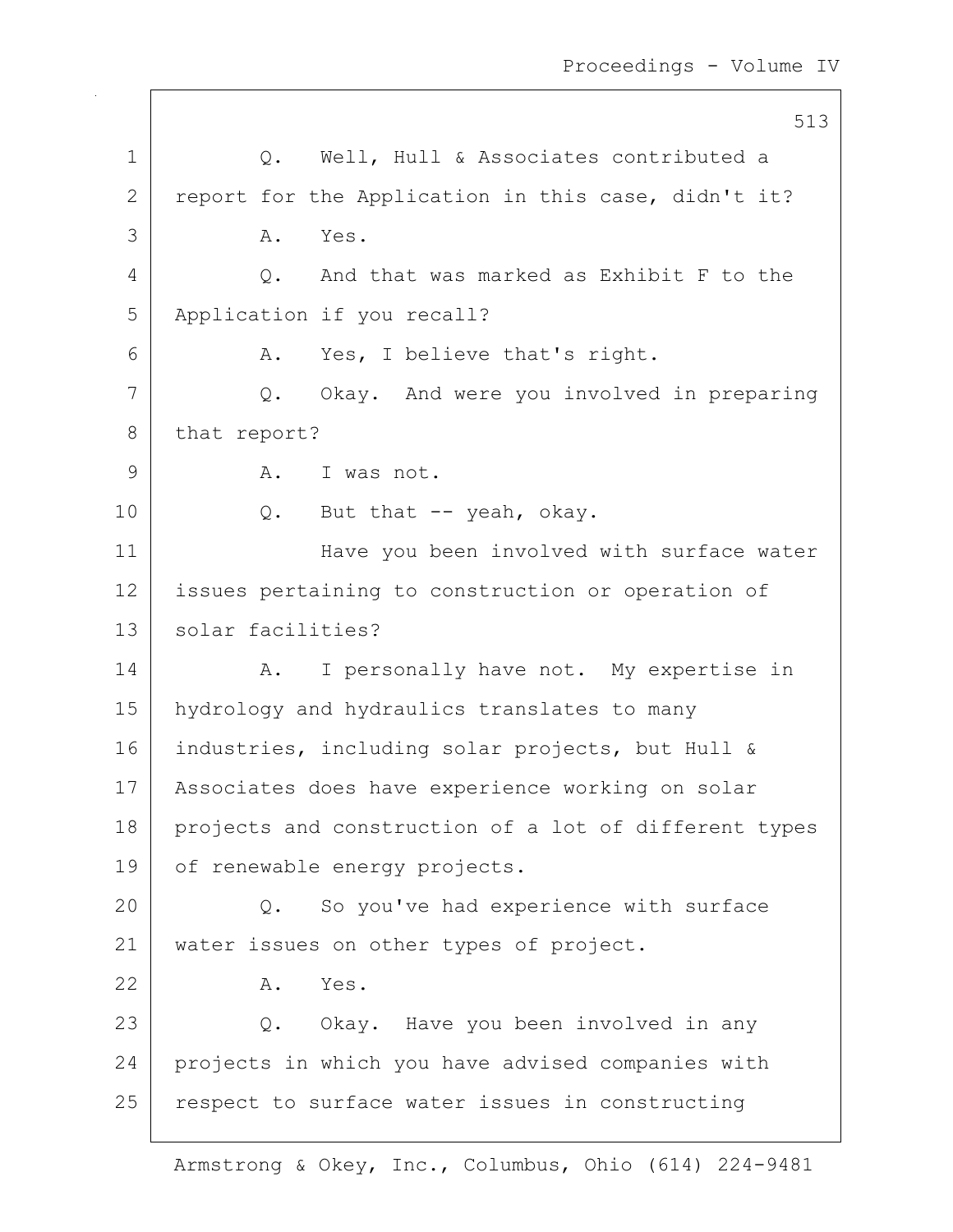|    | 513                                                   |
|----|-------------------------------------------------------|
| 1  | Well, Hull & Associates contributed a<br>Q.           |
| 2  | report for the Application in this case, didn't it?   |
| 3  | Yes.<br>Α.                                            |
| 4  | And that was marked as Exhibit F to the<br>$Q$ .      |
| 5  | Application if you recall?                            |
| 6  | Yes, I believe that's right.<br>A.                    |
| 7  | Q. Okay. And were you involved in preparing           |
| 8  | that report?                                          |
| 9  | A.<br>I was not.                                      |
| 10 | Q. But that -- yeah, okay.                            |
| 11 | Have you been involved with surface water             |
| 12 | issues pertaining to construction or operation of     |
| 13 | solar facilities?                                     |
| 14 | I personally have not. My expertise in<br>A.          |
| 15 | hydrology and hydraulics translates to many           |
| 16 | industries, including solar projects, but Hull &      |
| 17 | Associates does have experience working on solar      |
| 18 | projects and construction of a lot of different types |
| 19 | of renewable energy projects.                         |
| 20 | So you've had experience with surface<br>Q.           |
| 21 | water issues on other types of project.               |
| 22 | Yes.<br>Α.                                            |
| 23 | Q. Okay. Have you been involved in any                |
| 24 | projects in which you have advised companies with     |
| 25 | respect to surface water issues in constructing       |
|    |                                                       |

 $\overline{\phantom{a}}$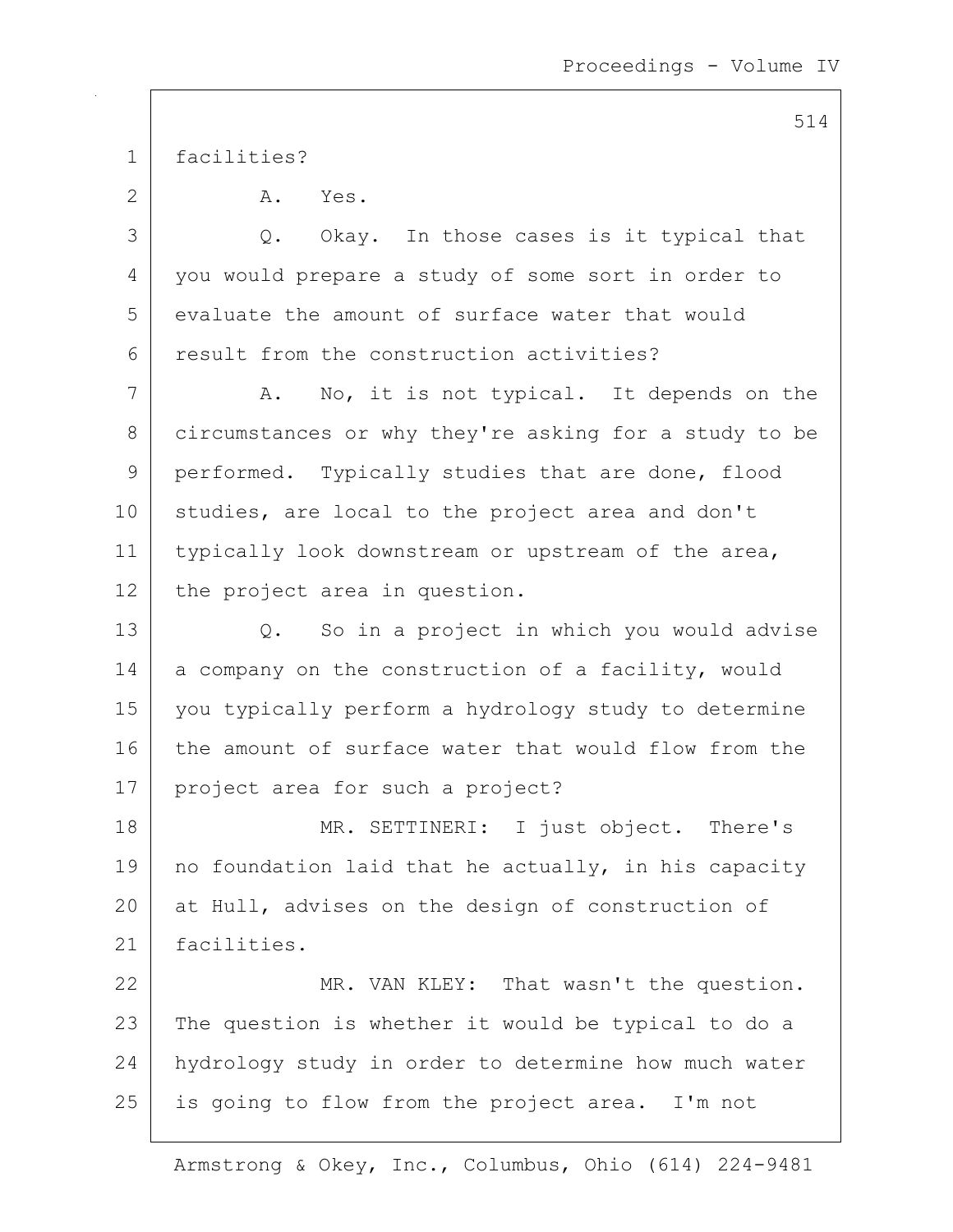1 facilities?

2 A. Yes. 3 Q. Okay. In those cases is it typical that 4 you would prepare a study of some sort in order to 5 evaluate the amount of surface water that would 6 result from the construction activities? 7 A. No, it is not typical. It depends on the 8 circumstances or why they're asking for a study to be 9 | performed. Typically studies that are done, flood 10 studies, are local to the project area and don't 11 | typically look downstream or upstream of the area, 12 the project area in question. 13 Q. So in a project in which you would advise 14 | a company on the construction of a facility, would 15 you typically perform a hydrology study to determine 16 the amount of surface water that would flow from the 17 project area for such a project? 18 MR. SETTINERI: I just object. There's 19 | no foundation laid that he actually, in his capacity

20 at Hull, advises on the design of construction of 21 facilities.

22 MR. VAN KLEY: That wasn't the question. 23 | The question is whether it would be typical to do a 24 hydrology study in order to determine how much water 25 is going to flow from the project area. I'm not

Armstrong & Okey, Inc., Columbus, Ohio (614) 224-9481

514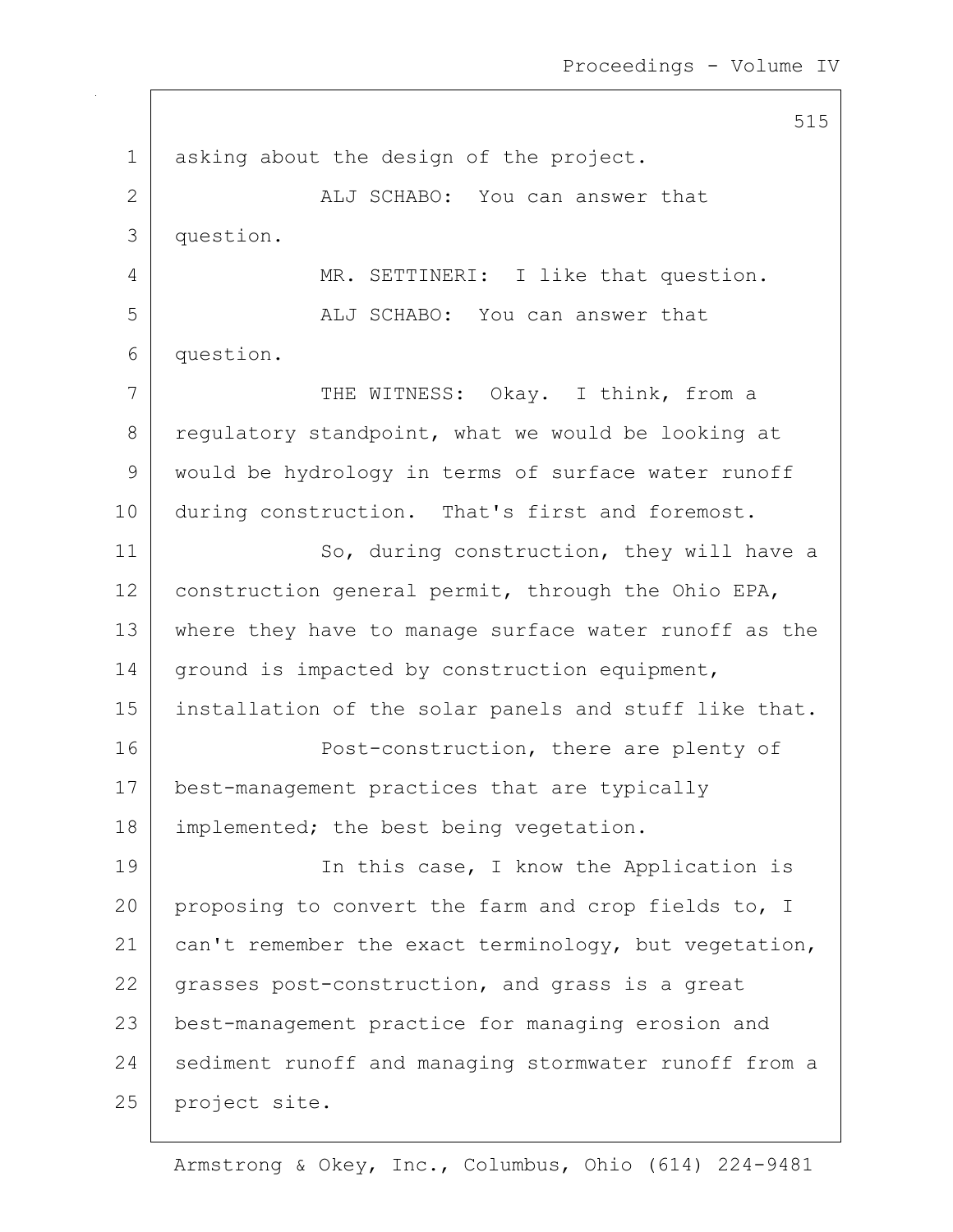515 1 asking about the design of the project. 2 ALJ SCHABO: You can answer that 3 question. 4 MR. SETTINERI: I like that question. 5 ALJ SCHABO: You can answer that 6 question. 7 | THE WITNESS: Okay. I think, from a 8 regulatory standpoint, what we would be looking at 9 would be hydrology in terms of surface water runoff 10 during construction. That's first and foremost. 11 So, during construction, they will have a 12 construction general permit, through the Ohio EPA, 13 where they have to manage surface water runoff as the 14 | ground is impacted by construction equipment, 15 installation of the solar panels and stuff like that. 16 Post-construction, there are plenty of 17 | best-management practices that are typically 18 | implemented; the best being vegetation. 19 | The this case, I know the Application is 20 proposing to convert the farm and crop fields to, I 21 | can't remember the exact terminology, but vegetation, 22 grasses post-construction, and grass is a great 23 best-management practice for managing erosion and 24 sediment runoff and managing stormwater runoff from a 25 project site.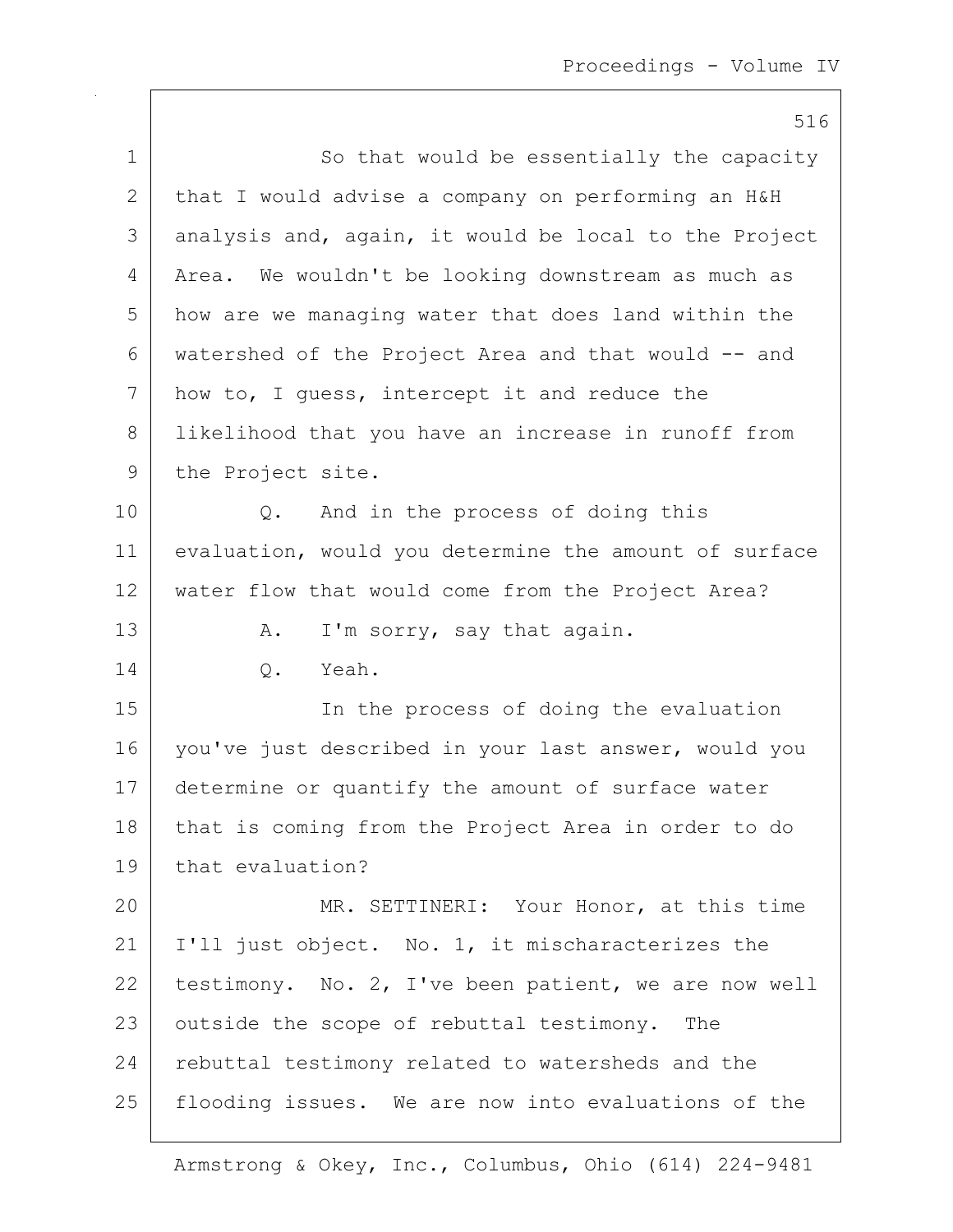|             | 516                                                   |
|-------------|-------------------------------------------------------|
| $\mathbf 1$ | So that would be essentially the capacity             |
| 2           | that I would advise a company on performing an H&H    |
| 3           | analysis and, again, it would be local to the Project |
| 4           | Area. We wouldn't be looking downstream as much as    |
| 5           | how are we managing water that does land within the   |
| 6           | watershed of the Project Area and that would -- and   |
| 7           | how to, I guess, intercept it and reduce the          |
| 8           | likelihood that you have an increase in runoff from   |
| 9           | the Project site.                                     |
| 10          | And in the process of doing this<br>Q.                |
| 11          | evaluation, would you determine the amount of surface |
| 12          | water flow that would come from the Project Area?     |
| 13          | I'm sorry, say that again.<br>Α.                      |
| 14          | Yeah.<br>Q.                                           |
| 15          | In the process of doing the evaluation                |
| 16          | you've just described in your last answer, would you  |
| 17          | determine or quantify the amount of surface water     |
| 18          | that is coming from the Project Area in order to do   |
| 19          | that evaluation?                                      |
| 20          | MR. SETTINERI: Your Honor, at this time               |
| 21          | I'll just object. No. 1, it mischaracterizes the      |
| 22          | testimony. No. 2, I've been patient, we are now well  |
| 23          | outside the scope of rebuttal testimony. The          |
| 24          | rebuttal testimony related to watersheds and the      |
| 25          | flooding issues. We are now into evaluations of the   |

 $\mathsf{I}$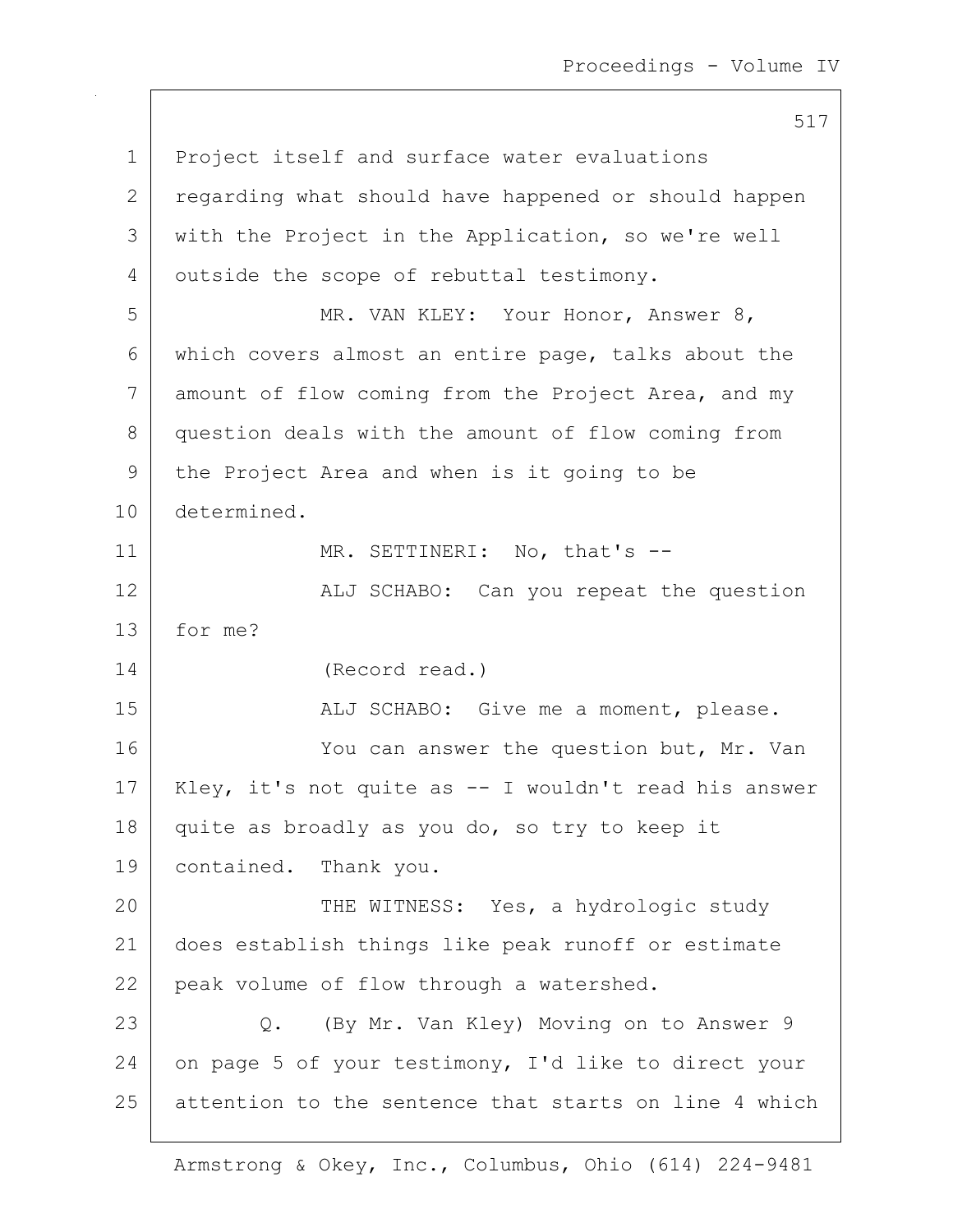517 1 Project itself and surface water evaluations 2 regarding what should have happened or should happen 3 with the Project in the Application, so we're well 4 outside the scope of rebuttal testimony. 5 | MR. VAN KLEY: Your Honor, Answer 8, 6 which covers almost an entire page, talks about the 7 amount of flow coming from the Project Area, and my 8 question deals with the amount of flow coming from 9 the Project Area and when is it going to be 10 determined. 11 | MR. SETTINERI: No, that's --12 | ALJ SCHABO: Can you repeat the question 13 for me? 14 (Record read.) 15 | ALJ SCHABO: Give me a moment, please. 16 You can answer the question but, Mr. Van 17 | Kley, it's not quite as -- I wouldn't read his answer 18 quite as broadly as you do, so try to keep it 19 | contained. Thank you. 20 THE WITNESS: Yes, a hydrologic study 21 does establish things like peak runoff or estimate 22 peak volume of flow through a watershed. 23 | Q. (By Mr. Van Kley) Moving on to Answer 9 24 on page 5 of your testimony, I'd like to direct your 25 attention to the sentence that starts on line 4 which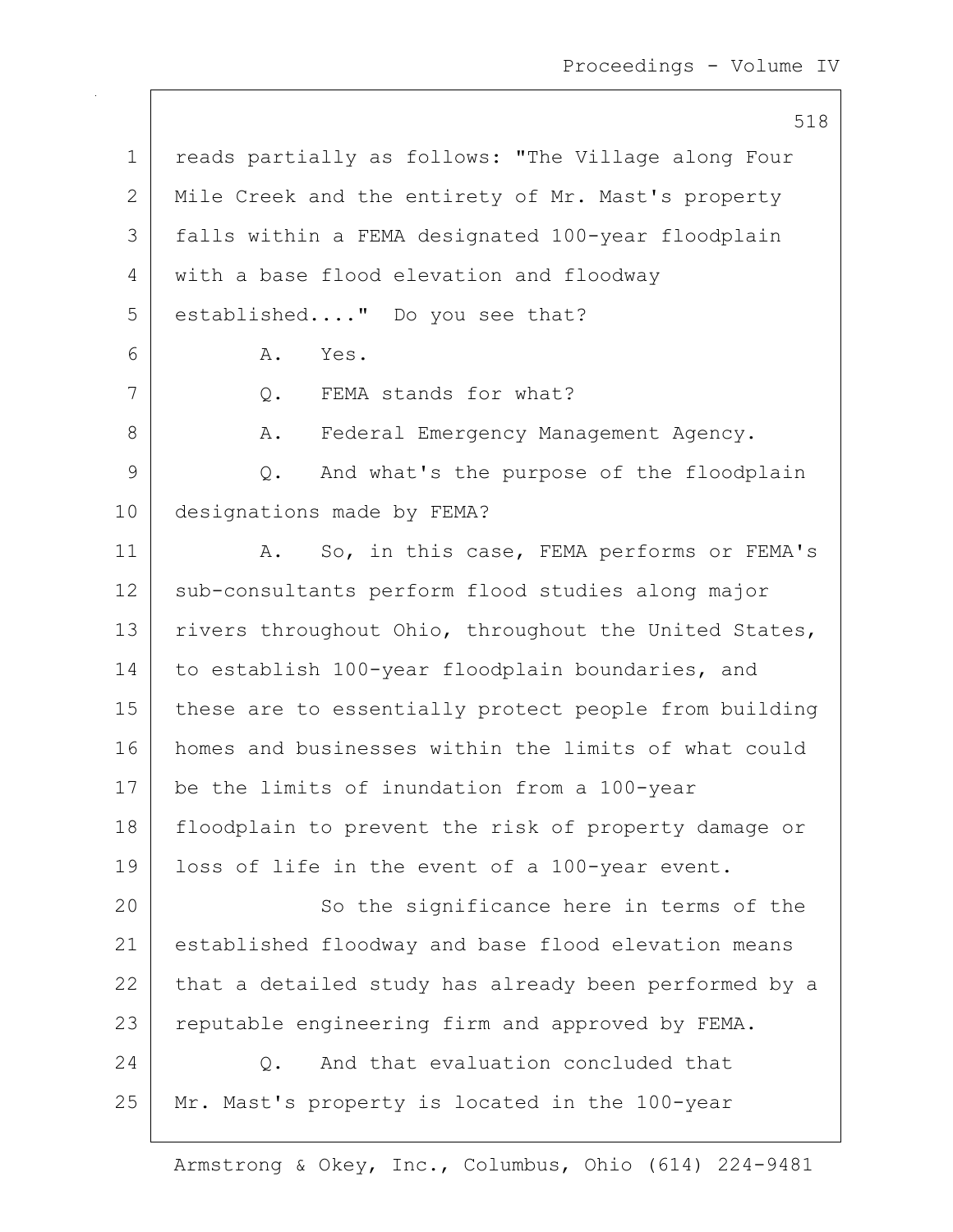518 1 | reads partially as follows: "The Village along Four 2 Mile Creek and the entirety of Mr. Mast's property 3 falls within a FEMA designated 100-year floodplain 4 with a base flood elevation and floodway 5 | established...." Do you see that? 6 A. Yes. 7 Q. FEMA stands for what? 8 A. Federal Emergency Management Agency. 9 Q. And what's the purpose of the floodplain 10 designations made by FEMA? 11 | A. So, in this case, FEMA performs or FEMA's 12 | sub-consultants perform flood studies along major 13 rivers throughout Ohio, throughout the United States, 14 to establish 100-year floodplain boundaries, and 15 | these are to essentially protect people from building 16 homes and businesses within the limits of what could 17 be the limits of inundation from a 100-year 18 | floodplain to prevent the risk of property damage or 19 loss of life in the event of a 100-year event. 20 So the significance here in terms of the 21 established floodway and base flood elevation means 22 that a detailed study has already been performed by a 23 reputable engineering firm and approved by FEMA. 24 O. And that evaluation concluded that 25 Mr. Mast's property is located in the 100-year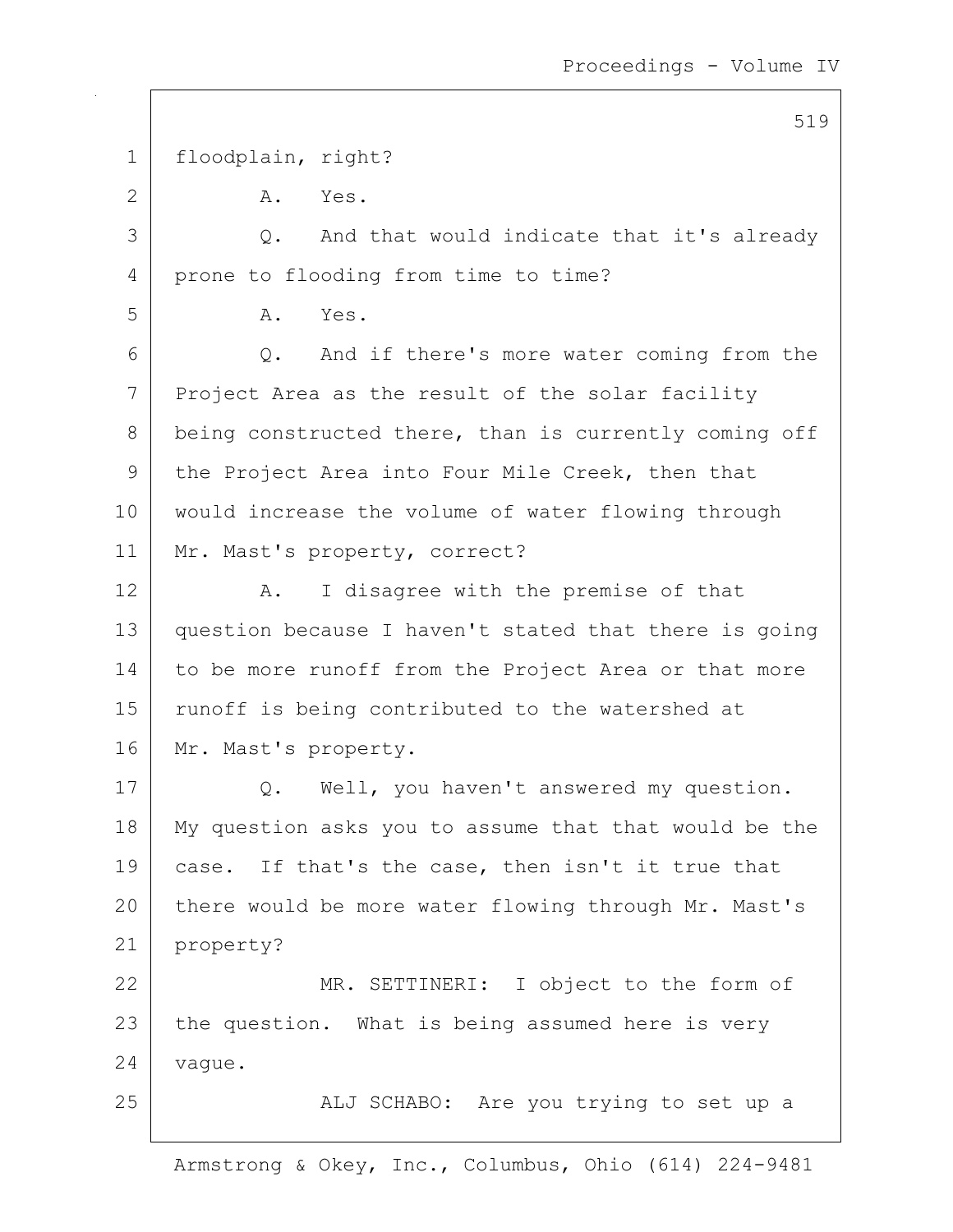1 floodplain, right? 2 A. Yes. 3 Q. And that would indicate that it's already 4 prone to flooding from time to time? 5 A. Yes. 6 Q. And if there's more water coming from the 7 Project Area as the result of the solar facility 8 being constructed there, than is currently coming off 9 the Project Area into Four Mile Creek, then that 10 would increase the volume of water flowing through 11 | Mr. Mast's property, correct? 12 A. I disagree with the premise of that 13 question because I haven't stated that there is going 14 to be more runoff from the Project Area or that more 15 | runoff is being contributed to the watershed at 16 Mr. Mast's property. 17 | Q. Well, you haven't answered my question. 18 My question asks you to assume that that would be the 19 case. If that's the case, then isn't it true that 20 there would be more water flowing through Mr. Mast's 21 property? 22 MR. SETTINERI: I object to the form of 23 the question. What is being assumed here is very 24 vague. 25 | ALJ SCHABO: Are you trying to set up a

Armstrong & Okey, Inc., Columbus, Ohio (614) 224-9481

### 519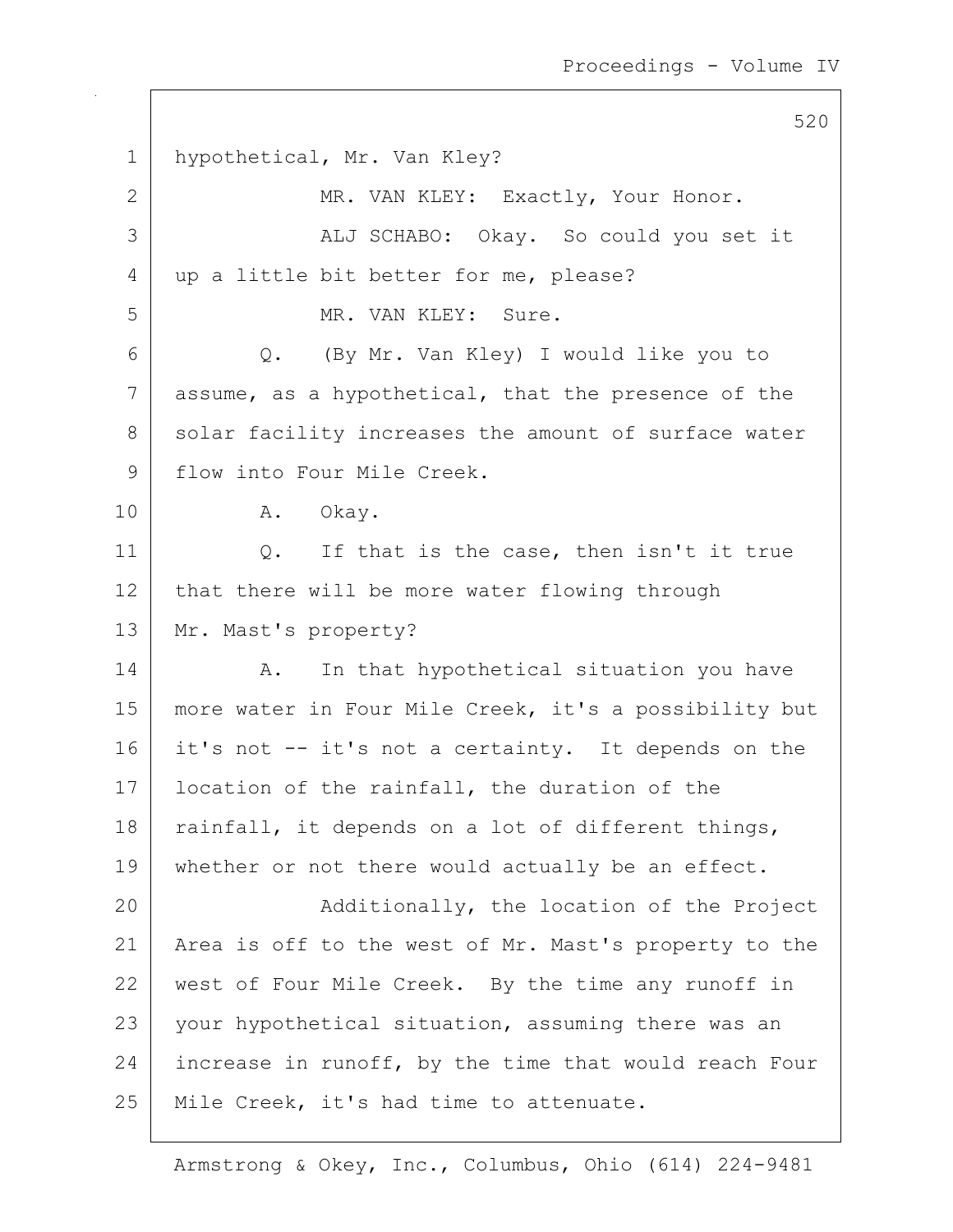1 hypothetical, Mr. Van Kley? 2 MR. VAN KLEY: Exactly, Your Honor. 3 | ALJ SCHABO: Okay. So could you set it 4 | up a little bit better for me, please? 5 MR. VAN KLEY: Sure. 6 Q. (By Mr. Van Kley) I would like you to 7 assume, as a hypothetical, that the presence of the 8 solar facility increases the amount of surface water 9 | flow into Four Mile Creek. 10 A. Okay. 11 Q. If that is the case, then isn't it true  $12$  that there will be more water flowing through 13 Mr. Mast's property? 14 | A. In that hypothetical situation you have 15 | more water in Four Mile Creek, it's a possibility but 16 it's not -- it's not a certainty. It depends on the 17 | location of the rainfall, the duration of the 18 | rainfall, it depends on a lot of different things, 19 whether or not there would actually be an effect. 20 | Additionally, the location of the Project 21 | Area is off to the west of Mr. Mast's property to the 22 west of Four Mile Creek. By the time any runoff in 23 your hypothetical situation, assuming there was an 24 increase in runoff, by the time that would reach Four  $25$  | Mile Creek, it's had time to attenuate.

Armstrong & Okey, Inc., Columbus, Ohio (614) 224-9481

520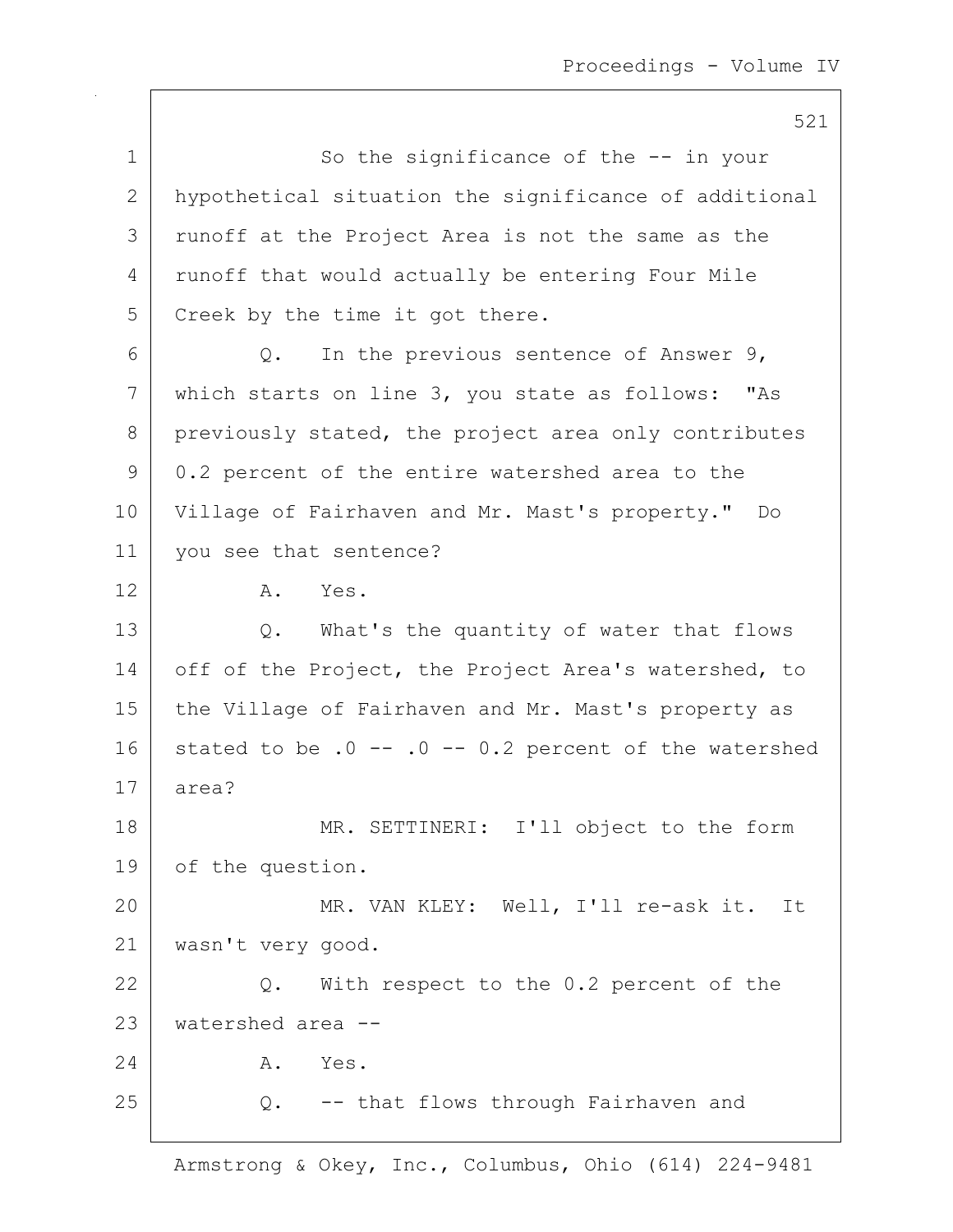521 1 So the significance of the -- in your 2 hypothetical situation the significance of additional 3 | runoff at the Project Area is not the same as the 4 | runoff that would actually be entering Four Mile 5 Creek by the time it got there.  $6$  Q. In the previous sentence of Answer 9, 7 which starts on line 3, you state as follows: "As 8 previously stated, the project area only contributes 9 0.2 percent of the entire watershed area to the 10 Village of Fairhaven and Mr. Mast's property." Do 11 you see that sentence? 12 A. Yes. 13 Q. What's the quantity of water that flows 14 off of the Project, the Project Area's watershed, to 15 | the Village of Fairhaven and Mr. Mast's property as 16 stated to be  $.0 - - 0.2$  percent of the watershed 17 area? 18 MR. SETTINERI: I'll object to the form 19 of the question. 20 MR. VAN KLEY: Well, I'll re-ask it. It 21 wasn't very good. 22 Q. With respect to the 0.2 percent of the 23 watershed area -- 24 A. Yes.  $25$  Q.  $-$  that flows through Fairhaven and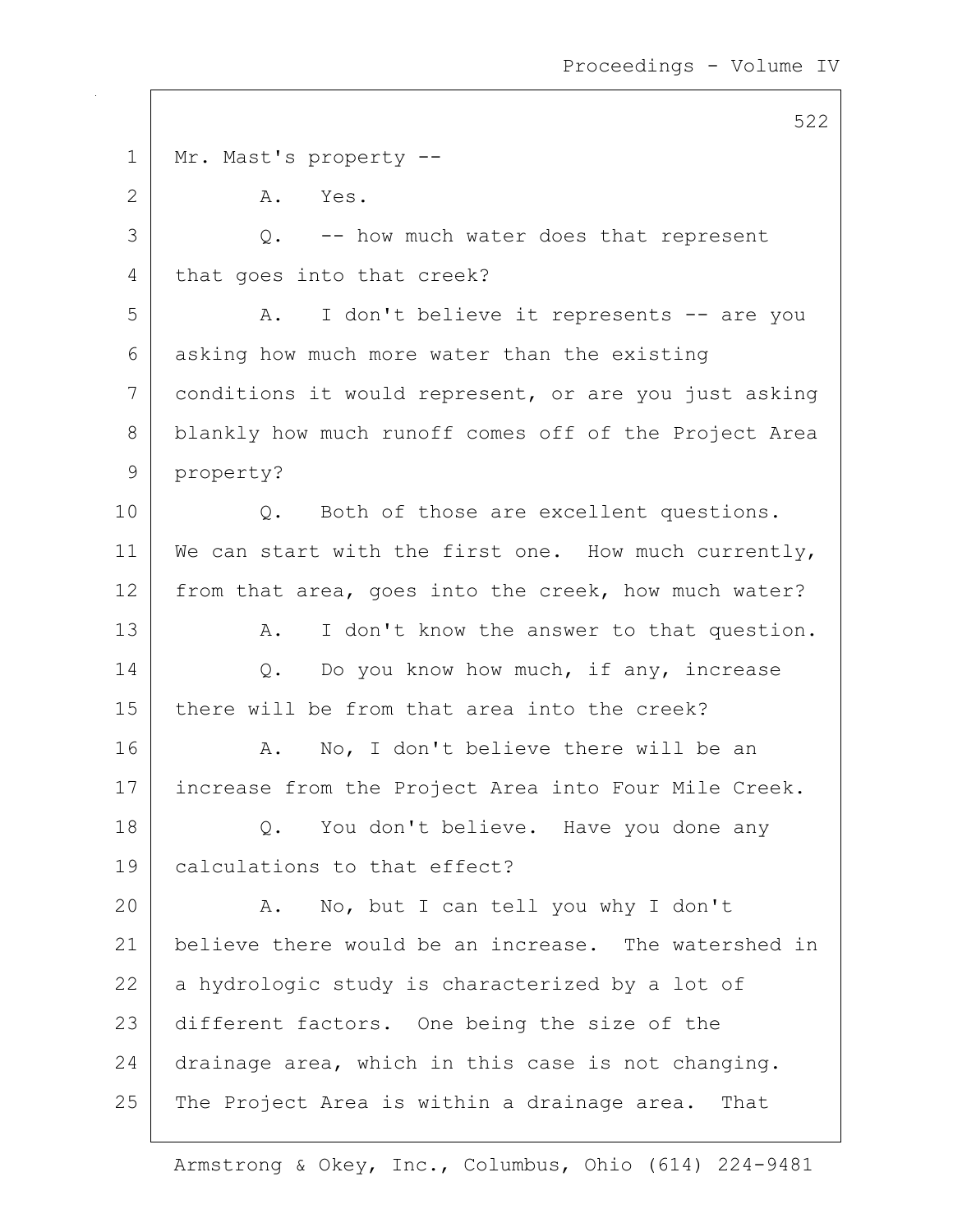522 1 | Mr. Mast's property --2 A. Yes.  $3$   $\sqrt{2}$ . -- how much water does that represent 4 that goes into that creek? 5 | A. I don't believe it represents -- are you  $6$  asking how much more water than the existing 7 conditions it would represent, or are you just asking 8 blankly how much runoff comes off of the Project Area 9 property? 10 | Q. Both of those are excellent questions. 11 | We can start with the first one. How much currently, 12 from that area, goes into the creek, how much water? 13 A. I don't know the answer to that question. 14 O. Do you know how much, if any, increase 15 there will be from that area into the creek? 16 A. No, I don't believe there will be an 17 | increase from the Project Area into Four Mile Creek. 18 | Q. You don't believe. Have you done any 19 calculations to that effect? 20 A. No, but I can tell you why I don't 21 believe there would be an increase. The watershed in  $22$  a hydrologic study is characterized by a lot of 23 different factors. One being the size of the 24 drainage area, which in this case is not changing. 25 The Project Area is within a drainage area. That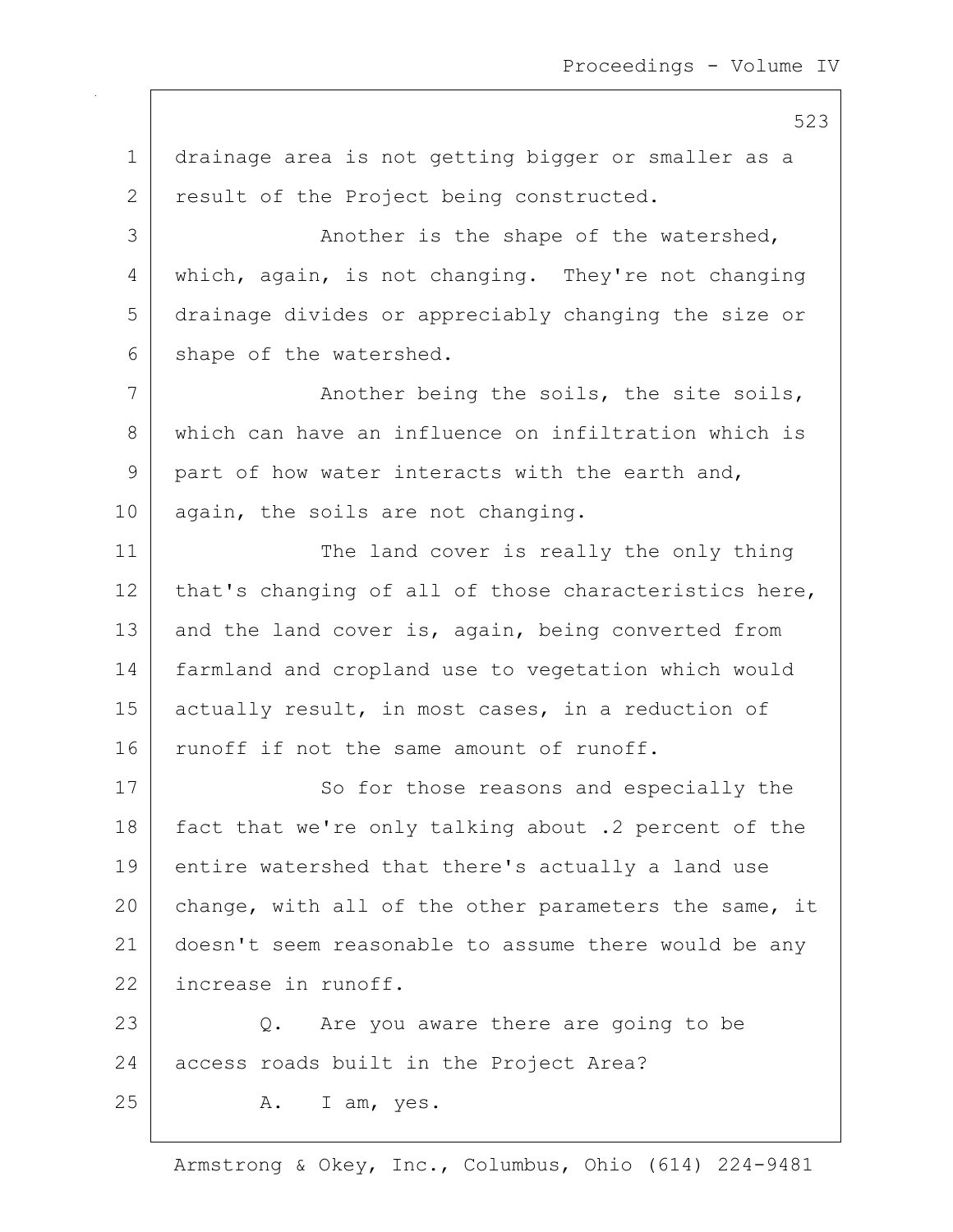1 drainage area is not getting bigger or smaller as a 2 result of the Project being constructed. 3 | Another is the shape of the watershed, 4 which, again, is not changing. They're not changing 5 drainage divides or appreciably changing the size or 6 shape of the watershed. 7 | The Shoother being the soils, the site soils, 8 which can have an influence on infiltration which is 9 part of how water interacts with the earth and, 10 | again, the soils are not changing. 11 The land cover is really the only thing 12 that's changing of all of those characteristics here, 13 and the land cover is, again, being converted from 14 farmland and cropland use to vegetation which would 15 actually result, in most cases, in a reduction of 16 runoff if not the same amount of runoff. 17 So for those reasons and especially the 18 fact that we're only talking about .2 percent of the 19 entire watershed that there's actually a land use 20 change, with all of the other parameters the same, it 21 doesn't seem reasonable to assume there would be any 22 increase in runoff. 23 Q. Are you aware there are going to be 24 access roads built in the Project Area?  $25$  A. I am, yes.

Armstrong & Okey, Inc., Columbus, Ohio (614) 224-9481

523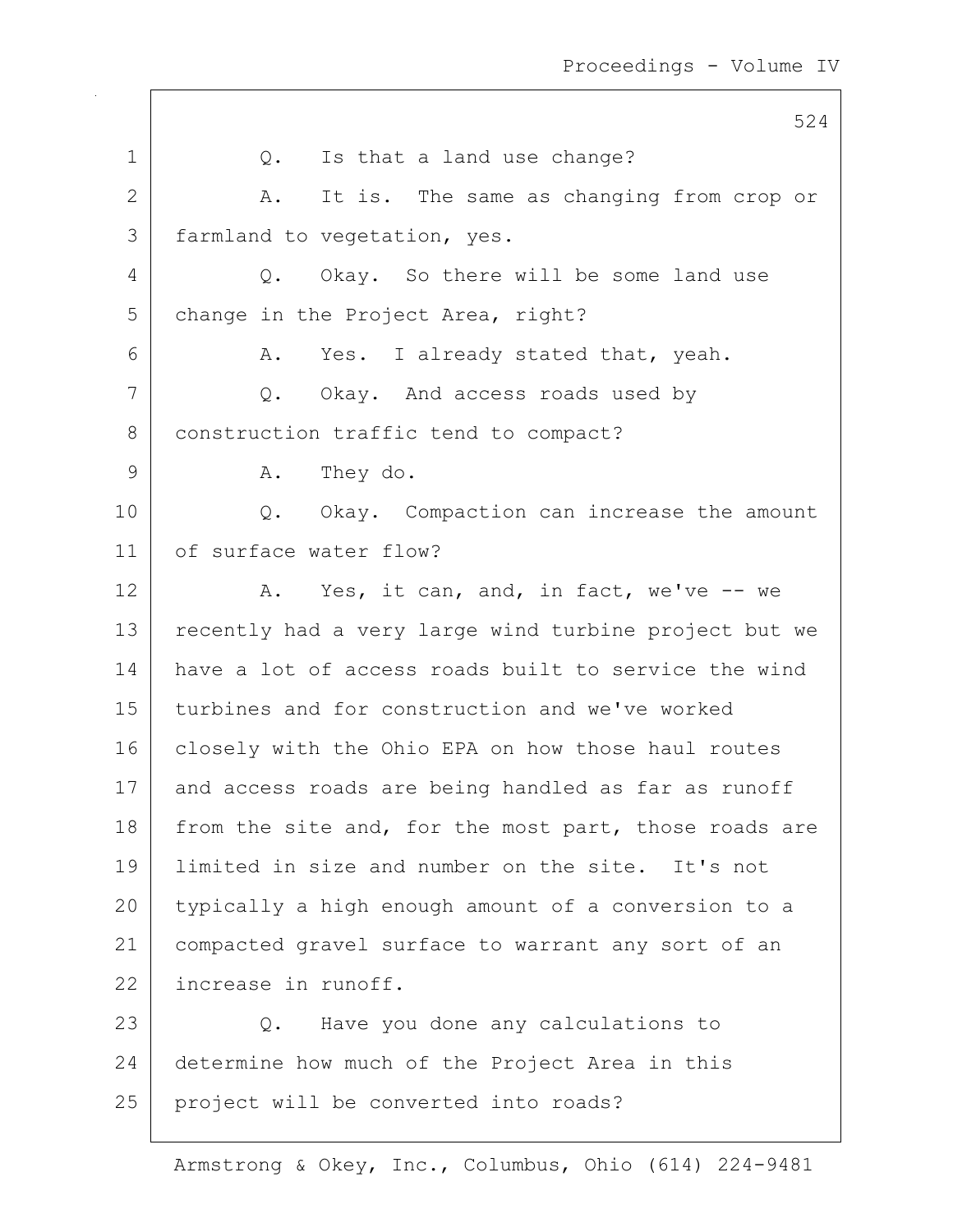524 1 | Q. Is that a land use change? 2 A. It is. The same as changing from crop or 3 | farmland to vegetation, yes. 4 Q. Okay. So there will be some land use 5 | change in the Project Area, right? 6 A. Yes. I already stated that, yeah. 7 Q. Okay. And access roads used by 8 construction traffic tend to compact? 9 A. They do. 10 | Q. Okay. Compaction can increase the amount 11 of surface water flow? 12 A. Yes, it can, and, in fact, we've -- we 13 | recently had a very large wind turbine project but we 14 have a lot of access roads built to service the wind 15 turbines and for construction and we've worked 16 closely with the Ohio EPA on how those haul routes 17 and access roads are being handled as far as runoff 18 from the site and, for the most part, those roads are 19 limited in size and number on the site. It's not 20 typically a high enough amount of a conversion to a 21 compacted gravel surface to warrant any sort of an 22 increase in runoff. 23 Q. Have you done any calculations to 24 determine how much of the Project Area in this 25 | project will be converted into roads?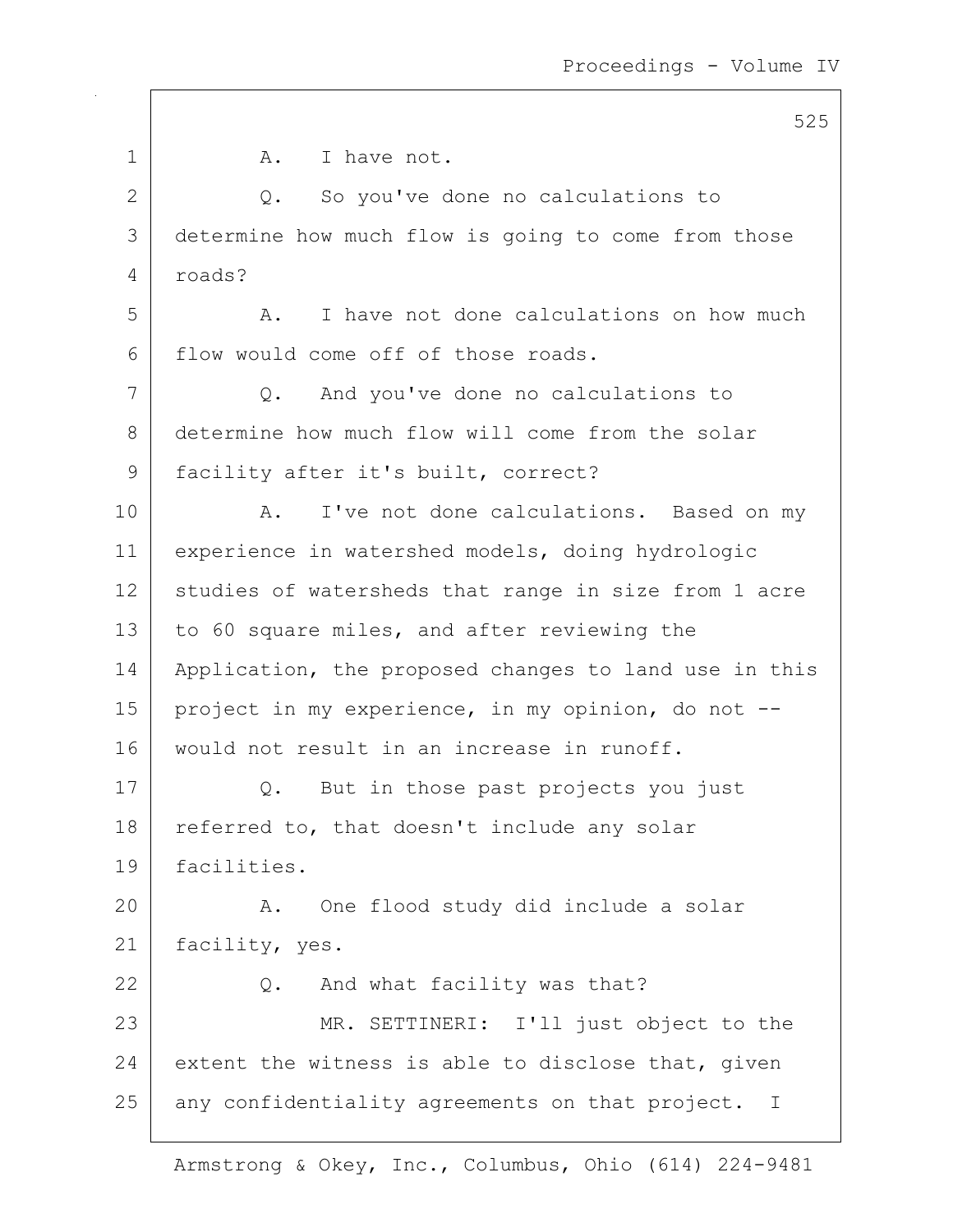|              | 525                                                             |
|--------------|-----------------------------------------------------------------|
| $\mathbf 1$  | I have not.<br>A.                                               |
| $\mathbf{2}$ | So you've done no calculations to<br>$Q$ .                      |
| 3            | determine how much flow is going to come from those             |
| 4            | roads?                                                          |
| 5            | I have not done calculations on how much<br>Α.                  |
| 6            | flow would come off of those roads.                             |
| 7            | And you've done no calculations to<br>Q.                        |
| 8            | determine how much flow will come from the solar                |
| 9            | facility after it's built, correct?                             |
| 10           | I've not done calculations. Based on my<br>Α.                   |
| 11           | experience in watershed models, doing hydrologic                |
| 12           | studies of watersheds that range in size from 1 acre            |
| 13           | to 60 square miles, and after reviewing the                     |
| 14           | Application, the proposed changes to land use in this           |
| 15           | project in my experience, in my opinion, do not --              |
| 16           | would not result in an increase in runoff.                      |
| 17           | But in those past projects you just<br>Q.                       |
| 18           | referred to, that doesn't include any solar                     |
| 19           | facilities.                                                     |
| 20           | One flood study did include a solar<br>Α.                       |
| 21           | facility, yes.                                                  |
| 22           | And what facility was that?<br>Q.                               |
| 23           | MR. SETTINERI: I'll just object to the                          |
| 24           | extent the witness is able to disclose that, given              |
| 25           | any confidentiality agreements on that project.<br>$\mathbb{I}$ |

 $\mathsf{I}$ 

 $525$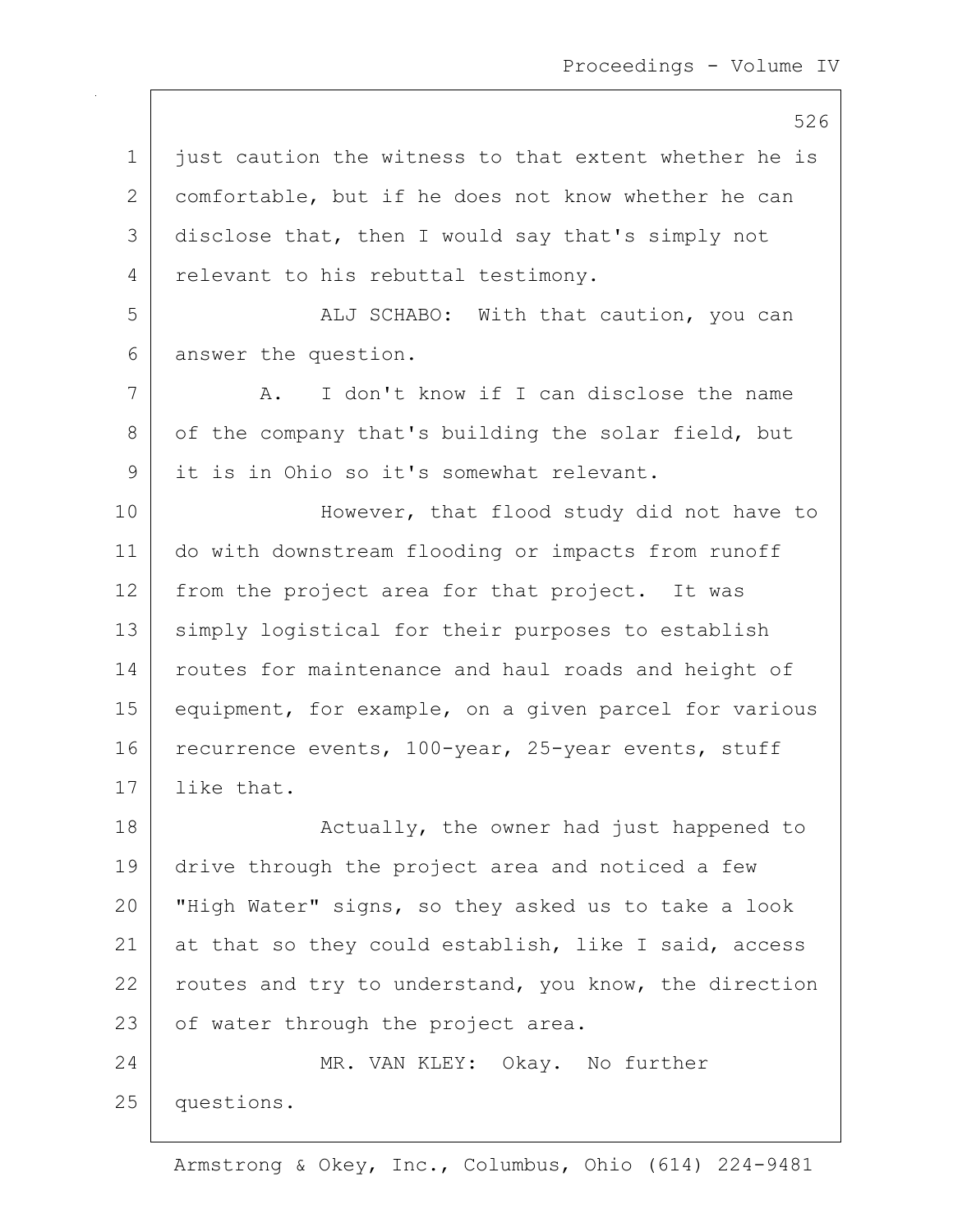526

1 | just caution the witness to that extent whether he is 2 comfortable, but if he does not know whether he can 3 disclose that, then I would say that's simply not 4 relevant to his rebuttal testimony. 5 | ALJ SCHABO: With that caution, you can 6 answer the question. 7 A. I don't know if I can disclose the name 8 of the company that's building the solar field, but 9 it is in Ohio so it's somewhat relevant. 10 | However, that flood study did not have to 11 do with downstream flooding or impacts from runoff 12 from the project area for that project. It was 13 | simply logistical for their purposes to establish 14 | routes for maintenance and haul roads and height of 15 equipment, for example, on a given parcel for various 16 recurrence events, 100-year, 25-year events, stuff 17 like that. 18 | Catually, the owner had just happened to 19 drive through the project area and noticed a few 20 "High Water" signs, so they asked us to take a look 21 at that so they could establish, like I said, access 22 routes and try to understand, you know, the direction 23 | of water through the project area. 24 MR. VAN KLEY: Okay. No further 25 questions.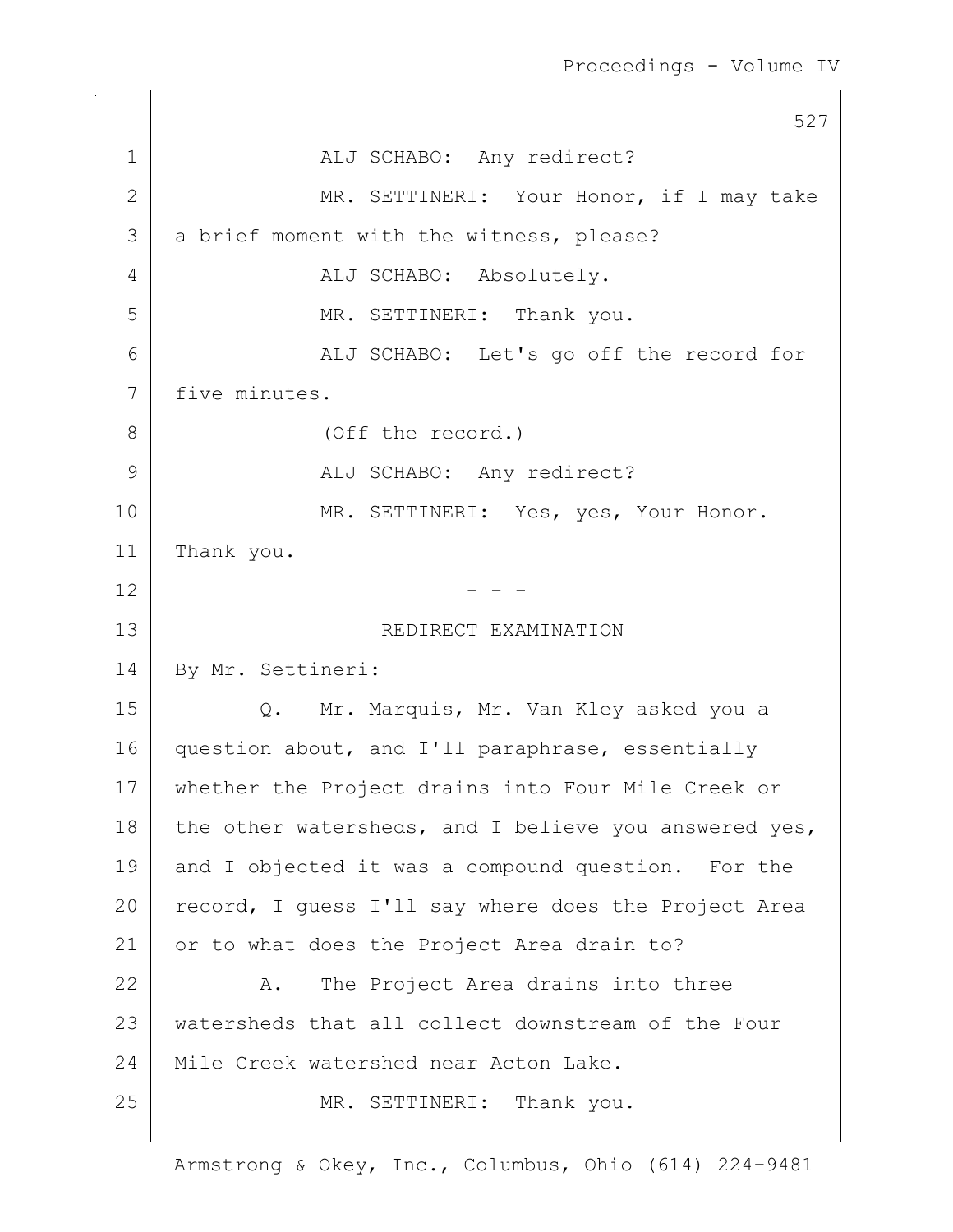527 1 | ALJ SCHABO: Any redirect? 2 MR. SETTINERI: Your Honor, if I may take 3 a brief moment with the witness, please? 4 ALJ SCHABO: Absolutely. 5 MR. SETTINERI: Thank you. 6 ALJ SCHABO: Let's go off the record for 7 five minutes. 8 (Off the record.) 9 ALJ SCHABO: Any redirect? 10 | MR. SETTINERI: Yes, yes, Your Honor. 11 | Thank you.  $12$  - -13 Separate SEDIRECT EXAMINATION 14 By Mr. Settineri: 15 Q. Mr. Marquis, Mr. Van Kley asked you a 16 question about, and I'll paraphrase, essentially 17 whether the Project drains into Four Mile Creek or 18 | the other watersheds, and I believe you answered yes, 19 and I objected it was a compound question. For the 20 record, I quess I'll say where does the Project Area 21 or to what does the Project Area drain to? 22 A. The Project Area drains into three 23 watersheds that all collect downstream of the Four 24 Mile Creek watershed near Acton Lake. 25 | MR. SETTINERI: Thank you.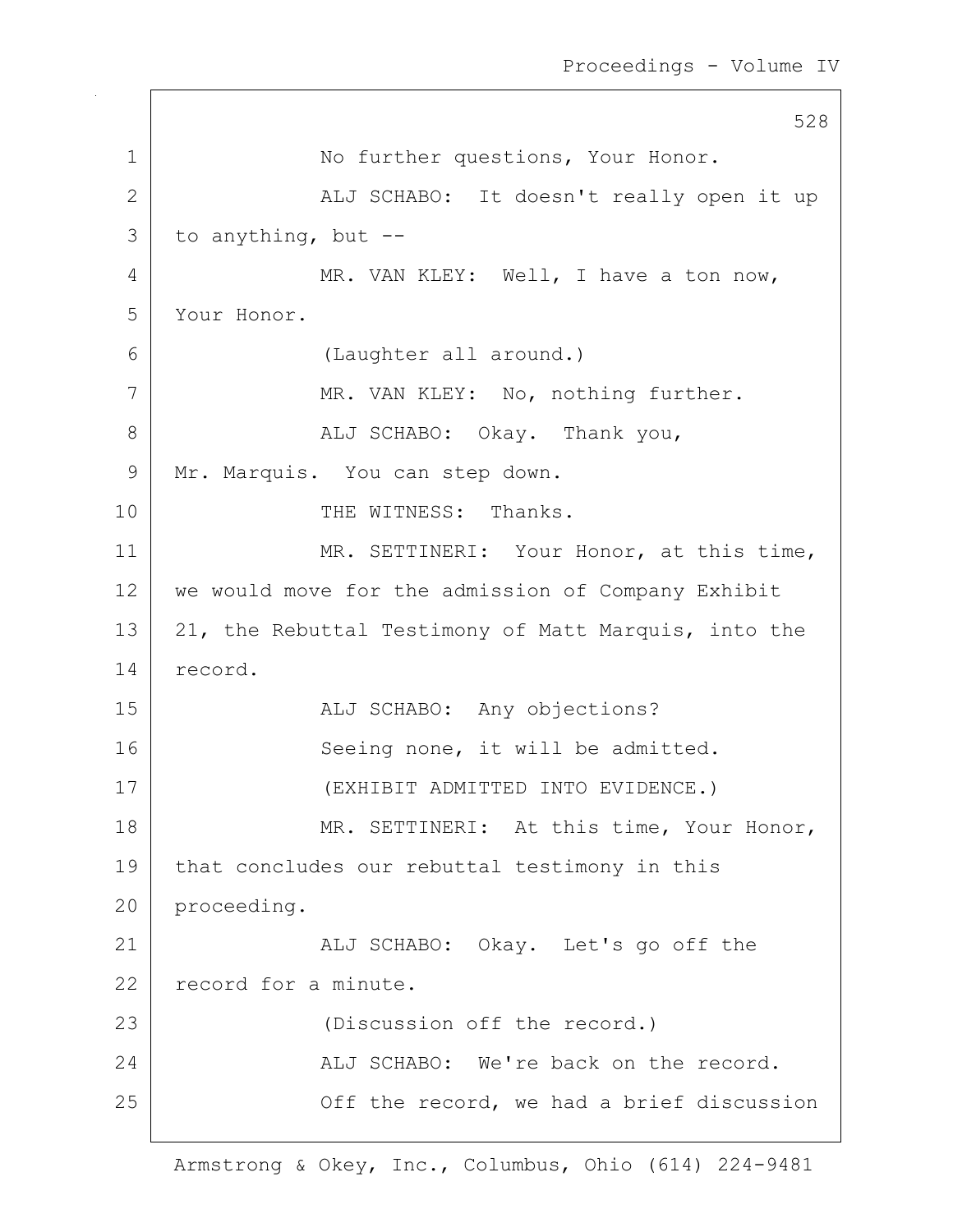528 1 | No further questions, Your Honor. 2 | ALJ SCHABO: It doesn't really open it up  $3$  to anything, but  $-$ 4 MR. VAN KLEY: Well, I have a ton now, 5 Your Honor. 6 (Laughter all around.) 7 | MR. VAN KLEY: No, nothing further. 8 ALJ SCHABO: Okay. Thank you, 9 | Mr. Marquis. You can step down. 10 THE WITNESS: Thanks. 11 MR. SETTINERI: Your Honor, at this time, 12 we would move for the admission of Company Exhibit 13 | 21, the Rebuttal Testimony of Matt Marquis, into the 14 record. 15 | REALI SCHABO: Any objections? 16 Seeing none, it will be admitted. 17 (EXHIBIT ADMITTED INTO EVIDENCE.) 18 | MR. SETTINERI: At this time, Your Honor, 19 | that concludes our rebuttal testimony in this 20 proceeding. 21 | ALJ SCHABO: Okay. Let's go off the 22 record for a minute. 23 (Discussion off the record.) 24 ALJ SCHABO: We're back on the record. 25 | Construction of the record, we had a brief discussion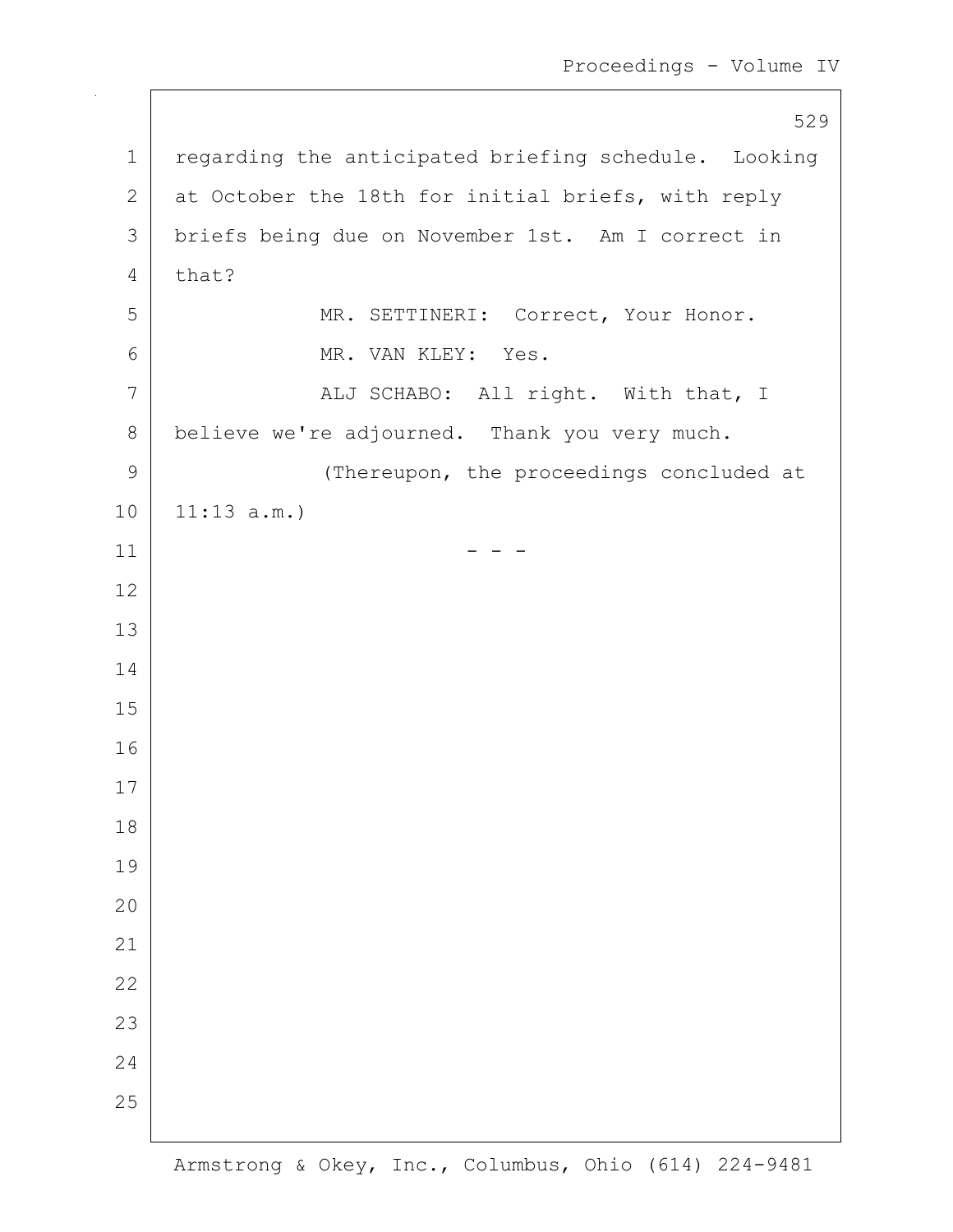1 regarding the anticipated briefing schedule. Looking 2 at October the 18th for initial briefs, with reply 3 briefs being due on November 1st. Am I correct in that? 5 MR. SETTINERI: Correct, Your Honor. 6 MR. VAN KLEY: Yes. 7 | ALJ SCHABO: All right. With that, I 8 believe we're adjourned. Thank you very much. 9 Thereupon, the proceedings concluded at 11:13 a.m.) - - -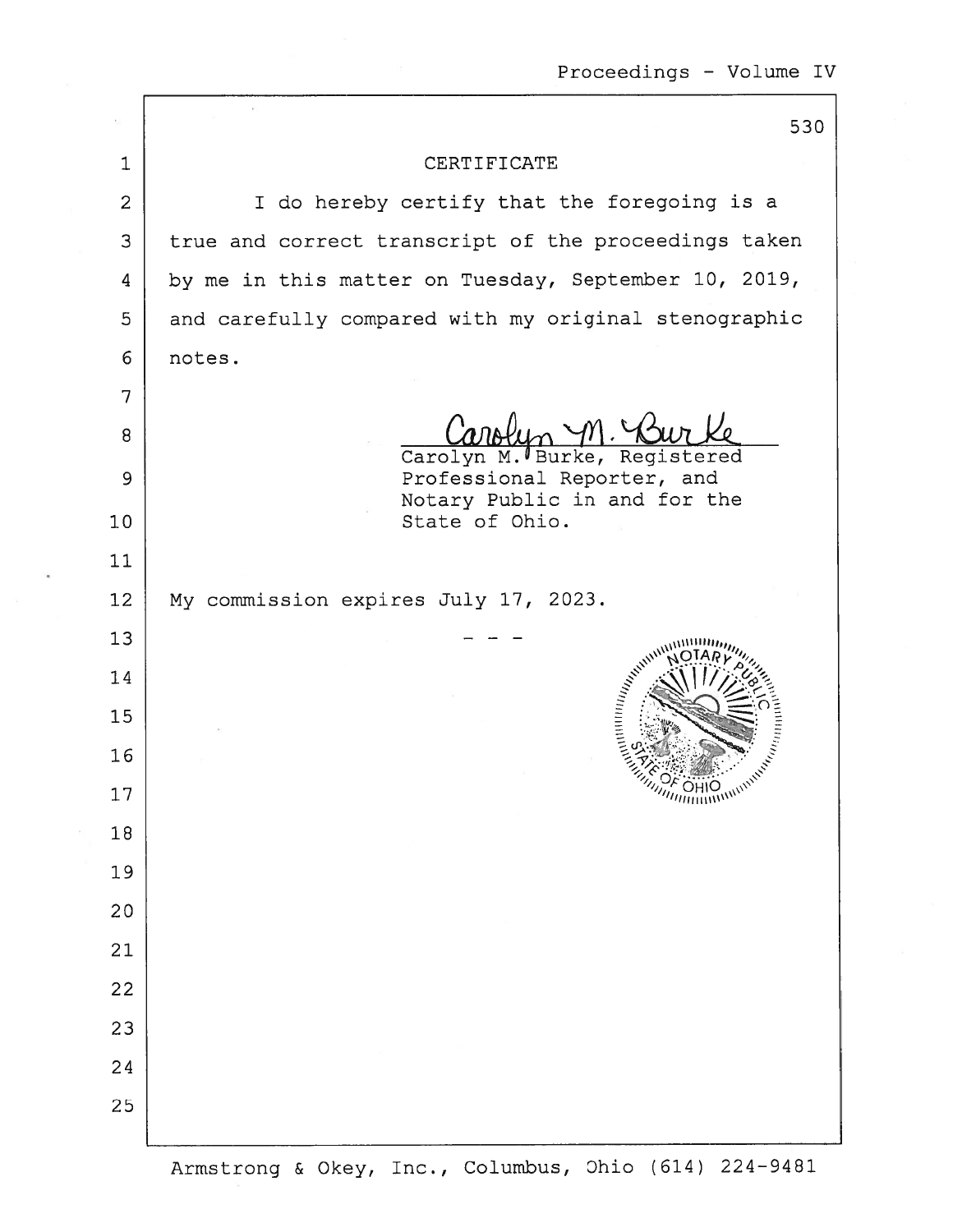|                | 530                                                        |
|----------------|------------------------------------------------------------|
| $\mathbf{1}$   | CERTIFICATE                                                |
| $\overline{2}$ | I do hereby certify that the foregoing is a                |
| 3              | true and correct transcript of the proceedings taken       |
| 4              | by me in this matter on Tuesday, September 10, 2019,       |
| 5              | and carefully compared with my original stenographic       |
| 6              | notes.                                                     |
| 7              |                                                            |
| 8              | Carolyn M. Burke, Registered                               |
| 9              | Professional Reporter, and<br>Notary Public in and for the |
| 10             | State of Ohio.                                             |
| 11             |                                                            |
| 12             | My commission expires July 17, 2023.                       |
| 13             |                                                            |
| 14             | <b>Hilly Hilling</b>                                       |
| 15             |                                                            |
| 16             |                                                            |
| 17             |                                                            |
| 18             |                                                            |
| 19             |                                                            |
| 20             |                                                            |
| 21             |                                                            |
| 22             |                                                            |
| 23             |                                                            |
| 24             |                                                            |
| 25             |                                                            |
|                |                                                            |